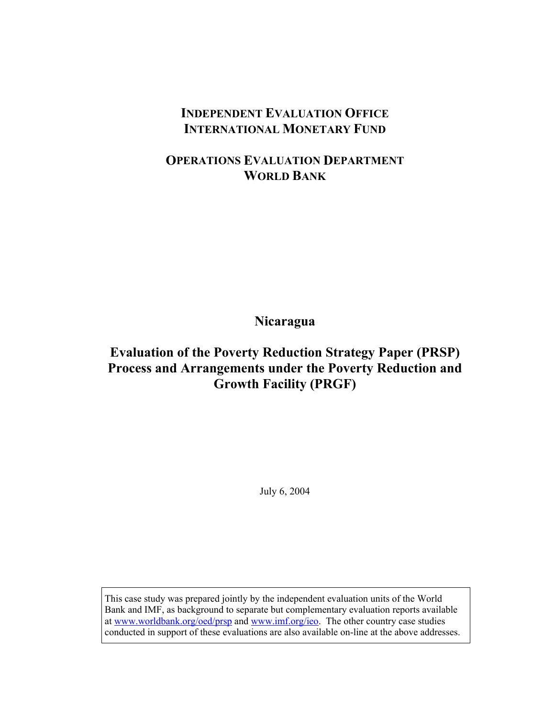# **INDEPENDENT EVALUATION OFFICE INTERNATIONAL MONETARY FUND**

# **OPERATIONS EVALUATION DEPARTMENT WORLD BANK**

**Nicaragua** 

# **Evaluation of the Poverty Reduction Strategy Paper (PRSP) Process and Arrangements under the Poverty Reduction and Growth Facility (PRGF)**

July 6, 2004

This case study was prepared jointly by the independent evaluation units of the World Bank and IMF, as background to separate but complementary evaluation reports available at www.worldbank.org/oed/prsp and www.imf.org/ieo. The other country case studies conducted in support of these evaluations are also available on-line at the above addresses.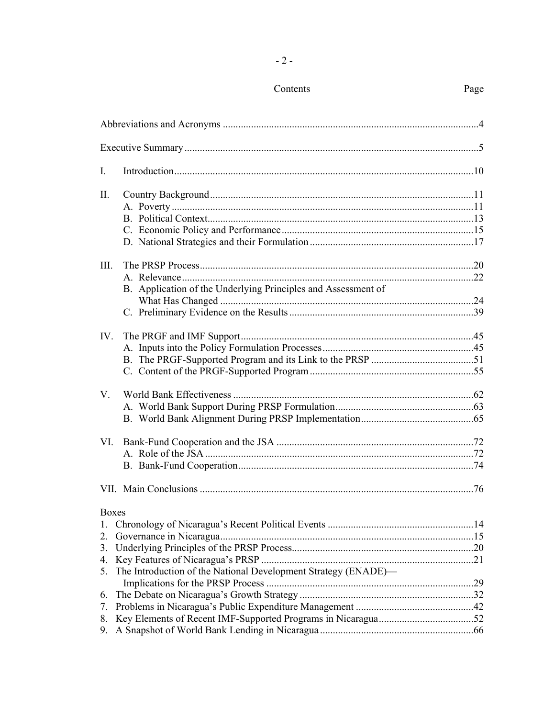| $I_{\cdot}$                    |                                                                |  |
|--------------------------------|----------------------------------------------------------------|--|
| II.                            |                                                                |  |
| III.                           | B. Application of the Underlying Principles and Assessment of  |  |
| $IV_{-}$                       |                                                                |  |
| $V_{\cdot}$                    |                                                                |  |
| VI.                            |                                                                |  |
|                                |                                                                |  |
| <b>Boxes</b><br>1.<br>2.<br>5. | The Introduction of the National Development Strategy (ENADE)— |  |
| 6.<br>7.<br>8.<br>9.           |                                                                |  |
|                                |                                                                |  |

### Contents

### Page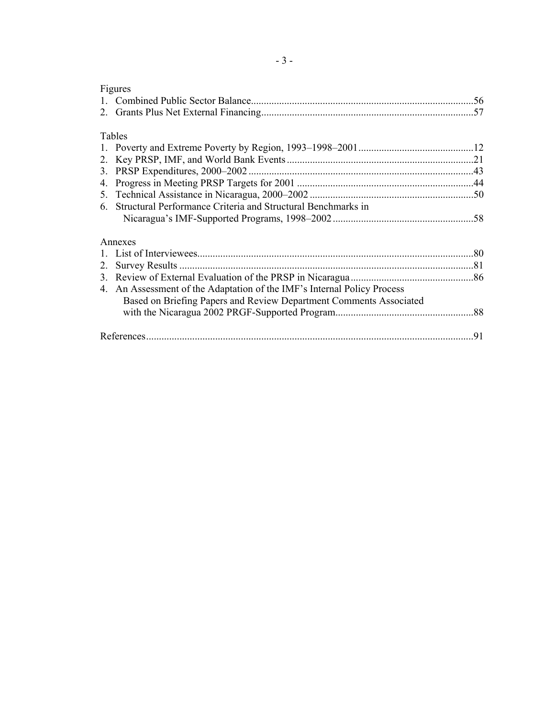| Figures                                                              |    |
|----------------------------------------------------------------------|----|
|                                                                      |    |
|                                                                      |    |
| Tables                                                               |    |
|                                                                      |    |
|                                                                      |    |
|                                                                      |    |
|                                                                      |    |
| 4.                                                                   |    |
| 5.                                                                   |    |
| Structural Performance Criteria and Structural Benchmarks in<br>6    |    |
|                                                                      |    |
| Annexes                                                              |    |
|                                                                      |    |
| 2.                                                                   |    |
|                                                                      |    |
| An Assessment of the Adaptation of the IMF's Internal Policy Process |    |
| Based on Briefing Papers and Review Department Comments Associated   |    |
|                                                                      |    |
|                                                                      |    |
|                                                                      | 91 |
|                                                                      |    |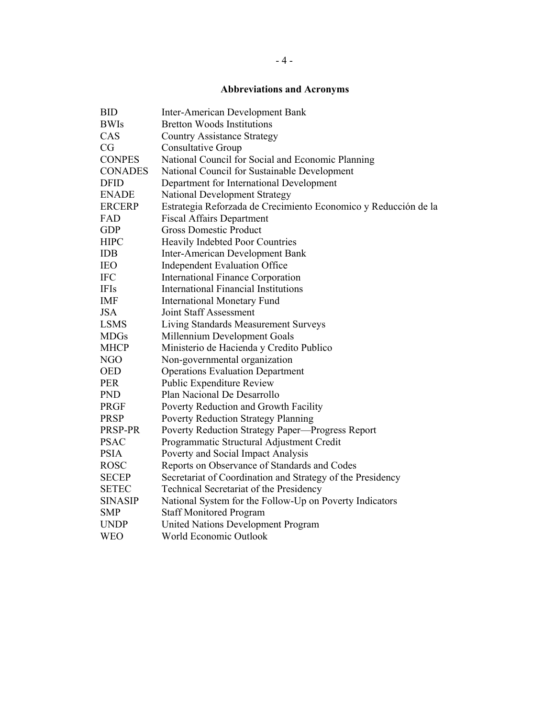## **Abbreviations and Acronyms**

| <b>BID</b>     | <b>Inter-American Development Bank</b>                          |
|----------------|-----------------------------------------------------------------|
| <b>BWIs</b>    | <b>Bretton Woods Institutions</b>                               |
| CAS            | <b>Country Assistance Strategy</b>                              |
| CG             | <b>Consultative Group</b>                                       |
| <b>CONPES</b>  | National Council for Social and Economic Planning               |
| <b>CONADES</b> | National Council for Sustainable Development                    |
| <b>DFID</b>    | Department for International Development                        |
| <b>ENADE</b>   | National Development Strategy                                   |
| <b>ERCERP</b>  | Estrategia Reforzada de Crecimiento Economico y Reducción de la |
| FAD            | <b>Fiscal Affairs Department</b>                                |
| <b>GDP</b>     | <b>Gross Domestic Product</b>                                   |
| <b>HIPC</b>    | Heavily Indebted Poor Countries                                 |
| <b>IDB</b>     | <b>Inter-American Development Bank</b>                          |
| <b>IEO</b>     | <b>Independent Evaluation Office</b>                            |
| <b>IFC</b>     | <b>International Finance Corporation</b>                        |
| <b>IFIs</b>    | <b>International Financial Institutions</b>                     |
| <b>IMF</b>     | <b>International Monetary Fund</b>                              |
| <b>JSA</b>     | <b>Joint Staff Assessment</b>                                   |
| <b>LSMS</b>    | Living Standards Measurement Surveys                            |
| <b>MDGs</b>    | Millennium Development Goals                                    |
| <b>MHCP</b>    | Ministerio de Hacienda y Credito Publico                        |
| <b>NGO</b>     | Non-governmental organization                                   |
| <b>OED</b>     | <b>Operations Evaluation Department</b>                         |
| <b>PER</b>     | Public Expenditure Review                                       |
| <b>PND</b>     | Plan Nacional De Desarrollo                                     |
| <b>PRGF</b>    | Poverty Reduction and Growth Facility                           |
| <b>PRSP</b>    | <b>Poverty Reduction Strategy Planning</b>                      |
| PRSP-PR        | Poverty Reduction Strategy Paper-Progress Report                |
| <b>PSAC</b>    | Programmatic Structural Adjustment Credit                       |
| <b>PSIA</b>    | Poverty and Social Impact Analysis                              |
| <b>ROSC</b>    | Reports on Observance of Standards and Codes                    |
| <b>SECEP</b>   | Secretariat of Coordination and Strategy of the Presidency      |
| <b>SETEC</b>   | Technical Secretariat of the Presidency                         |
| <b>SINASIP</b> | National System for the Follow-Up on Poverty Indicators         |
| <b>SMP</b>     | <b>Staff Monitored Program</b>                                  |
| <b>UNDP</b>    | <b>United Nations Development Program</b>                       |
| <b>WEO</b>     | World Economic Outlook                                          |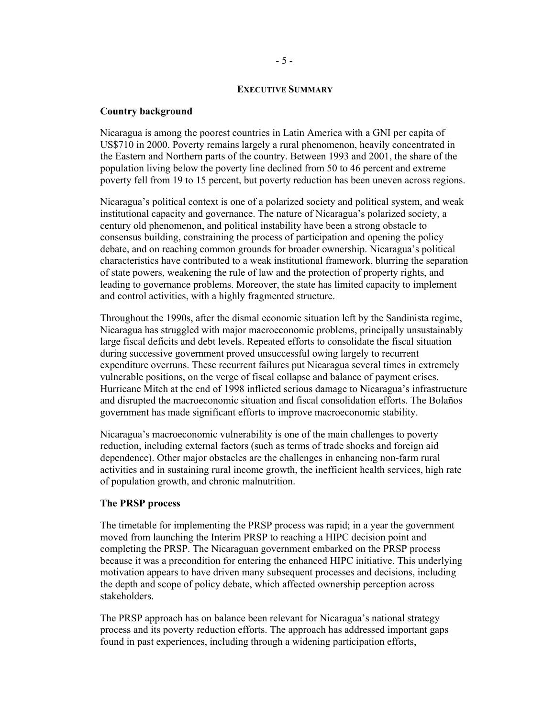#### **EXECUTIVE SUMMARY**

#### **Country background**

Nicaragua is among the poorest countries in Latin America with a GNI per capita of US\$710 in 2000. Poverty remains largely a rural phenomenon, heavily concentrated in the Eastern and Northern parts of the country. Between 1993 and 2001, the share of the population living below the poverty line declined from 50 to 46 percent and extreme poverty fell from 19 to 15 percent, but poverty reduction has been uneven across regions.

Nicaragua's political context is one of a polarized society and political system, and weak institutional capacity and governance. The nature of Nicaragua's polarized society, a century old phenomenon, and political instability have been a strong obstacle to consensus building, constraining the process of participation and opening the policy debate, and on reaching common grounds for broader ownership. Nicaragua's political characteristics have contributed to a weak institutional framework, blurring the separation of state powers, weakening the rule of law and the protection of property rights, and leading to governance problems. Moreover, the state has limited capacity to implement and control activities, with a highly fragmented structure.

Throughout the 1990s, after the dismal economic situation left by the Sandinista regime, Nicaragua has struggled with major macroeconomic problems, principally unsustainably large fiscal deficits and debt levels. Repeated efforts to consolidate the fiscal situation during successive government proved unsuccessful owing largely to recurrent expenditure overruns. These recurrent failures put Nicaragua several times in extremely vulnerable positions, on the verge of fiscal collapse and balance of payment crises. Hurricane Mitch at the end of 1998 inflicted serious damage to Nicaragua's infrastructure and disrupted the macroeconomic situation and fiscal consolidation efforts. The Bolaños government has made significant efforts to improve macroeconomic stability.

Nicaragua's macroeconomic vulnerability is one of the main challenges to poverty reduction, including external factors (such as terms of trade shocks and foreign aid dependence). Other major obstacles are the challenges in enhancing non-farm rural activities and in sustaining rural income growth, the inefficient health services, high rate of population growth, and chronic malnutrition.

#### **The PRSP process**

The timetable for implementing the PRSP process was rapid; in a year the government moved from launching the Interim PRSP to reaching a HIPC decision point and completing the PRSP. The Nicaraguan government embarked on the PRSP process because it was a precondition for entering the enhanced HIPC initiative. This underlying motivation appears to have driven many subsequent processes and decisions, including the depth and scope of policy debate, which affected ownership perception across stakeholders.

The PRSP approach has on balance been relevant for Nicaragua's national strategy process and its poverty reduction efforts. The approach has addressed important gaps found in past experiences, including through a widening participation efforts,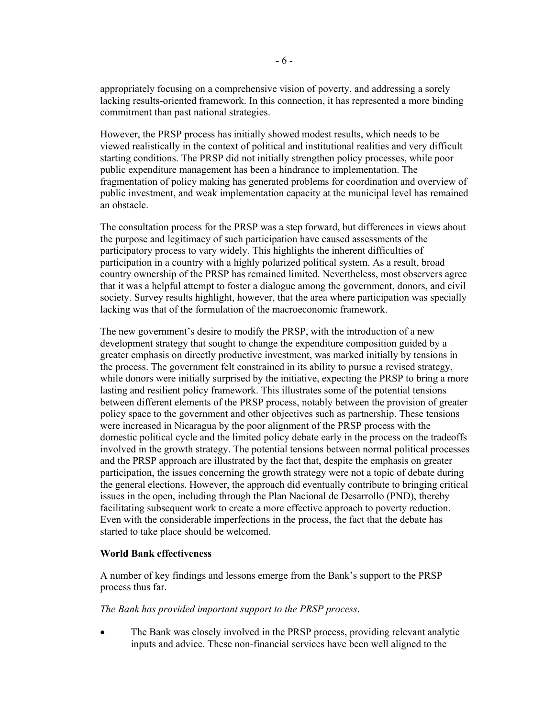appropriately focusing on a comprehensive vision of poverty, and addressing a sorely lacking results-oriented framework. In this connection, it has represented a more binding commitment than past national strategies.

However, the PRSP process has initially showed modest results, which needs to be viewed realistically in the context of political and institutional realities and very difficult starting conditions. The PRSP did not initially strengthen policy processes, while poor public expenditure management has been a hindrance to implementation. The fragmentation of policy making has generated problems for coordination and overview of public investment, and weak implementation capacity at the municipal level has remained an obstacle.

The consultation process for the PRSP was a step forward, but differences in views about the purpose and legitimacy of such participation have caused assessments of the participatory process to vary widely. This highlights the inherent difficulties of participation in a country with a highly polarized political system. As a result, broad country ownership of the PRSP has remained limited. Nevertheless, most observers agree that it was a helpful attempt to foster a dialogue among the government, donors, and civil society. Survey results highlight, however, that the area where participation was specially lacking was that of the formulation of the macroeconomic framework.

The new government's desire to modify the PRSP, with the introduction of a new development strategy that sought to change the expenditure composition guided by a greater emphasis on directly productive investment, was marked initially by tensions in the process. The government felt constrained in its ability to pursue a revised strategy, while donors were initially surprised by the initiative, expecting the PRSP to bring a more lasting and resilient policy framework. This illustrates some of the potential tensions between different elements of the PRSP process, notably between the provision of greater policy space to the government and other objectives such as partnership. These tensions were increased in Nicaragua by the poor alignment of the PRSP process with the domestic political cycle and the limited policy debate early in the process on the tradeoffs involved in the growth strategy. The potential tensions between normal political processes and the PRSP approach are illustrated by the fact that, despite the emphasis on greater participation, the issues concerning the growth strategy were not a topic of debate during the general elections. However, the approach did eventually contribute to bringing critical issues in the open, including through the Plan Nacional de Desarrollo (PND), thereby facilitating subsequent work to create a more effective approach to poverty reduction. Even with the considerable imperfections in the process, the fact that the debate has started to take place should be welcomed.

#### **World Bank effectiveness**

A number of key findings and lessons emerge from the Bank's support to the PRSP process thus far.

#### *The Bank has provided important support to the PRSP process*.

The Bank was closely involved in the PRSP process, providing relevant analytic inputs and advice. These non-financial services have been well aligned to the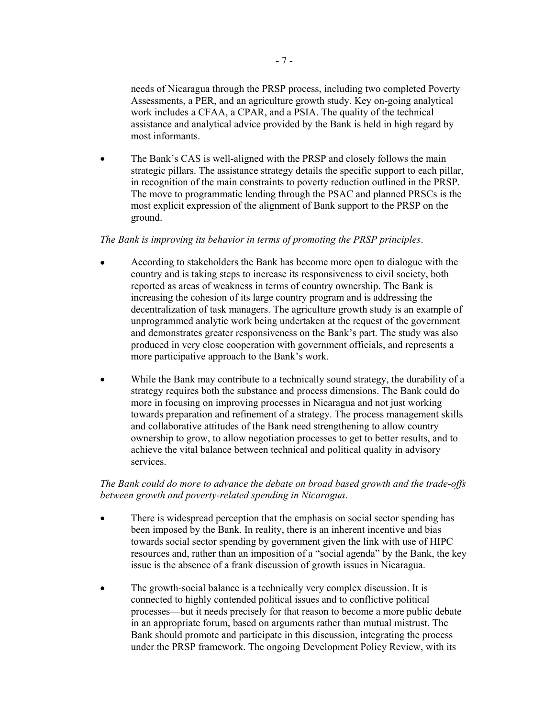needs of Nicaragua through the PRSP process, including two completed Poverty Assessments, a PER, and an agriculture growth study. Key on-going analytical work includes a CFAA, a CPAR, and a PSIA. The quality of the technical assistance and analytical advice provided by the Bank is held in high regard by most informants.

The Bank's CAS is well-aligned with the PRSP and closely follows the main strategic pillars. The assistance strategy details the specific support to each pillar, in recognition of the main constraints to poverty reduction outlined in the PRSP. The move to programmatic lending through the PSAC and planned PRSCs is the most explicit expression of the alignment of Bank support to the PRSP on the ground.

### *The Bank is improving its behavior in terms of promoting the PRSP principles*.

- According to stakeholders the Bank has become more open to dialogue with the country and is taking steps to increase its responsiveness to civil society, both reported as areas of weakness in terms of country ownership. The Bank is increasing the cohesion of its large country program and is addressing the decentralization of task managers. The agriculture growth study is an example of unprogrammed analytic work being undertaken at the request of the government and demonstrates greater responsiveness on the Bank's part. The study was also produced in very close cooperation with government officials, and represents a more participative approach to the Bank's work.
- While the Bank may contribute to a technically sound strategy, the durability of a strategy requires both the substance and process dimensions. The Bank could do more in focusing on improving processes in Nicaragua and not just working towards preparation and refinement of a strategy. The process management skills and collaborative attitudes of the Bank need strengthening to allow country ownership to grow, to allow negotiation processes to get to better results, and to achieve the vital balance between technical and political quality in advisory services.

### *The Bank could do more to advance the debate on broad based growth and the trade-offs between growth and poverty-related spending in Nicaragua*.

- There is widespread perception that the emphasis on social sector spending has been imposed by the Bank. In reality, there is an inherent incentive and bias towards social sector spending by government given the link with use of HIPC resources and, rather than an imposition of a "social agenda" by the Bank, the key issue is the absence of a frank discussion of growth issues in Nicaragua.
- The growth-social balance is a technically very complex discussion. It is connected to highly contended political issues and to conflictive political processes—but it needs precisely for that reason to become a more public debate in an appropriate forum, based on arguments rather than mutual mistrust. The Bank should promote and participate in this discussion, integrating the process under the PRSP framework. The ongoing Development Policy Review, with its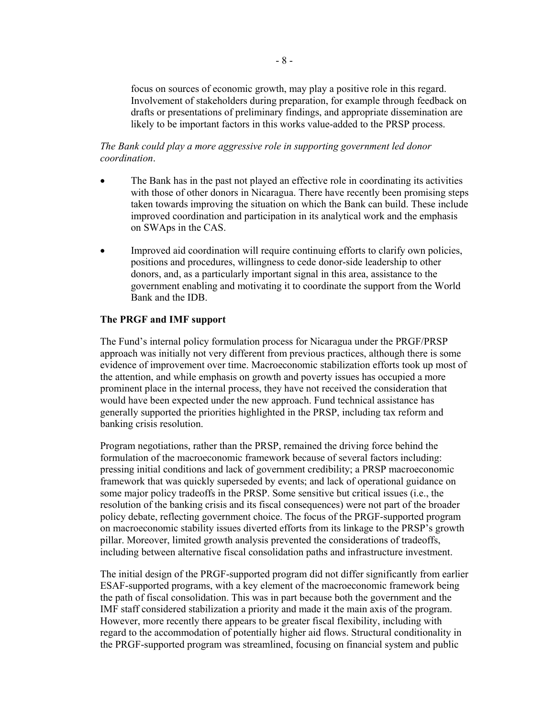focus on sources of economic growth, may play a positive role in this regard. Involvement of stakeholders during preparation, for example through feedback on drafts or presentations of preliminary findings, and appropriate dissemination are likely to be important factors in this works value-added to the PRSP process.

#### *The Bank could play a more aggressive role in supporting government led donor coordination*.

- The Bank has in the past not played an effective role in coordinating its activities with those of other donors in Nicaragua. There have recently been promising steps taken towards improving the situation on which the Bank can build. These include improved coordination and participation in its analytical work and the emphasis on SWAps in the CAS.
- Improved aid coordination will require continuing efforts to clarify own policies, positions and procedures, willingness to cede donor-side leadership to other donors, and, as a particularly important signal in this area, assistance to the government enabling and motivating it to coordinate the support from the World Bank and the IDB.

### **The PRGF and IMF support**

The Fund's internal policy formulation process for Nicaragua under the PRGF/PRSP approach was initially not very different from previous practices, although there is some evidence of improvement over time. Macroeconomic stabilization efforts took up most of the attention, and while emphasis on growth and poverty issues has occupied a more prominent place in the internal process, they have not received the consideration that would have been expected under the new approach. Fund technical assistance has generally supported the priorities highlighted in the PRSP, including tax reform and banking crisis resolution.

Program negotiations, rather than the PRSP, remained the driving force behind the formulation of the macroeconomic framework because of several factors including: pressing initial conditions and lack of government credibility; a PRSP macroeconomic framework that was quickly superseded by events; and lack of operational guidance on some major policy tradeoffs in the PRSP. Some sensitive but critical issues (i.e., the resolution of the banking crisis and its fiscal consequences) were not part of the broader policy debate, reflecting government choice. The focus of the PRGF-supported program on macroeconomic stability issues diverted efforts from its linkage to the PRSP's growth pillar. Moreover, limited growth analysis prevented the considerations of tradeoffs, including between alternative fiscal consolidation paths and infrastructure investment.

The initial design of the PRGF-supported program did not differ significantly from earlier ESAF-supported programs, with a key element of the macroeconomic framework being the path of fiscal consolidation. This was in part because both the government and the IMF staff considered stabilization a priority and made it the main axis of the program. However, more recently there appears to be greater fiscal flexibility, including with regard to the accommodation of potentially higher aid flows. Structural conditionality in the PRGF-supported program was streamlined, focusing on financial system and public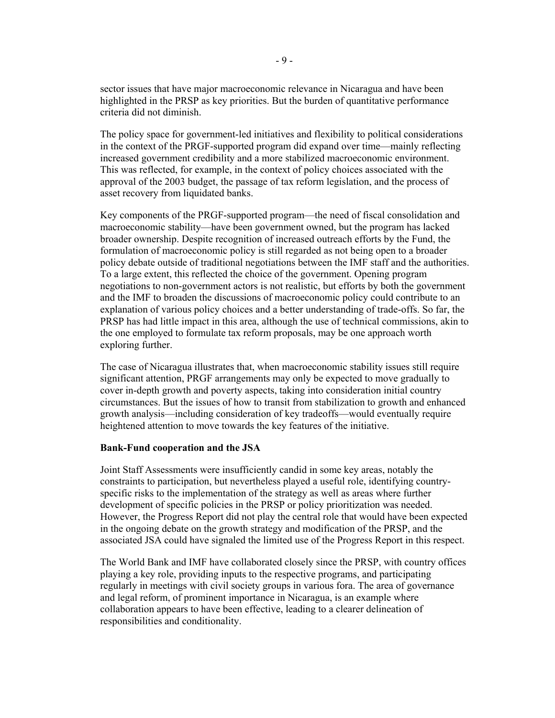sector issues that have major macroeconomic relevance in Nicaragua and have been highlighted in the PRSP as key priorities. But the burden of quantitative performance criteria did not diminish.

The policy space for government-led initiatives and flexibility to political considerations in the context of the PRGF-supported program did expand over time—mainly reflecting increased government credibility and a more stabilized macroeconomic environment. This was reflected, for example, in the context of policy choices associated with the approval of the 2003 budget, the passage of tax reform legislation, and the process of asset recovery from liquidated banks.

Key components of the PRGF-supported program—the need of fiscal consolidation and macroeconomic stability—have been government owned, but the program has lacked broader ownership. Despite recognition of increased outreach efforts by the Fund, the formulation of macroeconomic policy is still regarded as not being open to a broader policy debate outside of traditional negotiations between the IMF staff and the authorities. To a large extent, this reflected the choice of the government. Opening program negotiations to non-government actors is not realistic, but efforts by both the government and the IMF to broaden the discussions of macroeconomic policy could contribute to an explanation of various policy choices and a better understanding of trade-offs. So far, the PRSP has had little impact in this area, although the use of technical commissions, akin to the one employed to formulate tax reform proposals, may be one approach worth exploring further.

The case of Nicaragua illustrates that, when macroeconomic stability issues still require significant attention, PRGF arrangements may only be expected to move gradually to cover in-depth growth and poverty aspects, taking into consideration initial country circumstances. But the issues of how to transit from stabilization to growth and enhanced growth analysis—including consideration of key tradeoffs—would eventually require heightened attention to move towards the key features of the initiative.

#### **Bank-Fund cooperation and the JSA**

Joint Staff Assessments were insufficiently candid in some key areas, notably the constraints to participation, but nevertheless played a useful role, identifying countryspecific risks to the implementation of the strategy as well as areas where further development of specific policies in the PRSP or policy prioritization was needed. However, the Progress Report did not play the central role that would have been expected in the ongoing debate on the growth strategy and modification of the PRSP, and the associated JSA could have signaled the limited use of the Progress Report in this respect.

The World Bank and IMF have collaborated closely since the PRSP, with country offices playing a key role, providing inputs to the respective programs, and participating regularly in meetings with civil society groups in various fora. The area of governance and legal reform, of prominent importance in Nicaragua, is an example where collaboration appears to have been effective, leading to a clearer delineation of responsibilities and conditionality.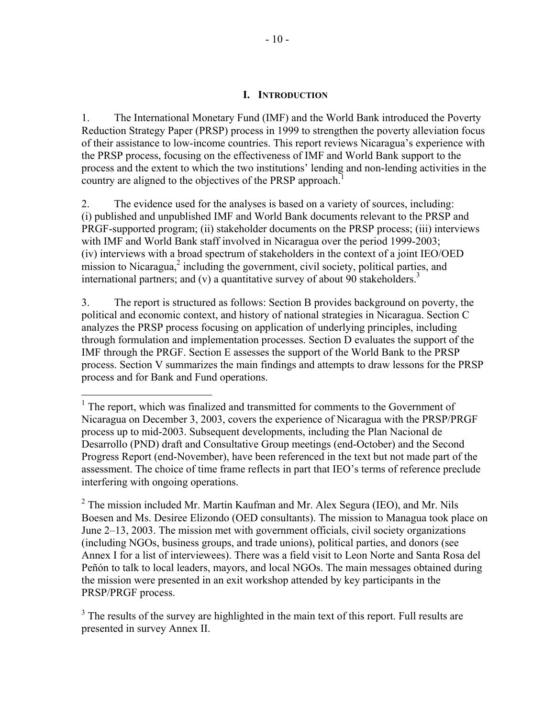### **I. INTRODUCTION**

1. The International Monetary Fund (IMF) and the World Bank introduced the Poverty Reduction Strategy Paper (PRSP) process in 1999 to strengthen the poverty alleviation focus of their assistance to low-income countries. This report reviews Nicaragua's experience with the PRSP process, focusing on the effectiveness of IMF and World Bank support to the process and the extent to which the two institutions' lending and non-lending activities in the country are aligned to the objectives of the PRSP approach.

2. The evidence used for the analyses is based on a variety of sources, including: (i) published and unpublished IMF and World Bank documents relevant to the PRSP and PRGF-supported program; (ii) stakeholder documents on the PRSP process; (iii) interviews with IMF and World Bank staff involved in Nicaragua over the period 1999-2003; (iv) interviews with a broad spectrum of stakeholders in the context of a joint IEO/OED mission to Nicaragua, $2$  including the government, civil society, political parties, and international partners; and (v) a quantitative survey of about 90 stakeholders.<sup>3</sup>

3. The report is structured as follows: Section B provides background on poverty, the political and economic context, and history of national strategies in Nicaragua. Section C analyzes the PRSP process focusing on application of underlying principles, including through formulation and implementation processes. Section D evaluates the support of the IMF through the PRGF. Section E assesses the support of the World Bank to the PRSP process. Section V summarizes the main findings and attempts to draw lessons for the PRSP process and for Bank and Fund operations.

<sup>&</sup>lt;sup>1</sup> The report, which was finalized and transmitted for comments to the Government of Nicaragua on December 3, 2003, covers the experience of Nicaragua with the PRSP/PRGF process up to mid-2003. Subsequent developments, including the Plan Nacional de Desarrollo (PND) draft and Consultative Group meetings (end-October) and the Second Progress Report (end-November), have been referenced in the text but not made part of the assessment. The choice of time frame reflects in part that IEO's terms of reference preclude interfering with ongoing operations.

<sup>&</sup>lt;sup>2</sup> The mission included Mr. Martin Kaufman and Mr. Alex Segura (IEO), and Mr. Nils Boesen and Ms. Desiree Elizondo (OED consultants). The mission to Managua took place on June 2–13, 2003. The mission met with government officials, civil society organizations (including NGOs, business groups, and trade unions), political parties, and donors (see Annex I for a list of interviewees). There was a field visit to Leon Norte and Santa Rosa del Peñón to talk to local leaders, mayors, and local NGOs. The main messages obtained during the mission were presented in an exit workshop attended by key participants in the PRSP/PRGF process.

 $3$  The results of the survey are highlighted in the main text of this report. Full results are presented in survey Annex II.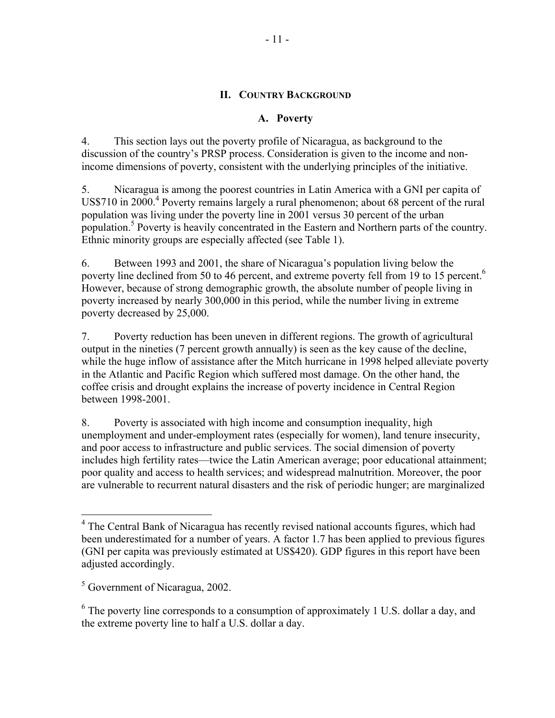### **II. COUNTRY BACKGROUND**

### **A. Poverty**

4. This section lays out the poverty profile of Nicaragua, as background to the discussion of the country's PRSP process. Consideration is given to the income and nonincome dimensions of poverty, consistent with the underlying principles of the initiative.

5. Nicaragua is among the poorest countries in Latin America with a GNI per capita of US\$710 in 2000.<sup>4</sup> Poverty remains largely a rural phenomenon; about 68 percent of the rural population was living under the poverty line in 2001 versus 30 percent of the urban population.<sup>5</sup> Poverty is heavily concentrated in the Eastern and Northern parts of the country. Ethnic minority groups are especially affected (see Table 1).

6. Between 1993 and 2001, the share of Nicaragua's population living below the poverty line declined from 50 to 46 percent, and extreme poverty fell from 19 to 15 percent.<sup>6</sup> However, because of strong demographic growth, the absolute number of people living in poverty increased by nearly 300,000 in this period, while the number living in extreme poverty decreased by 25,000.

7. Poverty reduction has been uneven in different regions. The growth of agricultural output in the nineties (7 percent growth annually) is seen as the key cause of the decline, while the huge inflow of assistance after the Mitch hurricane in 1998 helped alleviate poverty in the Atlantic and Pacific Region which suffered most damage. On the other hand, the coffee crisis and drought explains the increase of poverty incidence in Central Region between 1998-2001.

8. Poverty is associated with high income and consumption inequality, high unemployment and under-employment rates (especially for women), land tenure insecurity, and poor access to infrastructure and public services. The social dimension of poverty includes high fertility rates—twice the Latin American average; poor educational attainment; poor quality and access to health services; and widespread malnutrition. Moreover, the poor are vulnerable to recurrent natural disasters and the risk of periodic hunger; are marginalized

<sup>&</sup>lt;sup>4</sup> The Central Bank of Nicaragua has recently revised national accounts figures, which had been underestimated for a number of years. A factor 1.7 has been applied to previous figures (GNI per capita was previously estimated at US\$420). GDP figures in this report have been adjusted accordingly.

<sup>&</sup>lt;sup>5</sup> Government of Nicaragua, 2002.

<sup>&</sup>lt;sup>6</sup> The poverty line corresponds to a consumption of approximately 1 U.S. dollar a day, and the extreme poverty line to half a U.S. dollar a day.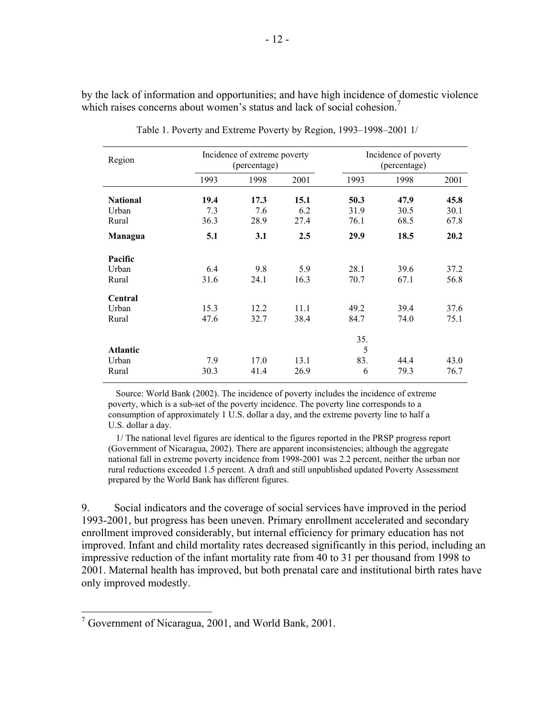by the lack of information and opportunities; and have high incidence of domestic violence which raises concerns about women's status and lack of social cohesion.<sup>7</sup>

| Region          | Incidence of extreme poverty<br>(percentage) |      |      | Incidence of poverty<br>(percentage) |      |      |
|-----------------|----------------------------------------------|------|------|--------------------------------------|------|------|
|                 | 1993                                         | 1998 | 2001 | 1993                                 | 1998 | 2001 |
| <b>National</b> | 19.4                                         | 17.3 | 15.1 | 50.3                                 | 47.9 | 45.8 |
| Urban           | 7.3                                          | 7.6  | 6.2  | 31.9                                 | 30.5 | 30.1 |
| Rural           | 36.3                                         | 28.9 | 27.4 | 76.1                                 | 68.5 | 67.8 |
| Managua         | 5.1                                          | 3.1  | 2.5  | 29.9                                 | 18.5 | 20.2 |
| Pacific         |                                              |      |      |                                      |      |      |
| Urban           | 6.4                                          | 9.8  | 5.9  | 28.1                                 | 39.6 | 37.2 |
| Rural           | 31.6                                         | 24.1 | 16.3 | 70.7                                 | 67.1 | 56.8 |
| Central         |                                              |      |      |                                      |      |      |
| Urban           | 15.3                                         | 12.2 | 11.1 | 49.2                                 | 39.4 | 37.6 |
| Rural           | 47.6                                         | 32.7 | 38.4 | 84.7                                 | 74.0 | 75.1 |
|                 |                                              |      |      | 35.                                  |      |      |
| <b>Atlantic</b> |                                              |      |      | 5                                    |      |      |
| Urban           | 7.9                                          | 17.0 | 13.1 | 83.                                  | 44.4 | 43.0 |
| Rural           | 30.3                                         | 41.4 | 26.9 | 6                                    | 79.3 | 76.7 |

Table 1. Poverty and Extreme Poverty by Region, 1993–1998–2001 1/

Source: World Bank (2002). The incidence of poverty includes the incidence of extreme poverty, which is a sub-set of the poverty incidence. The poverty line corresponds to a consumption of approximately 1 U.S. dollar a day, and the extreme poverty line to half a U.S. dollar a day.

1/ The national level figures are identical to the figures reported in the PRSP progress report (Government of Nicaragua, 2002). There are apparent inconsistencies; although the aggregate national fall in extreme poverty incidence from 1998-2001 was 2.2 percent, neither the urban nor rural reductions exceeded 1.5 percent. A draft and still unpublished updated Poverty Assessment prepared by the World Bank has different figures.

9. Social indicators and the coverage of social services have improved in the period 1993-2001, but progress has been uneven. Primary enrollment accelerated and secondary enrollment improved considerably, but internal efficiency for primary education has not improved. Infant and child mortality rates decreased significantly in this period, including an impressive reduction of the infant mortality rate from 40 to 31 per thousand from 1998 to 2001. Maternal health has improved, but both prenatal care and institutional birth rates have only improved modestly.

<sup>&</sup>lt;sup>7</sup> Government of Nicaragua, 2001, and World Bank, 2001.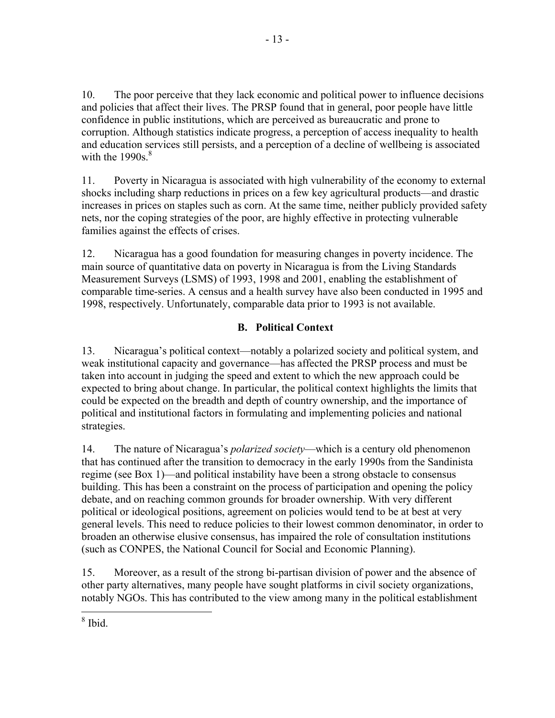10. The poor perceive that they lack economic and political power to influence decisions and policies that affect their lives. The PRSP found that in general, poor people have little confidence in public institutions, which are perceived as bureaucratic and prone to corruption. Although statistics indicate progress, a perception of access inequality to health and education services still persists, and a perception of a decline of wellbeing is associated with the  $1990s.<sup>8</sup>$ 

11. Poverty in Nicaragua is associated with high vulnerability of the economy to external shocks including sharp reductions in prices on a few key agricultural products—and drastic increases in prices on staples such as corn. At the same time, neither publicly provided safety nets, nor the coping strategies of the poor, are highly effective in protecting vulnerable families against the effects of crises.

12. Nicaragua has a good foundation for measuring changes in poverty incidence. The main source of quantitative data on poverty in Nicaragua is from the Living Standards Measurement Surveys (LSMS) of 1993, 1998 and 2001, enabling the establishment of comparable time-series. A census and a health survey have also been conducted in 1995 and 1998, respectively. Unfortunately, comparable data prior to 1993 is not available.

## **B. Political Context**

13. Nicaragua's political context—notably a polarized society and political system, and weak institutional capacity and governance—has affected the PRSP process and must be taken into account in judging the speed and extent to which the new approach could be expected to bring about change. In particular, the political context highlights the limits that could be expected on the breadth and depth of country ownership, and the importance of political and institutional factors in formulating and implementing policies and national strategies.

14. The nature of Nicaragua's *polarized society*—which is a century old phenomenon that has continued after the transition to democracy in the early 1990s from the Sandinista regime (see Box 1)—and political instability have been a strong obstacle to consensus building. This has been a constraint on the process of participation and opening the policy debate, and on reaching common grounds for broader ownership. With very different political or ideological positions, agreement on policies would tend to be at best at very general levels. This need to reduce policies to their lowest common denominator, in order to broaden an otherwise elusive consensus, has impaired the role of consultation institutions (such as CONPES, the National Council for Social and Economic Planning).

15. Moreover, as a result of the strong bi-partisan division of power and the absence of other party alternatives, many people have sought platforms in civil society organizations, notably NGOs. This has contributed to the view among many in the political establishment

 $\overline{a}$ 8 Ibid.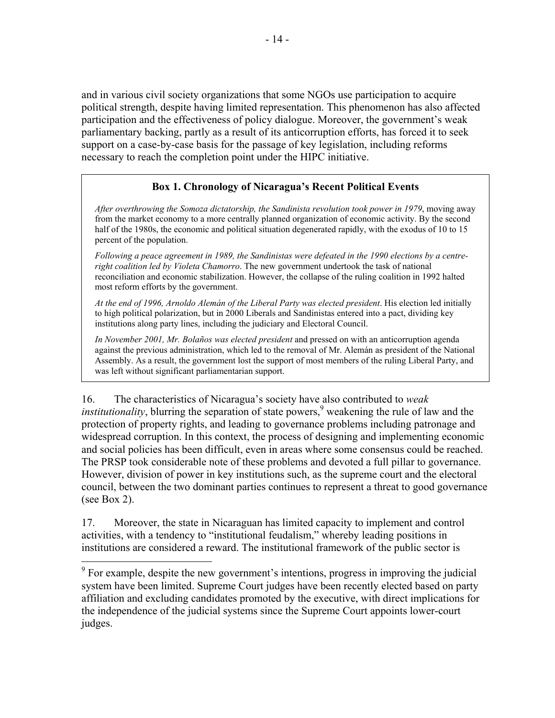and in various civil society organizations that some NGOs use participation to acquire political strength, despite having limited representation. This phenomenon has also affected participation and the effectiveness of policy dialogue. Moreover, the government's weak parliamentary backing, partly as a result of its anticorruption efforts, has forced it to seek support on a case-by-case basis for the passage of key legislation, including reforms necessary to reach the completion point under the HIPC initiative.

## **Box 1. Chronology of Nicaragua's Recent Political Events**

*After overthrowing the Somoza dictatorship, the Sandinista revolution took power in 1979*, moving away from the market economy to a more centrally planned organization of economic activity. By the second half of the 1980s, the economic and political situation degenerated rapidly, with the exodus of 10 to 15 percent of the population.

*Following a peace agreement in 1989, the Sandinistas were defeated in the 1990 elections by a centreright coalition led by Violeta Chamorro*. The new government undertook the task of national reconciliation and economic stabilization. However, the collapse of the ruling coalition in 1992 halted most reform efforts by the government.

*At the end of 1996, Arnoldo Alemán of the Liberal Party was elected president*. His election led initially to high political polarization, but in 2000 Liberals and Sandinistas entered into a pact, dividing key institutions along party lines, including the judiciary and Electoral Council.

*In November 2001, Mr. Bolaños was elected president* and pressed on with an anticorruption agenda against the previous administration, which led to the removal of Mr. Alemán as president of the National Assembly. As a result, the government lost the support of most members of the ruling Liberal Party, and was left without significant parliamentarian support.

16. The characteristics of Nicaragua's society have also contributed to *weak institutionality*, blurring the separation of state powers,<sup>9</sup> weakening the rule of law and the protection of property rights, and leading to governance problems including patronage and widespread corruption. In this context, the process of designing and implementing economic and social policies has been difficult, even in areas where some consensus could be reached. The PRSP took considerable note of these problems and devoted a full pillar to governance. However, division of power in key institutions such, as the supreme court and the electoral council, between the two dominant parties continues to represent a threat to good governance (see Box 2).

17. Moreover, the state in Nicaraguan has limited capacity to implement and control activities, with a tendency to "institutional feudalism," whereby leading positions in institutions are considered a reward. The institutional framework of the public sector is

 $9^9$  For example, despite the new government's intentions, progress in improving the judicial system have been limited. Supreme Court judges have been recently elected based on party affiliation and excluding candidates promoted by the executive, with direct implications for the independence of the judicial systems since the Supreme Court appoints lower-court judges.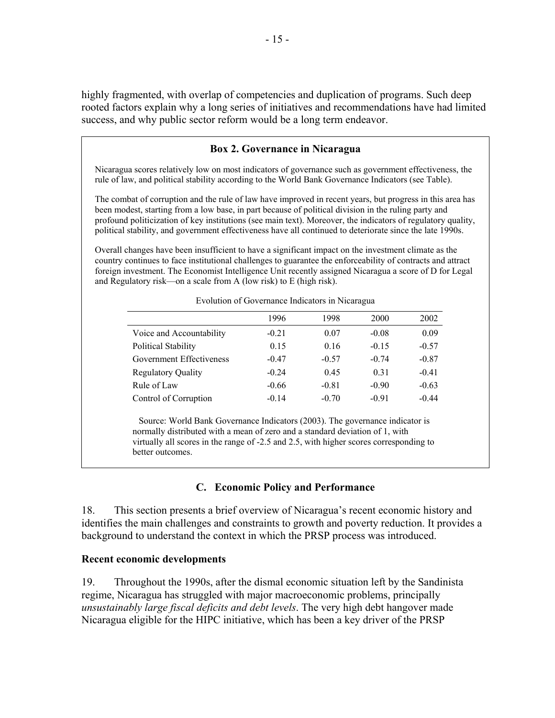highly fragmented, with overlap of competencies and duplication of programs. Such deep rooted factors explain why a long series of initiatives and recommendations have had limited success, and why public sector reform would be a long term endeavor.

#### **Box 2. Governance in Nicaragua**

Nicaragua scores relatively low on most indicators of governance such as government effectiveness, the rule of law, and political stability according to the World Bank Governance Indicators (see Table).

The combat of corruption and the rule of law have improved in recent years, but progress in this area has been modest, starting from a low base, in part because of political division in the ruling party and profound politicization of key institutions (see main text). Moreover, the indicators of regulatory quality, political stability, and government effectiveness have all continued to deteriorate since the late 1990s.

Overall changes have been insufficient to have a significant impact on the investment climate as the country continues to face institutional challenges to guarantee the enforceability of contracts and attract foreign investment. The Economist Intelligence Unit recently assigned Nicaragua a score of D for Legal and Regulatory risk—on a scale from A (low risk) to E (high risk).

|                            | 1996    | 1998    | 2000    | 2002    |
|----------------------------|---------|---------|---------|---------|
| Voice and Accountability   | $-0.21$ | 0.07    | $-0.08$ | 0.09    |
| <b>Political Stability</b> | 0.15    | 0.16    | $-0.15$ | $-0.57$ |
| Government Effectiveness   | $-0.47$ | $-0.57$ | $-0.74$ | $-0.87$ |
| <b>Regulatory Quality</b>  | $-0.24$ | 0.45    | 0.31    | $-0.41$ |
| Rule of Law                | $-0.66$ | $-0.81$ | $-0.90$ | $-0.63$ |
| Control of Corruption      | $-0.14$ | $-0.70$ | $-0.91$ | $-0.44$ |
|                            |         |         |         |         |

Evolution of Governance Indicators in Nicaragua

Source: World Bank Governance Indicators (2003). The governance indicator is normally distributed with a mean of zero and a standard deviation of 1, with virtually all scores in the range of -2.5 and 2.5, with higher scores corresponding to better outcomes.

#### **C. Economic Policy and Performance**

18. This section presents a brief overview of Nicaragua's recent economic history and identifies the main challenges and constraints to growth and poverty reduction. It provides a background to understand the context in which the PRSP process was introduced.

#### **Recent economic developments**

19. Throughout the 1990s, after the dismal economic situation left by the Sandinista regime, Nicaragua has struggled with major macroeconomic problems, principally *unsustainably large fiscal deficits and debt levels*. The very high debt hangover made Nicaragua eligible for the HIPC initiative, which has been a key driver of the PRSP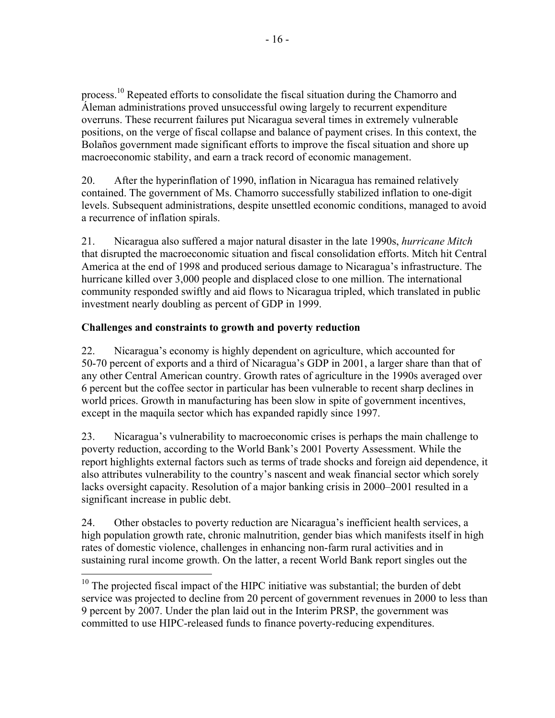process.10 Repeated efforts to consolidate the fiscal situation during the Chamorro and Áleman administrations proved unsuccessful owing largely to recurrent expenditure overruns. These recurrent failures put Nicaragua several times in extremely vulnerable positions, on the verge of fiscal collapse and balance of payment crises. In this context, the Bolaños government made significant efforts to improve the fiscal situation and shore up macroeconomic stability, and earn a track record of economic management.

20. After the hyperinflation of 1990, inflation in Nicaragua has remained relatively contained. The government of Ms. Chamorro successfully stabilized inflation to one-digit levels. Subsequent administrations, despite unsettled economic conditions, managed to avoid a recurrence of inflation spirals.

21. Nicaragua also suffered a major natural disaster in the late 1990s, *hurricane Mitch* that disrupted the macroeconomic situation and fiscal consolidation efforts. Mitch hit Central America at the end of 1998 and produced serious damage to Nicaragua's infrastructure. The hurricane killed over 3,000 people and displaced close to one million. The international community responded swiftly and aid flows to Nicaragua tripled, which translated in public investment nearly doubling as percent of GDP in 1999.

## **Challenges and constraints to growth and poverty reduction**

22. Nicaragua's economy is highly dependent on agriculture, which accounted for 50-70 percent of exports and a third of Nicaragua's GDP in 2001, a larger share than that of any other Central American country. Growth rates of agriculture in the 1990s averaged over 6 percent but the coffee sector in particular has been vulnerable to recent sharp declines in world prices. Growth in manufacturing has been slow in spite of government incentives, except in the maquila sector which has expanded rapidly since 1997.

23. Nicaragua's vulnerability to macroeconomic crises is perhaps the main challenge to poverty reduction, according to the World Bank's 2001 Poverty Assessment. While the report highlights external factors such as terms of trade shocks and foreign aid dependence, it also attributes vulnerability to the country's nascent and weak financial sector which sorely lacks oversight capacity. Resolution of a major banking crisis in 2000–2001 resulted in a significant increase in public debt.

24. Other obstacles to poverty reduction are Nicaragua's inefficient health services, a high population growth rate, chronic malnutrition, gender bias which manifests itself in high rates of domestic violence, challenges in enhancing non-farm rural activities and in sustaining rural income growth. On the latter, a recent World Bank report singles out the

<sup>1</sup>  $10$  The projected fiscal impact of the HIPC initiative was substantial; the burden of debt service was projected to decline from 20 percent of government revenues in 2000 to less than 9 percent by 2007. Under the plan laid out in the Interim PRSP, the government was committed to use HIPC-released funds to finance poverty-reducing expenditures.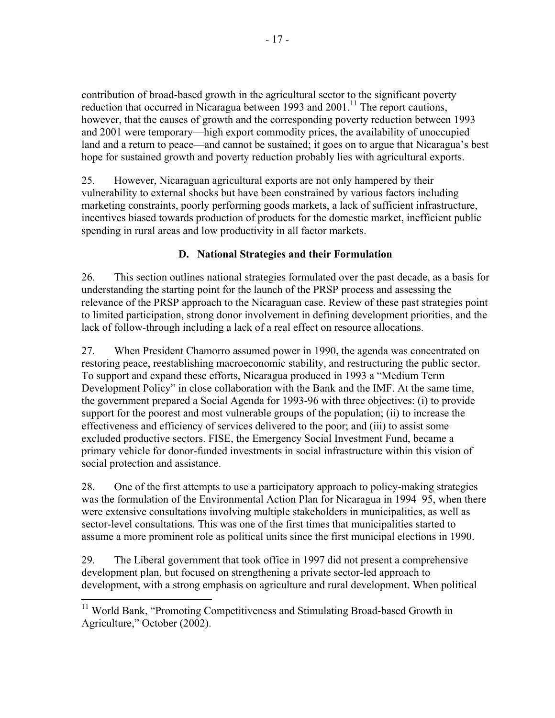contribution of broad-based growth in the agricultural sector to the significant poverty reduction that occurred in Nicaragua between 1993 and  $2001$ .<sup>11</sup> The report cautions, however, that the causes of growth and the corresponding poverty reduction between 1993 and 2001 were temporary—high export commodity prices, the availability of unoccupied land and a return to peace—and cannot be sustained; it goes on to argue that Nicaragua's best hope for sustained growth and poverty reduction probably lies with agricultural exports.

25. However, Nicaraguan agricultural exports are not only hampered by their vulnerability to external shocks but have been constrained by various factors including marketing constraints, poorly performing goods markets, a lack of sufficient infrastructure, incentives biased towards production of products for the domestic market, inefficient public spending in rural areas and low productivity in all factor markets.

## **D. National Strategies and their Formulation**

26. This section outlines national strategies formulated over the past decade, as a basis for understanding the starting point for the launch of the PRSP process and assessing the relevance of the PRSP approach to the Nicaraguan case. Review of these past strategies point to limited participation, strong donor involvement in defining development priorities, and the lack of follow-through including a lack of a real effect on resource allocations.

27. When President Chamorro assumed power in 1990, the agenda was concentrated on restoring peace, reestablishing macroeconomic stability, and restructuring the public sector. To support and expand these efforts, Nicaragua produced in 1993 a "Medium Term Development Policy" in close collaboration with the Bank and the IMF. At the same time, the government prepared a Social Agenda for 1993-96 with three objectives: (i) to provide support for the poorest and most vulnerable groups of the population; (ii) to increase the effectiveness and efficiency of services delivered to the poor; and (iii) to assist some excluded productive sectors. FISE, the Emergency Social Investment Fund, became a primary vehicle for donor-funded investments in social infrastructure within this vision of social protection and assistance.

28. One of the first attempts to use a participatory approach to policy-making strategies was the formulation of the Environmental Action Plan for Nicaragua in 1994–95, when there were extensive consultations involving multiple stakeholders in municipalities, as well as sector-level consultations. This was one of the first times that municipalities started to assume a more prominent role as political units since the first municipal elections in 1990.

29. The Liberal government that took office in 1997 did not present a comprehensive development plan, but focused on strengthening a private sector-led approach to development, with a strong emphasis on agriculture and rural development. When political

<sup>&</sup>lt;sup>11</sup> World Bank, "Promoting Competitiveness and Stimulating Broad-based Growth in Agriculture," October (2002).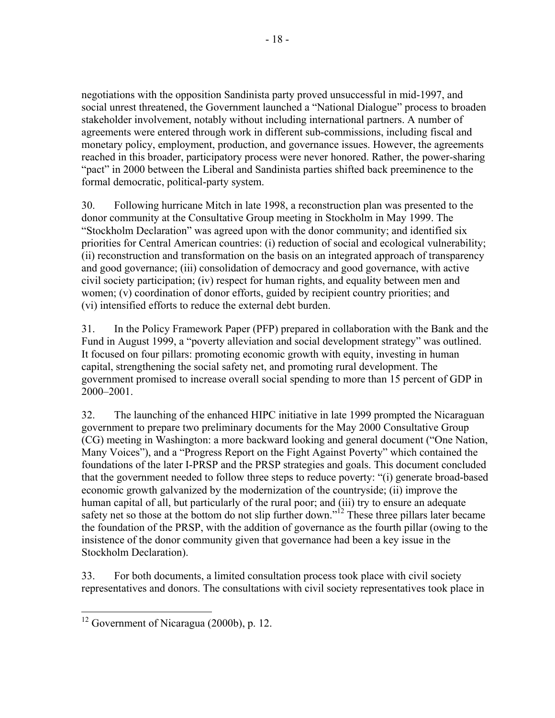negotiations with the opposition Sandinista party proved unsuccessful in mid-1997, and social unrest threatened, the Government launched a "National Dialogue" process to broaden stakeholder involvement, notably without including international partners. A number of agreements were entered through work in different sub-commissions, including fiscal and monetary policy, employment, production, and governance issues. However, the agreements reached in this broader, participatory process were never honored. Rather, the power-sharing "pact" in 2000 between the Liberal and Sandinista parties shifted back preeminence to the formal democratic, political-party system.

30. Following hurricane Mitch in late 1998, a reconstruction plan was presented to the donor community at the Consultative Group meeting in Stockholm in May 1999. The "Stockholm Declaration" was agreed upon with the donor community; and identified six priorities for Central American countries: (i) reduction of social and ecological vulnerability; (ii) reconstruction and transformation on the basis on an integrated approach of transparency and good governance; (iii) consolidation of democracy and good governance, with active civil society participation; (iv) respect for human rights, and equality between men and women; (v) coordination of donor efforts, guided by recipient country priorities; and (vi) intensified efforts to reduce the external debt burden.

31. In the Policy Framework Paper (PFP) prepared in collaboration with the Bank and the Fund in August 1999, a "poverty alleviation and social development strategy" was outlined. It focused on four pillars: promoting economic growth with equity, investing in human capital, strengthening the social safety net, and promoting rural development. The government promised to increase overall social spending to more than 15 percent of GDP in 2000–2001.

32. The launching of the enhanced HIPC initiative in late 1999 prompted the Nicaraguan government to prepare two preliminary documents for the May 2000 Consultative Group (CG) meeting in Washington: a more backward looking and general document ("One Nation, Many Voices"), and a "Progress Report on the Fight Against Poverty" which contained the foundations of the later I-PRSP and the PRSP strategies and goals. This document concluded that the government needed to follow three steps to reduce poverty: "(i) generate broad-based economic growth galvanized by the modernization of the countryside; (ii) improve the human capital of all, but particularly of the rural poor; and (iii) try to ensure an adequate safety net so those at the bottom do not slip further down."<sup>12</sup> These three pillars later became the foundation of the PRSP, with the addition of governance as the fourth pillar (owing to the insistence of the donor community given that governance had been a key issue in the Stockholm Declaration).

33. For both documents, a limited consultation process took place with civil society representatives and donors. The consultations with civil society representatives took place in

 $\overline{a}$  $12$  Government of Nicaragua (2000b), p. 12.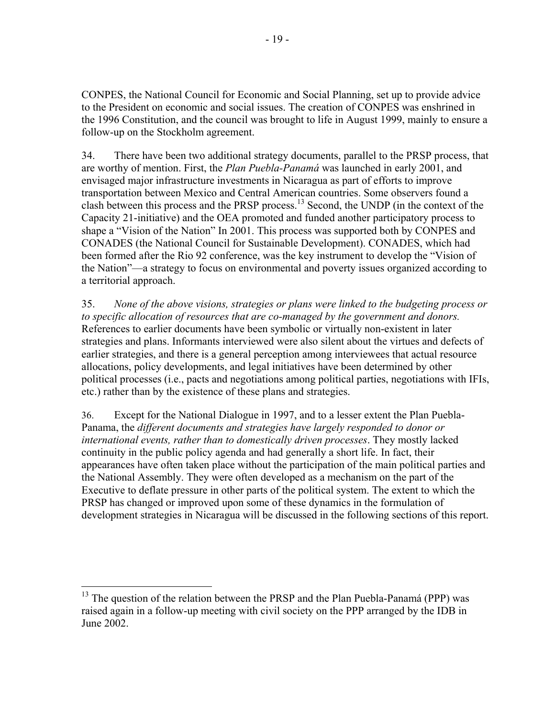CONPES, the National Council for Economic and Social Planning, set up to provide advice to the President on economic and social issues. The creation of CONPES was enshrined in the 1996 Constitution, and the council was brought to life in August 1999, mainly to ensure a follow-up on the Stockholm agreement.

34. There have been two additional strategy documents, parallel to the PRSP process, that are worthy of mention. First, the *Plan Puebla-Panamá* was launched in early 2001, and envisaged major infrastructure investments in Nicaragua as part of efforts to improve transportation between Mexico and Central American countries. Some observers found a clash between this process and the PRSP process.13 Second, the UNDP (in the context of the Capacity 21-initiative) and the OEA promoted and funded another participatory process to shape a "Vision of the Nation" In 2001. This process was supported both by CONPES and CONADES (the National Council for Sustainable Development). CONADES, which had been formed after the Rio 92 conference, was the key instrument to develop the "Vision of the Nation"—a strategy to focus on environmental and poverty issues organized according to a territorial approach.

35. *None of the above visions, strategies or plans were linked to the budgeting process or to specific allocation of resources that are co-managed by the government and donors.* References to earlier documents have been symbolic or virtually non-existent in later strategies and plans. Informants interviewed were also silent about the virtues and defects of earlier strategies, and there is a general perception among interviewees that actual resource allocations, policy developments, and legal initiatives have been determined by other political processes (i.e., pacts and negotiations among political parties, negotiations with IFIs, etc.) rather than by the existence of these plans and strategies.

36. Except for the National Dialogue in 1997, and to a lesser extent the Plan Puebla-Panama, the *different documents and strategies have largely responded to donor or international events, rather than to domestically driven processes*. They mostly lacked continuity in the public policy agenda and had generally a short life. In fact, their appearances have often taken place without the participation of the main political parties and the National Assembly. They were often developed as a mechanism on the part of the Executive to deflate pressure in other parts of the political system. The extent to which the PRSP has changed or improved upon some of these dynamics in the formulation of development strategies in Nicaragua will be discussed in the following sections of this report.

 $13$  The question of the relation between the PRSP and the Plan Puebla-Panamá (PPP) was raised again in a follow-up meeting with civil society on the PPP arranged by the IDB in June 2002.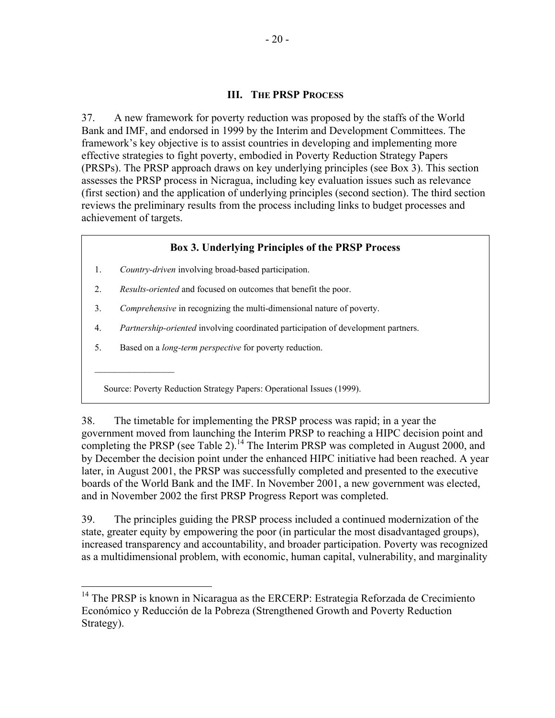### **III. THE PRSP PROCESS**

37. A new framework for poverty reduction was proposed by the staffs of the World Bank and IMF, and endorsed in 1999 by the Interim and Development Committees. The framework's key objective is to assist countries in developing and implementing more effective strategies to fight poverty, embodied in Poverty Reduction Strategy Papers (PRSPs). The PRSP approach draws on key underlying principles (see Box 3). This section assesses the PRSP process in Nicragua, including key evaluation issues such as relevance (first section) and the application of underlying principles (second section). The third section reviews the preliminary results from the process including links to budget processes and achievement of targets.

### **Box 3. Underlying Principles of the PRSP Process**

- 1. *Country-driven* involving broad-based participation.
- 2. *Results-oriented* and focused on outcomes that benefit the poor.
- 3. *Comprehensive* in recognizing the multi-dimensional nature of poverty.
- 4. *Partnership-oriented* involving coordinated participation of development partners.
- 5. Based on a *long-term perspective* for poverty reduction.

 $\mathcal{L}_\text{max}$ 

 $\overline{a}$ 

Source: Poverty Reduction Strategy Papers: Operational Issues (1999).

38. The timetable for implementing the PRSP process was rapid; in a year the government moved from launching the Interim PRSP to reaching a HIPC decision point and completing the PRSP (see Table  $2$ ).<sup>14</sup> The Interim PRSP was completed in August 2000, and by December the decision point under the enhanced HIPC initiative had been reached. A year later, in August 2001, the PRSP was successfully completed and presented to the executive boards of the World Bank and the IMF. In November 2001, a new government was elected, and in November 2002 the first PRSP Progress Report was completed.

39. The principles guiding the PRSP process included a continued modernization of the state, greater equity by empowering the poor (in particular the most disadvantaged groups), increased transparency and accountability, and broader participation. Poverty was recognized as a multidimensional problem, with economic, human capital, vulnerability, and marginality

<sup>&</sup>lt;sup>14</sup> The PRSP is known in Nicaragua as the ERCERP: Estrategia Reforzada de Crecimiento Económico y Reducción de la Pobreza (Strengthened Growth and Poverty Reduction Strategy).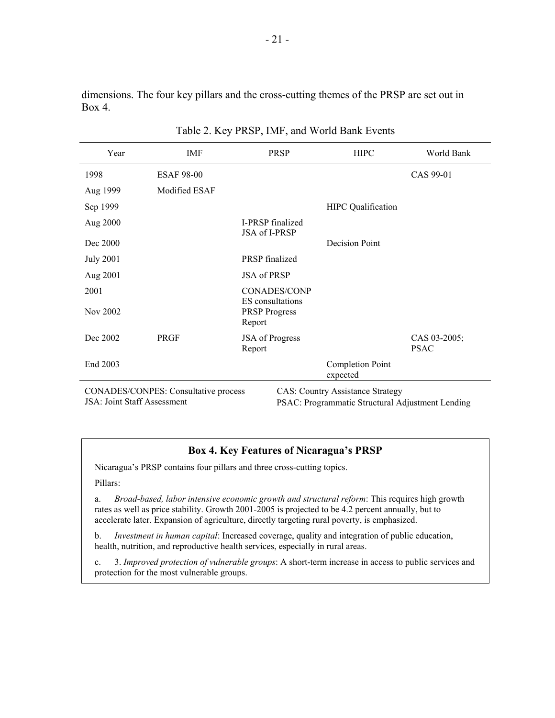dimensions. The four key pillars and the cross-cutting themes of the PRSP are set out in Box 4.

| Year                                                                                                                                                                      | IMF               | <b>PRSP</b>                              | <b>HIPC</b>                         | World Bank                  |  |
|---------------------------------------------------------------------------------------------------------------------------------------------------------------------------|-------------------|------------------------------------------|-------------------------------------|-----------------------------|--|
| 1998                                                                                                                                                                      | <b>ESAF 98-00</b> |                                          |                                     | CAS 99-01                   |  |
| Aug 1999                                                                                                                                                                  | Modified ESAF     |                                          |                                     |                             |  |
| Sep 1999                                                                                                                                                                  |                   |                                          | <b>HIPC</b> Qualification           |                             |  |
| Aug 2000                                                                                                                                                                  |                   | <b>I-PRSP</b> finalized<br>JSA of I-PRSP |                                     |                             |  |
| Dec 2000                                                                                                                                                                  |                   |                                          | Decision Point                      |                             |  |
| <b>July 2001</b>                                                                                                                                                          |                   | <b>PRSP</b> finalized                    |                                     |                             |  |
| Aug 2001                                                                                                                                                                  |                   | <b>JSA</b> of PRSP                       |                                     |                             |  |
| 2001                                                                                                                                                                      |                   | <b>CONADES/CONP</b><br>ES consultations  |                                     |                             |  |
| Nov 2002                                                                                                                                                                  |                   | <b>PRSP</b> Progress<br>Report           |                                     |                             |  |
| Dec 2002                                                                                                                                                                  | <b>PRGF</b>       | JSA of Progress<br>Report                |                                     | CAS 03-2005;<br><b>PSAC</b> |  |
| End 2003                                                                                                                                                                  |                   |                                          | <b>Completion Point</b><br>expected |                             |  |
| CONADES/CONPES: Consultative process<br><b>CAS: Country Assistance Strategy</b><br><b>JSA: Joint Staff Assessment</b><br>PSAC: Programmatic Structural Adjustment Lending |                   |                                          |                                     |                             |  |

Table 2. Key PRSP, IMF, and World Bank Events

### **Box 4. Key Features of Nicaragua's PRSP**

Nicaragua's PRSP contains four pillars and three cross-cutting topics.

Pillars:

a. *Broad-based, labor intensive economic growth and structural reform*: This requires high growth rates as well as price stability. Growth 2001-2005 is projected to be 4.2 percent annually, but to accelerate later. Expansion of agriculture, directly targeting rural poverty, is emphasized.

b. *Investment in human capital*: Increased coverage, quality and integration of public education, health, nutrition, and reproductive health services, especially in rural areas.

c. 3. *Improved protection of vulnerable groups*: A short-term increase in access to public services and protection for the most vulnerable groups.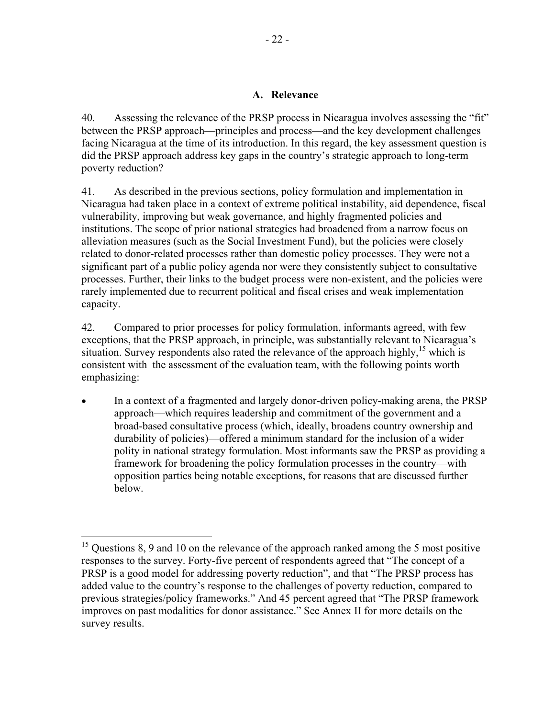### **A. Relevance**

40. Assessing the relevance of the PRSP process in Nicaragua involves assessing the "fit" between the PRSP approach—principles and process—and the key development challenges facing Nicaragua at the time of its introduction. In this regard, the key assessment question is did the PRSP approach address key gaps in the country's strategic approach to long-term poverty reduction?

41. As described in the previous sections, policy formulation and implementation in Nicaragua had taken place in a context of extreme political instability, aid dependence, fiscal vulnerability, improving but weak governance, and highly fragmented policies and institutions. The scope of prior national strategies had broadened from a narrow focus on alleviation measures (such as the Social Investment Fund), but the policies were closely related to donor-related processes rather than domestic policy processes. They were not a significant part of a public policy agenda nor were they consistently subject to consultative processes. Further, their links to the budget process were non-existent, and the policies were rarely implemented due to recurrent political and fiscal crises and weak implementation capacity.

42. Compared to prior processes for policy formulation, informants agreed, with few exceptions, that the PRSP approach, in principle, was substantially relevant to Nicaragua's situation. Survey respondents also rated the relevance of the approach highly,<sup>15</sup> which is consistent with the assessment of the evaluation team, with the following points worth emphasizing:

• In a context of a fragmented and largely donor-driven policy-making arena, the PRSP approach—which requires leadership and commitment of the government and a broad-based consultative process (which, ideally, broadens country ownership and durability of policies)—offered a minimum standard for the inclusion of a wider polity in national strategy formulation. Most informants saw the PRSP as providing a framework for broadening the policy formulation processes in the country—with opposition parties being notable exceptions, for reasons that are discussed further below.

 $15$  Questions 8, 9 and 10 on the relevance of the approach ranked among the 5 most positive responses to the survey. Forty-five percent of respondents agreed that "The concept of a PRSP is a good model for addressing poverty reduction", and that "The PRSP process has added value to the country's response to the challenges of poverty reduction, compared to previous strategies/policy frameworks." And 45 percent agreed that "The PRSP framework improves on past modalities for donor assistance." See Annex II for more details on the survey results.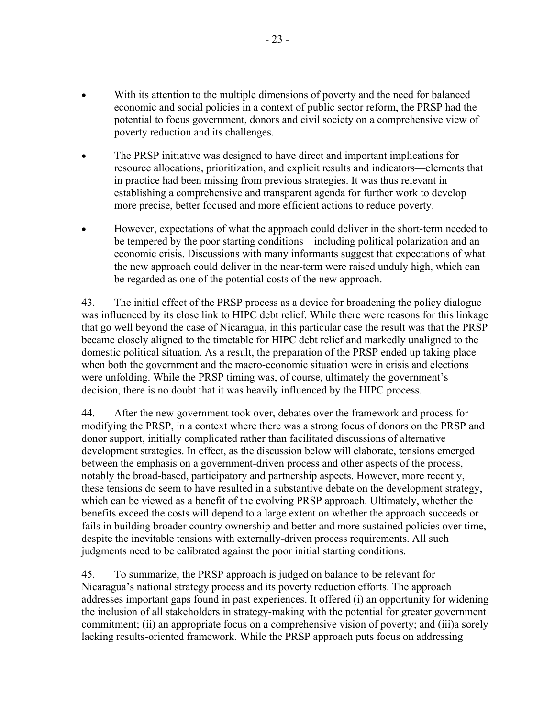- With its attention to the multiple dimensions of poverty and the need for balanced economic and social policies in a context of public sector reform, the PRSP had the potential to focus government, donors and civil society on a comprehensive view of poverty reduction and its challenges.
- The PRSP initiative was designed to have direct and important implications for resource allocations, prioritization, and explicit results and indicators—elements that in practice had been missing from previous strategies. It was thus relevant in establishing a comprehensive and transparent agenda for further work to develop more precise, better focused and more efficient actions to reduce poverty.
- However, expectations of what the approach could deliver in the short-term needed to be tempered by the poor starting conditions—including political polarization and an economic crisis. Discussions with many informants suggest that expectations of what the new approach could deliver in the near-term were raised unduly high, which can be regarded as one of the potential costs of the new approach.

43. The initial effect of the PRSP process as a device for broadening the policy dialogue was influenced by its close link to HIPC debt relief. While there were reasons for this linkage that go well beyond the case of Nicaragua, in this particular case the result was that the PRSP became closely aligned to the timetable for HIPC debt relief and markedly unaligned to the domestic political situation. As a result, the preparation of the PRSP ended up taking place when both the government and the macro-economic situation were in crisis and elections were unfolding. While the PRSP timing was, of course, ultimately the government's decision, there is no doubt that it was heavily influenced by the HIPC process.

44. After the new government took over, debates over the framework and process for modifying the PRSP, in a context where there was a strong focus of donors on the PRSP and donor support, initially complicated rather than facilitated discussions of alternative development strategies. In effect, as the discussion below will elaborate, tensions emerged between the emphasis on a government-driven process and other aspects of the process, notably the broad-based, participatory and partnership aspects. However, more recently, these tensions do seem to have resulted in a substantive debate on the development strategy, which can be viewed as a benefit of the evolving PRSP approach. Ultimately, whether the benefits exceed the costs will depend to a large extent on whether the approach succeeds or fails in building broader country ownership and better and more sustained policies over time, despite the inevitable tensions with externally-driven process requirements. All such judgments need to be calibrated against the poor initial starting conditions.

45. To summarize, the PRSP approach is judged on balance to be relevant for Nicaragua's national strategy process and its poverty reduction efforts. The approach addresses important gaps found in past experiences. It offered (i) an opportunity for widening the inclusion of all stakeholders in strategy-making with the potential for greater government commitment; (ii) an appropriate focus on a comprehensive vision of poverty; and (iii)a sorely lacking results-oriented framework. While the PRSP approach puts focus on addressing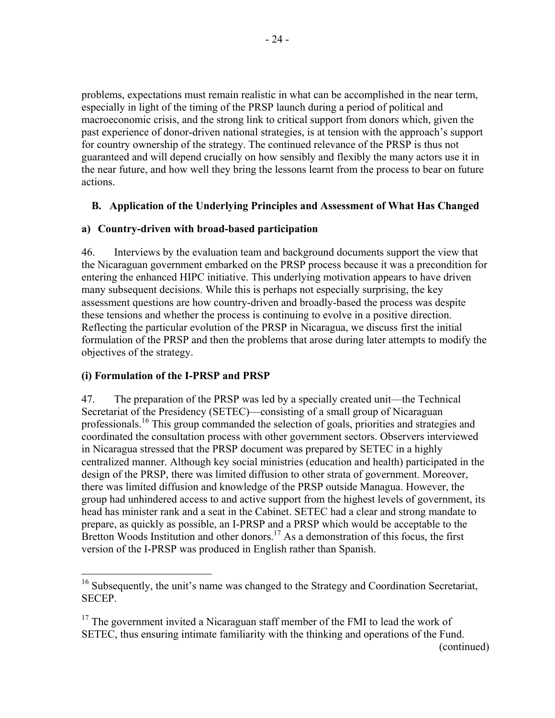problems, expectations must remain realistic in what can be accomplished in the near term, especially in light of the timing of the PRSP launch during a period of political and macroeconomic crisis, and the strong link to critical support from donors which, given the past experience of donor-driven national strategies, is at tension with the approach's support for country ownership of the strategy. The continued relevance of the PRSP is thus not guaranteed and will depend crucially on how sensibly and flexibly the many actors use it in the near future, and how well they bring the lessons learnt from the process to bear on future actions.

## **B. Application of the Underlying Principles and Assessment of What Has Changed**

## **a) Country-driven with broad-based participation**

46. Interviews by the evaluation team and background documents support the view that the Nicaraguan government embarked on the PRSP process because it was a precondition for entering the enhanced HIPC initiative. This underlying motivation appears to have driven many subsequent decisions. While this is perhaps not especially surprising, the key assessment questions are how country-driven and broadly-based the process was despite these tensions and whether the process is continuing to evolve in a positive direction. Reflecting the particular evolution of the PRSP in Nicaragua, we discuss first the initial formulation of the PRSP and then the problems that arose during later attempts to modify the objectives of the strategy.

## **(i) Formulation of the I-PRSP and PRSP**

 $\overline{a}$ 

47. The preparation of the PRSP was led by a specially created unit—the Technical Secretariat of the Presidency (SETEC)—consisting of a small group of Nicaraguan professionals.<sup>16</sup> This group commanded the selection of goals, priorities and strategies and coordinated the consultation process with other government sectors. Observers interviewed in Nicaragua stressed that the PRSP document was prepared by SETEC in a highly centralized manner. Although key social ministries (education and health) participated in the design of the PRSP, there was limited diffusion to other strata of government. Moreover, there was limited diffusion and knowledge of the PRSP outside Managua. However, the group had unhindered access to and active support from the highest levels of government, its head has minister rank and a seat in the Cabinet. SETEC had a clear and strong mandate to prepare, as quickly as possible, an I-PRSP and a PRSP which would be acceptable to the Bretton Woods Institution and other donors.<sup>17</sup> As a demonstration of this focus, the first version of the I-PRSP was produced in English rather than Spanish.

<sup>&</sup>lt;sup>16</sup> Subsequently, the unit's name was changed to the Strategy and Coordination Secretariat, SECEP.

 $17$  The government invited a Nicaraguan staff member of the FMI to lead the work of SETEC, thus ensuring intimate familiarity with the thinking and operations of the Fund.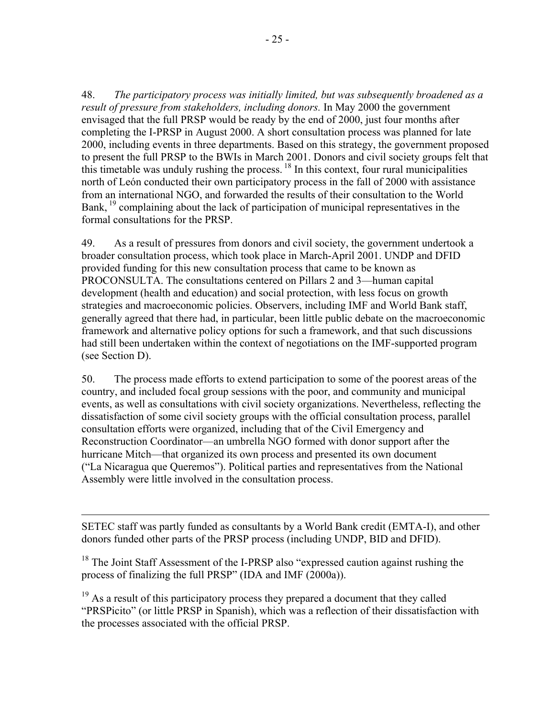48. *The participatory process was initially limited, but was subsequently broadened as a result of pressure from stakeholders, including donors.* In May 2000 the government envisaged that the full PRSP would be ready by the end of 2000, just four months after completing the I-PRSP in August 2000. A short consultation process was planned for late 2000, including events in three departments. Based on this strategy, the government proposed to present the full PRSP to the BWIs in March 2001. Donors and civil society groups felt that this timetable was unduly rushing the process.  $^{18}$  In this context, four rural municipalities north of León conducted their own participatory process in the fall of 2000 with assistance from an international NGO, and forwarded the results of their consultation to the World Bank, <sup>19</sup> complaining about the lack of participation of municipal representatives in the formal consultations for the PRSP.

49. As a result of pressures from donors and civil society, the government undertook a broader consultation process, which took place in March-April 2001. UNDP and DFID provided funding for this new consultation process that came to be known as PROCONSULTA. The consultations centered on Pillars 2 and 3—human capital development (health and education) and social protection, with less focus on growth strategies and macroeconomic policies. Observers, including IMF and World Bank staff, generally agreed that there had, in particular, been little public debate on the macroeconomic framework and alternative policy options for such a framework, and that such discussions had still been undertaken within the context of negotiations on the IMF-supported program (see Section D).

50. The process made efforts to extend participation to some of the poorest areas of the country, and included focal group sessions with the poor, and community and municipal events, as well as consultations with civil society organizations. Nevertheless, reflecting the dissatisfaction of some civil society groups with the official consultation process, parallel consultation efforts were organized, including that of the Civil Emergency and Reconstruction Coordinator—an umbrella NGO formed with donor support after the hurricane Mitch—that organized its own process and presented its own document ("La Nicaragua que Queremos"). Political parties and representatives from the National Assembly were little involved in the consultation process.

SETEC staff was partly funded as consultants by a World Bank credit (EMTA-I), and other donors funded other parts of the PRSP process (including UNDP, BID and DFID).

 $18$  The Joint Staff Assessment of the I-PRSP also "expressed caution against rushing the process of finalizing the full PRSP" (IDA and IMF (2000a)).

 $\overline{a}$ 

<sup>19</sup> As a result of this participatory process they prepared a document that they called "PRSPicito" (or little PRSP in Spanish), which was a reflection of their dissatisfaction with the processes associated with the official PRSP.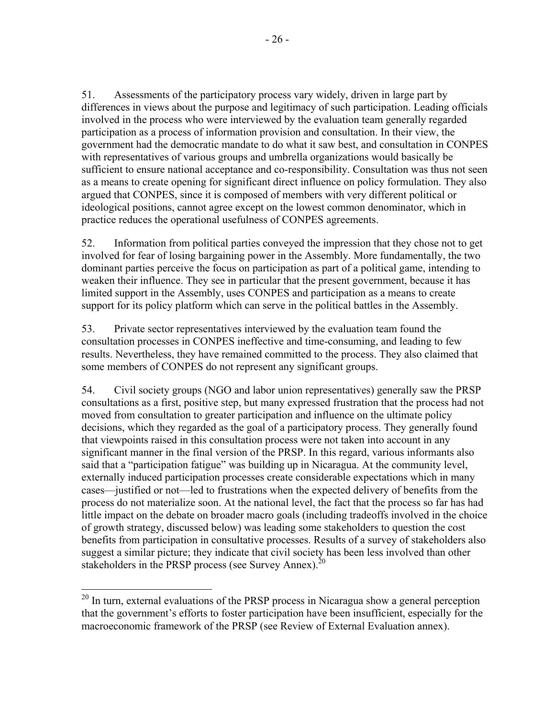51. Assessments of the participatory process vary widely, driven in large part by differences in views about the purpose and legitimacy of such participation. Leading officials involved in the process who were interviewed by the evaluation team generally regarded participation as a process of information provision and consultation. In their view, the government had the democratic mandate to do what it saw best, and consultation in CONPES with representatives of various groups and umbrella organizations would basically be sufficient to ensure national acceptance and co-responsibility. Consultation was thus not seen as a means to create opening for significant direct influence on policy formulation. They also argued that CONPES, since it is composed of members with very different political or ideological positions, cannot agree except on the lowest common denominator, which in practice reduces the operational usefulness of CONPES agreements.

52. Information from political parties conveyed the impression that they chose not to get involved for fear of losing bargaining power in the Assembly. More fundamentally, the two dominant parties perceive the focus on participation as part of a political game, intending to weaken their influence. They see in particular that the present government, because it has limited support in the Assembly, uses CONPES and participation as a means to create support for its policy platform which can serve in the political battles in the Assembly.

53. Private sector representatives interviewed by the evaluation team found the consultation processes in CONPES ineffective and time-consuming, and leading to few results. Nevertheless, they have remained committed to the process. They also claimed that some members of CONPES do not represent any significant groups.

54. Civil society groups (NGO and labor union representatives) generally saw the PRSP consultations as a first, positive step, but many expressed frustration that the process had not moved from consultation to greater participation and influence on the ultimate policy decisions, which they regarded as the goal of a participatory process. They generally found that viewpoints raised in this consultation process were not taken into account in any significant manner in the final version of the PRSP. In this regard, various informants also said that a "participation fatigue" was building up in Nicaragua. At the community level, externally induced participation processes create considerable expectations which in many cases—justified or not—led to frustrations when the expected delivery of benefits from the process do not materialize soon. At the national level, the fact that the process so far has had little impact on the debate on broader macro goals (including tradeoffs involved in the choice of growth strategy, discussed below) was leading some stakeholders to question the cost benefits from participation in consultative processes. Results of a survey of stakeholders also suggest a similar picture; they indicate that civil society has been less involved than other stakeholders in the PRSP process (see Survey Annex). $^{20}$ 

 $20$  In turn, external evaluations of the PRSP process in Nicaragua show a general perception that the government's efforts to foster participation have been insufficient, especially for the macroeconomic framework of the PRSP (see Review of External Evaluation annex).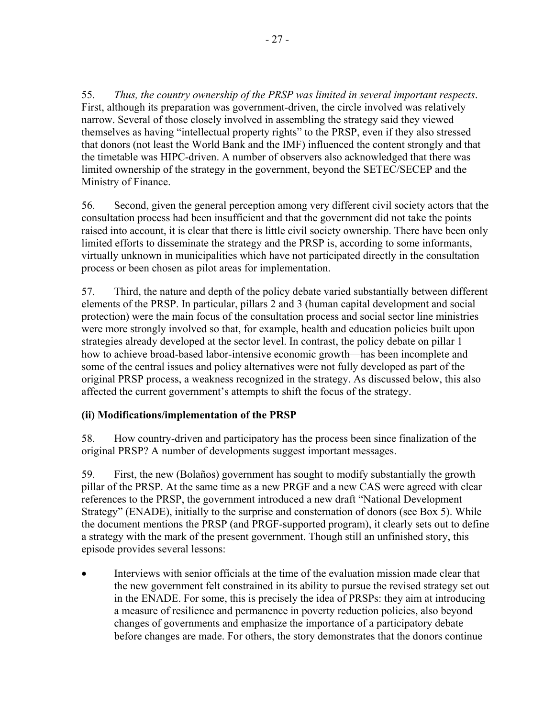55. *Thus, the country ownership of the PRSP was limited in several important respects*. First, although its preparation was government-driven, the circle involved was relatively narrow. Several of those closely involved in assembling the strategy said they viewed themselves as having "intellectual property rights" to the PRSP, even if they also stressed that donors (not least the World Bank and the IMF) influenced the content strongly and that the timetable was HIPC-driven. A number of observers also acknowledged that there was limited ownership of the strategy in the government, beyond the SETEC/SECEP and the Ministry of Finance.

56. Second, given the general perception among very different civil society actors that the consultation process had been insufficient and that the government did not take the points raised into account, it is clear that there is little civil society ownership. There have been only limited efforts to disseminate the strategy and the PRSP is, according to some informants, virtually unknown in municipalities which have not participated directly in the consultation process or been chosen as pilot areas for implementation.

57. Third, the nature and depth of the policy debate varied substantially between different elements of the PRSP. In particular, pillars 2 and 3 (human capital development and social protection) were the main focus of the consultation process and social sector line ministries were more strongly involved so that, for example, health and education policies built upon strategies already developed at the sector level. In contrast, the policy debate on pillar 1 how to achieve broad-based labor-intensive economic growth—has been incomplete and some of the central issues and policy alternatives were not fully developed as part of the original PRSP process, a weakness recognized in the strategy. As discussed below, this also affected the current government's attempts to shift the focus of the strategy.

## **(ii) Modifications/implementation of the PRSP**

58. How country-driven and participatory has the process been since finalization of the original PRSP? A number of developments suggest important messages.

59. First, the new (Bolaños) government has sought to modify substantially the growth pillar of the PRSP. At the same time as a new PRGF and a new CAS were agreed with clear references to the PRSP, the government introduced a new draft "National Development Strategy" (ENADE), initially to the surprise and consternation of donors (see Box 5). While the document mentions the PRSP (and PRGF-supported program), it clearly sets out to define a strategy with the mark of the present government. Though still an unfinished story, this episode provides several lessons:

• Interviews with senior officials at the time of the evaluation mission made clear that the new government felt constrained in its ability to pursue the revised strategy set out in the ENADE. For some, this is precisely the idea of PRSPs: they aim at introducing a measure of resilience and permanence in poverty reduction policies, also beyond changes of governments and emphasize the importance of a participatory debate before changes are made. For others, the story demonstrates that the donors continue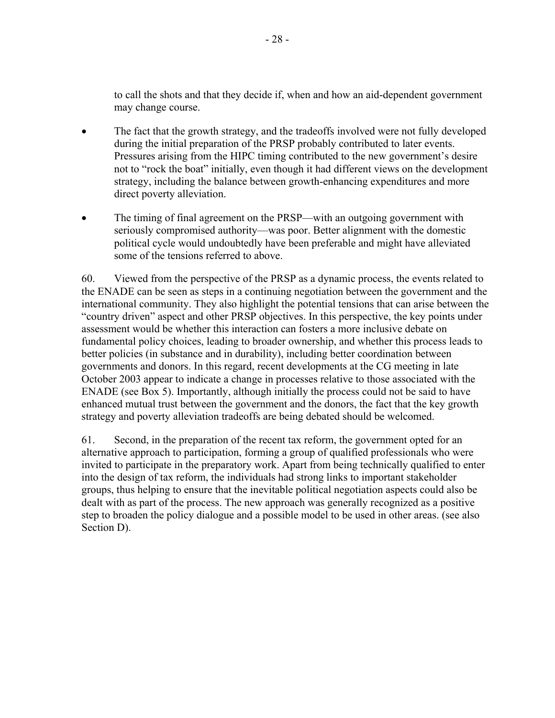to call the shots and that they decide if, when and how an aid-dependent government may change course.

- The fact that the growth strategy, and the tradeoffs involved were not fully developed during the initial preparation of the PRSP probably contributed to later events. Pressures arising from the HIPC timing contributed to the new government's desire not to "rock the boat" initially, even though it had different views on the development strategy, including the balance between growth-enhancing expenditures and more direct poverty alleviation.
- The timing of final agreement on the PRSP—with an outgoing government with seriously compromised authority—was poor. Better alignment with the domestic political cycle would undoubtedly have been preferable and might have alleviated some of the tensions referred to above.

60. Viewed from the perspective of the PRSP as a dynamic process, the events related to the ENADE can be seen as steps in a continuing negotiation between the government and the international community. They also highlight the potential tensions that can arise between the "country driven" aspect and other PRSP objectives. In this perspective, the key points under assessment would be whether this interaction can fosters a more inclusive debate on fundamental policy choices, leading to broader ownership, and whether this process leads to better policies (in substance and in durability), including better coordination between governments and donors. In this regard, recent developments at the CG meeting in late October 2003 appear to indicate a change in processes relative to those associated with the ENADE (see Box 5). Importantly, although initially the process could not be said to have enhanced mutual trust between the government and the donors, the fact that the key growth strategy and poverty alleviation tradeoffs are being debated should be welcomed.

61. Second, in the preparation of the recent tax reform, the government opted for an alternative approach to participation, forming a group of qualified professionals who were invited to participate in the preparatory work. Apart from being technically qualified to enter into the design of tax reform, the individuals had strong links to important stakeholder groups, thus helping to ensure that the inevitable political negotiation aspects could also be dealt with as part of the process. The new approach was generally recognized as a positive step to broaden the policy dialogue and a possible model to be used in other areas. (see also Section D).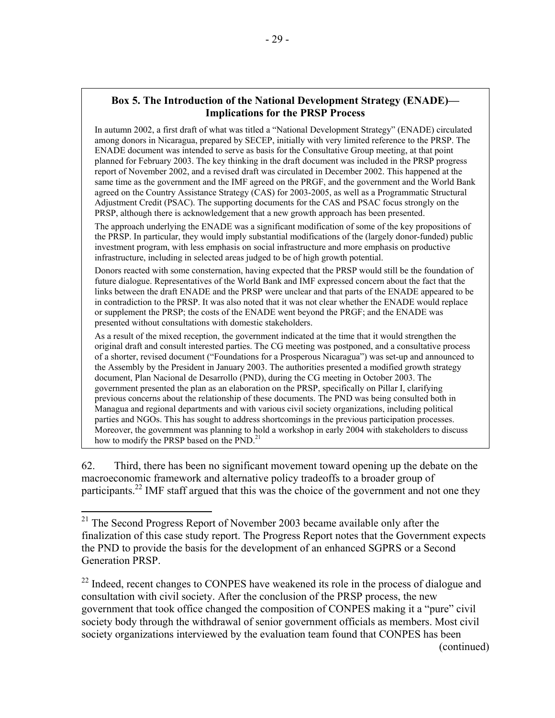In autumn 2002, a first draft of what was titled a "National Development Strategy" (ENADE) circulated among donors in Nicaragua, prepared by SECEP, initially with very limited reference to the PRSP. The ENADE document was intended to serve as basis for the Consultative Group meeting, at that point planned for February 2003. The key thinking in the draft document was included in the PRSP progress report of November 2002, and a revised draft was circulated in December 2002. This happened at the same time as the government and the IMF agreed on the PRGF, and the government and the World Bank agreed on the Country Assistance Strategy (CAS) for 2003-2005, as well as a Programmatic Structural Adjustment Credit (PSAC). The supporting documents for the CAS and PSAC focus strongly on the PRSP, although there is acknowledgement that a new growth approach has been presented.

The approach underlying the ENADE was a significant modification of some of the key propositions of the PRSP. In particular, they would imply substantial modifications of the (largely donor-funded) public investment program, with less emphasis on social infrastructure and more emphasis on productive infrastructure, including in selected areas judged to be of high growth potential.

Donors reacted with some consternation, having expected that the PRSP would still be the foundation of future dialogue. Representatives of the World Bank and IMF expressed concern about the fact that the links between the draft ENADE and the PRSP were unclear and that parts of the ENADE appeared to be in contradiction to the PRSP. It was also noted that it was not clear whether the ENADE would replace or supplement the PRSP; the costs of the ENADE went beyond the PRGF; and the ENADE was presented without consultations with domestic stakeholders.

As a result of the mixed reception, the government indicated at the time that it would strengthen the original draft and consult interested parties. The CG meeting was postponed, and a consultative process of a shorter, revised document ("Foundations for a Prosperous Nicaragua") was set-up and announced to the Assembly by the President in January 2003. The authorities presented a modified growth strategy document, Plan Nacional de Desarrollo (PND), during the CG meeting in October 2003. The government presented the plan as an elaboration on the PRSP, specifically on Pillar I, clarifying previous concerns about the relationship of these documents. The PND was being consulted both in Managua and regional departments and with various civil society organizations, including political parties and NGOs. This has sought to address shortcomings in the previous participation processes. Moreover, the government was planning to hold a workshop in early 2004 with stakeholders to discuss how to modify the PRSP based on the PND.<sup>21</sup>

62. Third, there has been no significant movement toward opening up the debate on the macroeconomic framework and alternative policy tradeoffs to a broader group of participants.<sup>22</sup> IMF staff argued that this was the choice of the government and not one they

 $21$  The Second Progress Report of November 2003 became available only after the finalization of this case study report. The Progress Report notes that the Government expects the PND to provide the basis for the development of an enhanced SGPRS or a Second Generation PRSP.

 $22$  Indeed, recent changes to CONPES have weakened its role in the process of dialogue and consultation with civil society. After the conclusion of the PRSP process, the new government that took office changed the composition of CONPES making it a "pure" civil society body through the withdrawal of senior government officials as members. Most civil society organizations interviewed by the evaluation team found that CONPES has been (continued)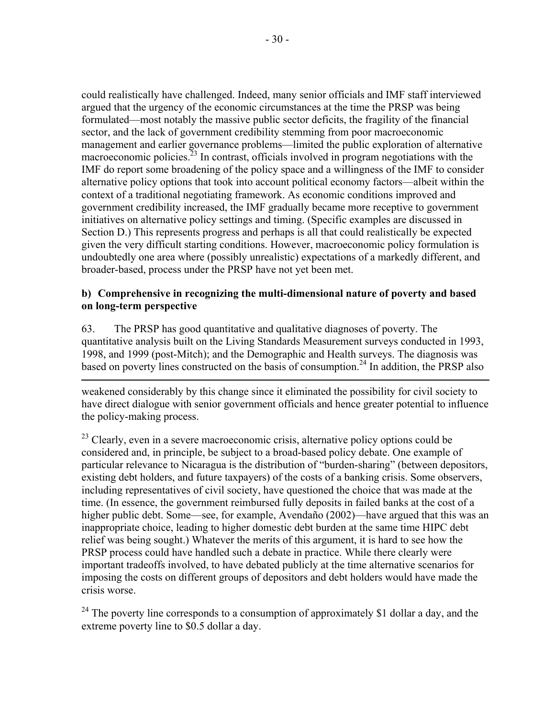could realistically have challenged. Indeed, many senior officials and IMF staff interviewed argued that the urgency of the economic circumstances at the time the PRSP was being formulated—most notably the massive public sector deficits, the fragility of the financial sector, and the lack of government credibility stemming from poor macroeconomic management and earlier governance problems—limited the public exploration of alternative macroeconomic policies. $^{23}$  In contrast, officials involved in program negotiations with the IMF do report some broadening of the policy space and a willingness of the IMF to consider alternative policy options that took into account political economy factors—albeit within the context of a traditional negotiating framework. As economic conditions improved and government credibility increased, the IMF gradually became more receptive to government initiatives on alternative policy settings and timing. (Specific examples are discussed in Section D.) This represents progress and perhaps is all that could realistically be expected given the very difficult starting conditions. However, macroeconomic policy formulation is undoubtedly one area where (possibly unrealistic) expectations of a markedly different, and broader-based, process under the PRSP have not yet been met.

### **b) Comprehensive in recognizing the multi-dimensional nature of poverty and based on long-term perspective**

63. The PRSP has good quantitative and qualitative diagnoses of poverty. The quantitative analysis built on the Living Standards Measurement surveys conducted in 1993, 1998, and 1999 (post-Mitch); and the Demographic and Health surveys. The diagnosis was based on poverty lines constructed on the basis of consumption.<sup>24</sup> In addition, the PRSP also

1

weakened considerably by this change since it eliminated the possibility for civil society to have direct dialogue with senior government officials and hence greater potential to influence the policy-making process.

 $^{23}$  Clearly, even in a severe macroeconomic crisis, alternative policy options could be considered and, in principle, be subject to a broad-based policy debate. One example of particular relevance to Nicaragua is the distribution of "burden-sharing" (between depositors, existing debt holders, and future taxpayers) of the costs of a banking crisis. Some observers, including representatives of civil society, have questioned the choice that was made at the time. (In essence, the government reimbursed fully deposits in failed banks at the cost of a higher public debt. Some—see, for example, Avendaño (2002)—have argued that this was an inappropriate choice, leading to higher domestic debt burden at the same time HIPC debt relief was being sought.) Whatever the merits of this argument, it is hard to see how the PRSP process could have handled such a debate in practice. While there clearly were important tradeoffs involved, to have debated publicly at the time alternative scenarios for imposing the costs on different groups of depositors and debt holders would have made the crisis worse.

 $^{24}$  The poverty line corresponds to a consumption of approximately \$1 dollar a day, and the extreme poverty line to \$0.5 dollar a day.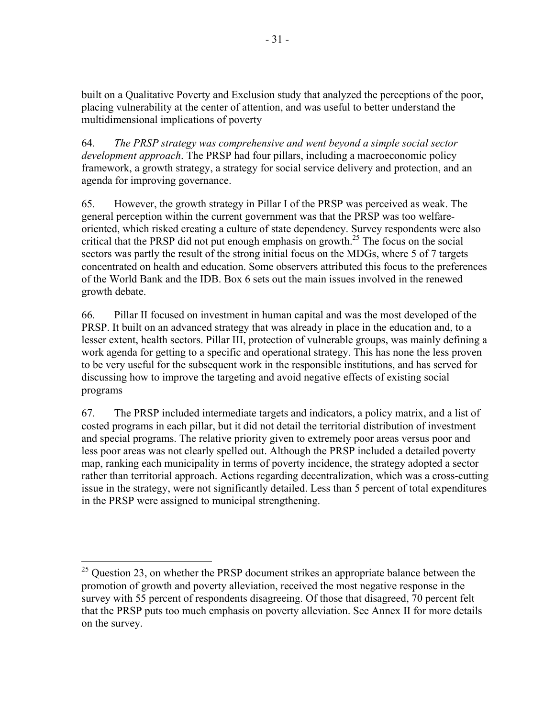built on a Qualitative Poverty and Exclusion study that analyzed the perceptions of the poor, placing vulnerability at the center of attention, and was useful to better understand the multidimensional implications of poverty

64. *The PRSP strategy was comprehensive and went beyond a simple social sector development approach*. The PRSP had four pillars, including a macroeconomic policy framework, a growth strategy, a strategy for social service delivery and protection, and an agenda for improving governance.

65. However, the growth strategy in Pillar I of the PRSP was perceived as weak. The general perception within the current government was that the PRSP was too welfareoriented, which risked creating a culture of state dependency. Survey respondents were also critical that the PRSP did not put enough emphasis on growth.<sup>25</sup> The focus on the social sectors was partly the result of the strong initial focus on the MDGs, where 5 of 7 targets concentrated on health and education. Some observers attributed this focus to the preferences of the World Bank and the IDB. Box 6 sets out the main issues involved in the renewed growth debate.

66. Pillar II focused on investment in human capital and was the most developed of the PRSP. It built on an advanced strategy that was already in place in the education and, to a lesser extent, health sectors. Pillar III, protection of vulnerable groups, was mainly defining a work agenda for getting to a specific and operational strategy. This has none the less proven to be very useful for the subsequent work in the responsible institutions, and has served for discussing how to improve the targeting and avoid negative effects of existing social programs

67. The PRSP included intermediate targets and indicators, a policy matrix, and a list of costed programs in each pillar, but it did not detail the territorial distribution of investment and special programs. The relative priority given to extremely poor areas versus poor and less poor areas was not clearly spelled out. Although the PRSP included a detailed poverty map, ranking each municipality in terms of poverty incidence, the strategy adopted a sector rather than territorial approach. Actions regarding decentralization, which was a cross-cutting issue in the strategy, were not significantly detailed. Less than 5 percent of total expenditures in the PRSP were assigned to municipal strengthening.

 $^{25}$  Question 23, on whether the PRSP document strikes an appropriate balance between the promotion of growth and poverty alleviation, received the most negative response in the survey with 55 percent of respondents disagreeing. Of those that disagreed, 70 percent felt that the PRSP puts too much emphasis on poverty alleviation. See Annex II for more details on the survey.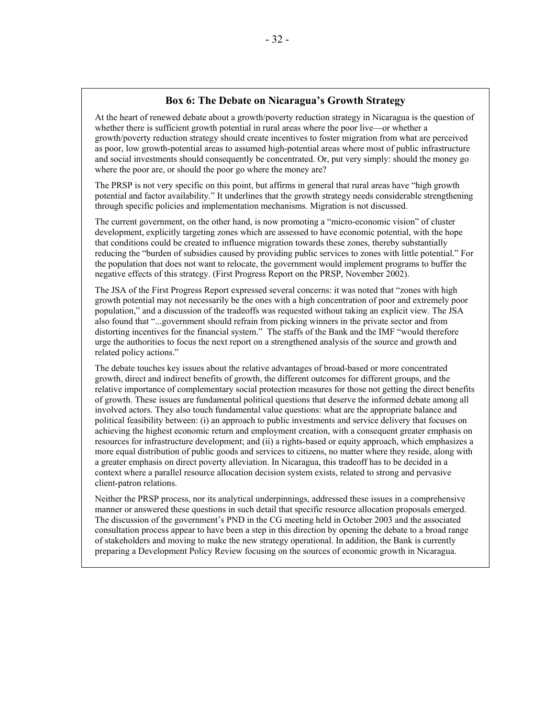#### **Box 6: The Debate on Nicaragua's Growth Strategy**

At the heart of renewed debate about a growth/poverty reduction strategy in Nicaragua is the question of whether there is sufficient growth potential in rural areas where the poor live—or whether a growth/poverty reduction strategy should create incentives to foster migration from what are perceived as poor, low growth-potential areas to assumed high-potential areas where most of public infrastructure and social investments should consequently be concentrated. Or, put very simply: should the money go where the poor are, or should the poor go where the money are?

The PRSP is not very specific on this point, but affirms in general that rural areas have "high growth potential and factor availability." It underlines that the growth strategy needs considerable strengthening through specific policies and implementation mechanisms. Migration is not discussed.

The current government, on the other hand, is now promoting a "micro-economic vision" of cluster development, explicitly targeting zones which are assessed to have economic potential, with the hope that conditions could be created to influence migration towards these zones, thereby substantially reducing the "burden of subsidies caused by providing public services to zones with little potential." For the population that does not want to relocate, the government would implement programs to buffer the negative effects of this strategy. (First Progress Report on the PRSP, November 2002).

The JSA of the First Progress Report expressed several concerns: it was noted that "zones with high growth potential may not necessarily be the ones with a high concentration of poor and extremely poor population," and a discussion of the tradeoffs was requested without taking an explicit view. The JSA also found that "...government should refrain from picking winners in the private sector and from distorting incentives for the financial system." The staffs of the Bank and the IMF "would therefore urge the authorities to focus the next report on a strengthened analysis of the source and growth and related policy actions."

The debate touches key issues about the relative advantages of broad-based or more concentrated growth, direct and indirect benefits of growth, the different outcomes for different groups, and the relative importance of complementary social protection measures for those not getting the direct benefits of growth. These issues are fundamental political questions that deserve the informed debate among all involved actors. They also touch fundamental value questions: what are the appropriate balance and political feasibility between: (i) an approach to public investments and service delivery that focuses on achieving the highest economic return and employment creation, with a consequent greater emphasis on resources for infrastructure development; and (ii) a rights-based or equity approach, which emphasizes a more equal distribution of public goods and services to citizens, no matter where they reside, along with a greater emphasis on direct poverty alleviation. In Nicaragua, this tradeoff has to be decided in a context where a parallel resource allocation decision system exists, related to strong and pervasive client-patron relations.

Neither the PRSP process, nor its analytical underpinnings, addressed these issues in a comprehensive manner or answered these questions in such detail that specific resource allocation proposals emerged. The discussion of the government's PND in the CG meeting held in October 2003 and the associated consultation process appear to have been a step in this direction by opening the debate to a broad range of stakeholders and moving to make the new strategy operational. In addition, the Bank is currently preparing a Development Policy Review focusing on the sources of economic growth in Nicaragua.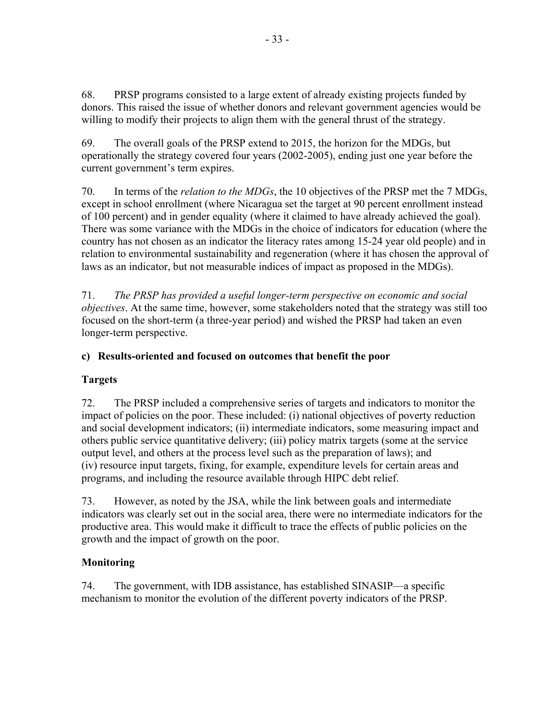68. PRSP programs consisted to a large extent of already existing projects funded by donors. This raised the issue of whether donors and relevant government agencies would be willing to modify their projects to align them with the general thrust of the strategy.

69. The overall goals of the PRSP extend to 2015, the horizon for the MDGs, but operationally the strategy covered four years (2002-2005), ending just one year before the current government's term expires.

70. In terms of the *relation to the MDGs*, the 10 objectives of the PRSP met the 7 MDGs, except in school enrollment (where Nicaragua set the target at 90 percent enrollment instead of 100 percent) and in gender equality (where it claimed to have already achieved the goal). There was some variance with the MDGs in the choice of indicators for education (where the country has not chosen as an indicator the literacy rates among 15-24 year old people) and in relation to environmental sustainability and regeneration (where it has chosen the approval of laws as an indicator, but not measurable indices of impact as proposed in the MDGs).

71. *The PRSP has provided a useful longer-term perspective on economic and social objectives*. At the same time, however, some stakeholders noted that the strategy was still too focused on the short-term (a three-year period) and wished the PRSP had taken an even longer-term perspective.

## **c) Results-oriented and focused on outcomes that benefit the poor**

## **Targets**

72. The PRSP included a comprehensive series of targets and indicators to monitor the impact of policies on the poor. These included: (i) national objectives of poverty reduction and social development indicators; (ii) intermediate indicators, some measuring impact and others public service quantitative delivery; (iii) policy matrix targets (some at the service output level, and others at the process level such as the preparation of laws); and (iv) resource input targets, fixing, for example, expenditure levels for certain areas and programs, and including the resource available through HIPC debt relief.

73. However, as noted by the JSA, while the link between goals and intermediate indicators was clearly set out in the social area, there were no intermediate indicators for the productive area. This would make it difficult to trace the effects of public policies on the growth and the impact of growth on the poor.

## **Monitoring**

74. The government, with IDB assistance, has established SINASIP—a specific mechanism to monitor the evolution of the different poverty indicators of the PRSP.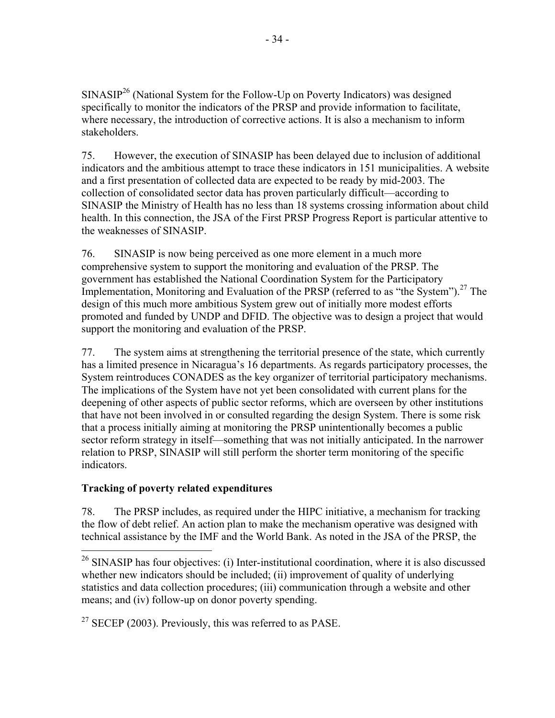$SINASIP<sup>26</sup>$  (National System for the Follow-Up on Poverty Indicators) was designed specifically to monitor the indicators of the PRSP and provide information to facilitate, where necessary, the introduction of corrective actions. It is also a mechanism to inform stakeholders.

75. However, the execution of SINASIP has been delayed due to inclusion of additional indicators and the ambitious attempt to trace these indicators in 151 municipalities. A website and a first presentation of collected data are expected to be ready by mid-2003. The collection of consolidated sector data has proven particularly difficult—according to SINASIP the Ministry of Health has no less than 18 systems crossing information about child health. In this connection, the JSA of the First PRSP Progress Report is particular attentive to the weaknesses of SINASIP.

76. SINASIP is now being perceived as one more element in a much more comprehensive system to support the monitoring and evaluation of the PRSP. The government has established the National Coordination System for the Participatory Implementation, Monitoring and Evaluation of the PRSP (referred to as "the System").<sup>27</sup> The design of this much more ambitious System grew out of initially more modest efforts promoted and funded by UNDP and DFID. The objective was to design a project that would support the monitoring and evaluation of the PRSP.

77. The system aims at strengthening the territorial presence of the state, which currently has a limited presence in Nicaragua's 16 departments. As regards participatory processes, the System reintroduces CONADES as the key organizer of territorial participatory mechanisms. The implications of the System have not yet been consolidated with current plans for the deepening of other aspects of public sector reforms, which are overseen by other institutions that have not been involved in or consulted regarding the design System. There is some risk that a process initially aiming at monitoring the PRSP unintentionally becomes a public sector reform strategy in itself—something that was not initially anticipated. In the narrower relation to PRSP, SINASIP will still perform the shorter term monitoring of the specific indicators.

## **Tracking of poverty related expenditures**

78. The PRSP includes, as required under the HIPC initiative, a mechanism for tracking the flow of debt relief. An action plan to make the mechanism operative was designed with technical assistance by the IMF and the World Bank. As noted in the JSA of the PRSP, the

 $27$  SECEP (2003). Previously, this was referred to as PASE.

<sup>&</sup>lt;u>.</u>  $26$  SINASIP has four objectives: (i) Inter-institutional coordination, where it is also discussed whether new indicators should be included; (ii) improvement of quality of underlying statistics and data collection procedures; (iii) communication through a website and other means; and (iv) follow-up on donor poverty spending.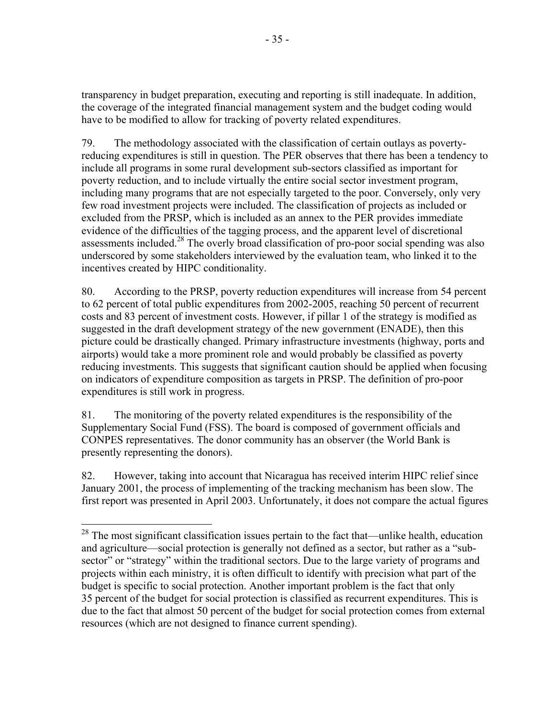transparency in budget preparation, executing and reporting is still inadequate. In addition, the coverage of the integrated financial management system and the budget coding would have to be modified to allow for tracking of poverty related expenditures.

79. The methodology associated with the classification of certain outlays as povertyreducing expenditures is still in question. The PER observes that there has been a tendency to include all programs in some rural development sub-sectors classified as important for poverty reduction, and to include virtually the entire social sector investment program, including many programs that are not especially targeted to the poor. Conversely, only very few road investment projects were included. The classification of projects as included or excluded from the PRSP, which is included as an annex to the PER provides immediate evidence of the difficulties of the tagging process, and the apparent level of discretional assessments included.<sup>28</sup> The overly broad classification of pro-poor social spending was also underscored by some stakeholders interviewed by the evaluation team, who linked it to the incentives created by HIPC conditionality.

80. According to the PRSP, poverty reduction expenditures will increase from 54 percent to 62 percent of total public expenditures from 2002-2005, reaching 50 percent of recurrent costs and 83 percent of investment costs. However, if pillar 1 of the strategy is modified as suggested in the draft development strategy of the new government (ENADE), then this picture could be drastically changed. Primary infrastructure investments (highway, ports and airports) would take a more prominent role and would probably be classified as poverty reducing investments. This suggests that significant caution should be applied when focusing on indicators of expenditure composition as targets in PRSP. The definition of pro-poor expenditures is still work in progress.

81. The monitoring of the poverty related expenditures is the responsibility of the Supplementary Social Fund (FSS). The board is composed of government officials and CONPES representatives. The donor community has an observer (the World Bank is presently representing the donors).

 $\overline{a}$ 

82. However, taking into account that Nicaragua has received interim HIPC relief since January 2001, the process of implementing of the tracking mechanism has been slow. The first report was presented in April 2003. Unfortunately, it does not compare the actual figures

 $28$  The most significant classification issues pertain to the fact that—unlike health, education and agriculture—social protection is generally not defined as a sector, but rather as a "subsector" or "strategy" within the traditional sectors. Due to the large variety of programs and projects within each ministry, it is often difficult to identify with precision what part of the budget is specific to social protection. Another important problem is the fact that only 35 percent of the budget for social protection is classified as recurrent expenditures. This is due to the fact that almost 50 percent of the budget for social protection comes from external resources (which are not designed to finance current spending).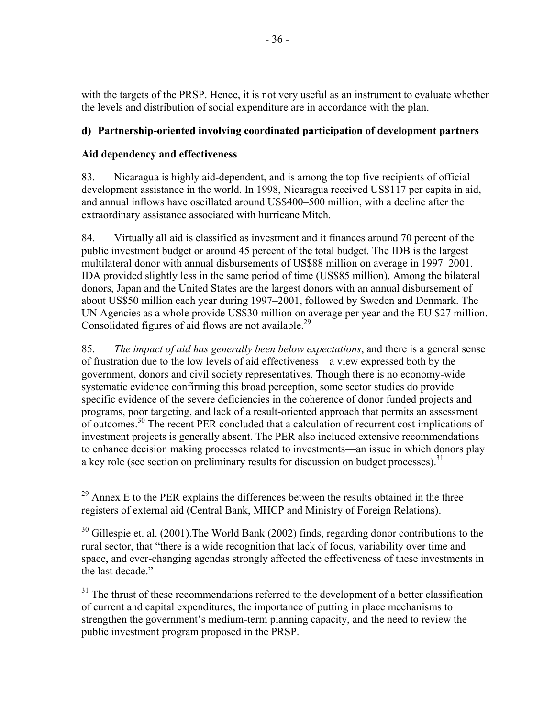with the targets of the PRSP. Hence, it is not very useful as an instrument to evaluate whether the levels and distribution of social expenditure are in accordance with the plan.

## **d) Partnership-oriented involving coordinated participation of development partners**

## **Aid dependency and effectiveness**

1

83. Nicaragua is highly aid-dependent, and is among the top five recipients of official development assistance in the world. In 1998, Nicaragua received US\$117 per capita in aid, and annual inflows have oscillated around US\$400–500 million, with a decline after the extraordinary assistance associated with hurricane Mitch.

84. Virtually all aid is classified as investment and it finances around 70 percent of the public investment budget or around 45 percent of the total budget. The IDB is the largest multilateral donor with annual disbursements of US\$88 million on average in 1997–2001. IDA provided slightly less in the same period of time (US\$85 million). Among the bilateral donors, Japan and the United States are the largest donors with an annual disbursement of about US\$50 million each year during 1997–2001, followed by Sweden and Denmark. The UN Agencies as a whole provide US\$30 million on average per year and the EU \$27 million. Consolidated figures of aid flows are not available.<sup>29</sup>

85. *The impact of aid has generally been below expectations*, and there is a general sense of frustration due to the low levels of aid effectiveness—a view expressed both by the government, donors and civil society representatives. Though there is no economy-wide systematic evidence confirming this broad perception, some sector studies do provide specific evidence of the severe deficiencies in the coherence of donor funded projects and programs, poor targeting, and lack of a result-oriented approach that permits an assessment of outcomes.30 The recent PER concluded that a calculation of recurrent cost implications of investment projects is generally absent. The PER also included extensive recommendations to enhance decision making processes related to investments—an issue in which donors play a key role (see section on preliminary results for discussion on budget processes).<sup>31</sup>

 $31$  The thrust of these recommendations referred to the development of a better classification of current and capital expenditures, the importance of putting in place mechanisms to strengthen the government's medium-term planning capacity, and the need to review the public investment program proposed in the PRSP.

 $29$  Annex E to the PER explains the differences between the results obtained in the three registers of external aid (Central Bank, MHCP and Ministry of Foreign Relations).

 $30$  Gillespie et. al. (2001). The World Bank (2002) finds, regarding donor contributions to the rural sector, that "there is a wide recognition that lack of focus, variability over time and space, and ever-changing agendas strongly affected the effectiveness of these investments in the last decade."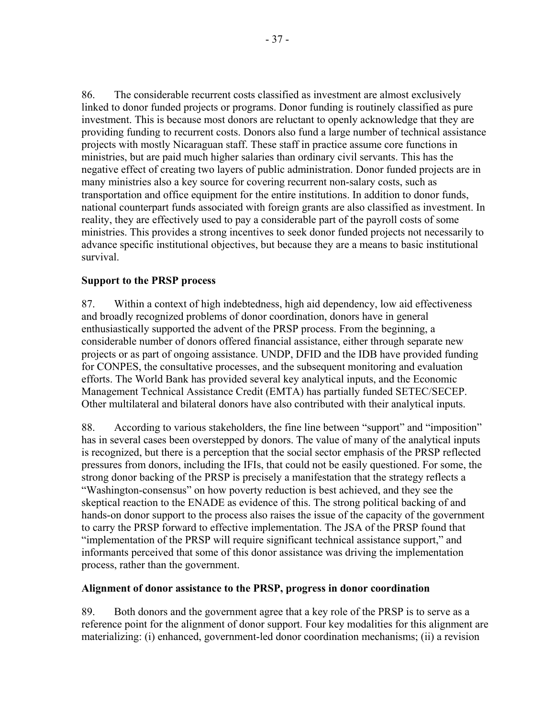86. The considerable recurrent costs classified as investment are almost exclusively linked to donor funded projects or programs. Donor funding is routinely classified as pure investment. This is because most donors are reluctant to openly acknowledge that they are providing funding to recurrent costs. Donors also fund a large number of technical assistance projects with mostly Nicaraguan staff. These staff in practice assume core functions in ministries, but are paid much higher salaries than ordinary civil servants. This has the negative effect of creating two layers of public administration. Donor funded projects are in many ministries also a key source for covering recurrent non-salary costs, such as transportation and office equipment for the entire institutions. In addition to donor funds, national counterpart funds associated with foreign grants are also classified as investment. In reality, they are effectively used to pay a considerable part of the payroll costs of some ministries. This provides a strong incentives to seek donor funded projects not necessarily to advance specific institutional objectives, but because they are a means to basic institutional survival.

### **Support to the PRSP process**

87. Within a context of high indebtedness, high aid dependency, low aid effectiveness and broadly recognized problems of donor coordination, donors have in general enthusiastically supported the advent of the PRSP process. From the beginning, a considerable number of donors offered financial assistance, either through separate new projects or as part of ongoing assistance. UNDP, DFID and the IDB have provided funding for CONPES, the consultative processes, and the subsequent monitoring and evaluation efforts. The World Bank has provided several key analytical inputs, and the Economic Management Technical Assistance Credit (EMTA) has partially funded SETEC/SECEP. Other multilateral and bilateral donors have also contributed with their analytical inputs.

88. According to various stakeholders, the fine line between "support" and "imposition" has in several cases been overstepped by donors. The value of many of the analytical inputs is recognized, but there is a perception that the social sector emphasis of the PRSP reflected pressures from donors, including the IFIs, that could not be easily questioned. For some, the strong donor backing of the PRSP is precisely a manifestation that the strategy reflects a "Washington-consensus" on how poverty reduction is best achieved, and they see the skeptical reaction to the ENADE as evidence of this. The strong political backing of and hands-on donor support to the process also raises the issue of the capacity of the government to carry the PRSP forward to effective implementation. The JSA of the PRSP found that "implementation of the PRSP will require significant technical assistance support," and informants perceived that some of this donor assistance was driving the implementation process, rather than the government.

#### **Alignment of donor assistance to the PRSP, progress in donor coordination**

89. Both donors and the government agree that a key role of the PRSP is to serve as a reference point for the alignment of donor support. Four key modalities for this alignment are materializing: (i) enhanced, government-led donor coordination mechanisms; (ii) a revision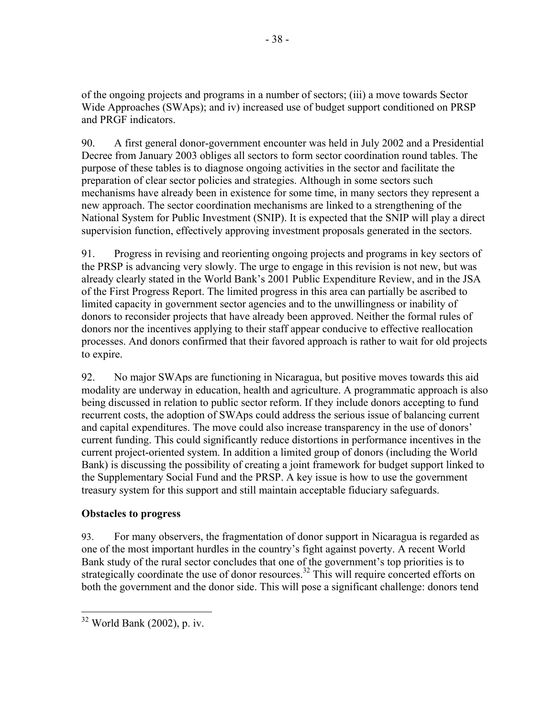of the ongoing projects and programs in a number of sectors; (iii) a move towards Sector Wide Approaches (SWAps); and iv) increased use of budget support conditioned on PRSP and PRGF indicators.

90. A first general donor-government encounter was held in July 2002 and a Presidential Decree from January 2003 obliges all sectors to form sector coordination round tables. The purpose of these tables is to diagnose ongoing activities in the sector and facilitate the preparation of clear sector policies and strategies. Although in some sectors such mechanisms have already been in existence for some time, in many sectors they represent a new approach. The sector coordination mechanisms are linked to a strengthening of the National System for Public Investment (SNIP). It is expected that the SNIP will play a direct supervision function, effectively approving investment proposals generated in the sectors.

91. Progress in revising and reorienting ongoing projects and programs in key sectors of the PRSP is advancing very slowly. The urge to engage in this revision is not new, but was already clearly stated in the World Bank's 2001 Public Expenditure Review, and in the JSA of the First Progress Report. The limited progress in this area can partially be ascribed to limited capacity in government sector agencies and to the unwillingness or inability of donors to reconsider projects that have already been approved. Neither the formal rules of donors nor the incentives applying to their staff appear conducive to effective reallocation processes. And donors confirmed that their favored approach is rather to wait for old projects to expire.

92. No major SWAps are functioning in Nicaragua, but positive moves towards this aid modality are underway in education, health and agriculture. A programmatic approach is also being discussed in relation to public sector reform. If they include donors accepting to fund recurrent costs, the adoption of SWAps could address the serious issue of balancing current and capital expenditures. The move could also increase transparency in the use of donors' current funding. This could significantly reduce distortions in performance incentives in the current project-oriented system. In addition a limited group of donors (including the World Bank) is discussing the possibility of creating a joint framework for budget support linked to the Supplementary Social Fund and the PRSP. A key issue is how to use the government treasury system for this support and still maintain acceptable fiduciary safeguards.

# **Obstacles to progress**

93. For many observers, the fragmentation of donor support in Nicaragua is regarded as one of the most important hurdles in the country's fight against poverty. A recent World Bank study of the rural sector concludes that one of the government's top priorities is to strategically coordinate the use of donor resources.<sup>32</sup> This will require concerted efforts on both the government and the donor side. This will pose a significant challenge: donors tend

<sup>1</sup>  $32$  World Bank (2002), p. iv.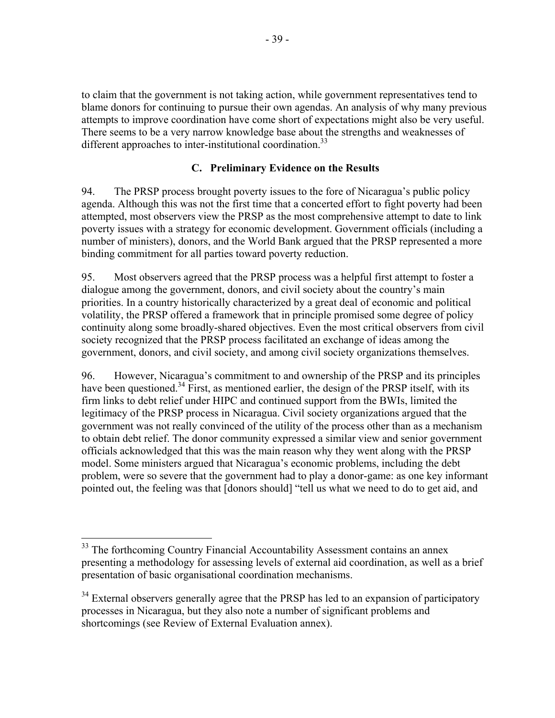to claim that the government is not taking action, while government representatives tend to blame donors for continuing to pursue their own agendas. An analysis of why many previous attempts to improve coordination have come short of expectations might also be very useful. There seems to be a very narrow knowledge base about the strengths and weaknesses of different approaches to inter-institutional coordination.<sup>33</sup>

## **C. Preliminary Evidence on the Results**

94. The PRSP process brought poverty issues to the fore of Nicaragua's public policy agenda. Although this was not the first time that a concerted effort to fight poverty had been attempted, most observers view the PRSP as the most comprehensive attempt to date to link poverty issues with a strategy for economic development. Government officials (including a number of ministers), donors, and the World Bank argued that the PRSP represented a more binding commitment for all parties toward poverty reduction.

95. Most observers agreed that the PRSP process was a helpful first attempt to foster a dialogue among the government, donors, and civil society about the country's main priorities. In a country historically characterized by a great deal of economic and political volatility, the PRSP offered a framework that in principle promised some degree of policy continuity along some broadly-shared objectives. Even the most critical observers from civil society recognized that the PRSP process facilitated an exchange of ideas among the government, donors, and civil society, and among civil society organizations themselves.

96. However, Nicaragua's commitment to and ownership of the PRSP and its principles have been questioned.<sup>34</sup> First, as mentioned earlier, the design of the PRSP itself, with its firm links to debt relief under HIPC and continued support from the BWIs, limited the legitimacy of the PRSP process in Nicaragua. Civil society organizations argued that the government was not really convinced of the utility of the process other than as a mechanism to obtain debt relief. The donor community expressed a similar view and senior government officials acknowledged that this was the main reason why they went along with the PRSP model. Some ministers argued that Nicaragua's economic problems, including the debt problem, were so severe that the government had to play a donor-game: as one key informant pointed out, the feeling was that [donors should] "tell us what we need to do to get aid, and

 $33$  The forthcoming Country Financial Accountability Assessment contains an annex presenting a methodology for assessing levels of external aid coordination, as well as a brief presentation of basic organisational coordination mechanisms.

<sup>&</sup>lt;sup>34</sup> External observers generally agree that the PRSP has led to an expansion of participatory processes in Nicaragua, but they also note a number of significant problems and shortcomings (see Review of External Evaluation annex).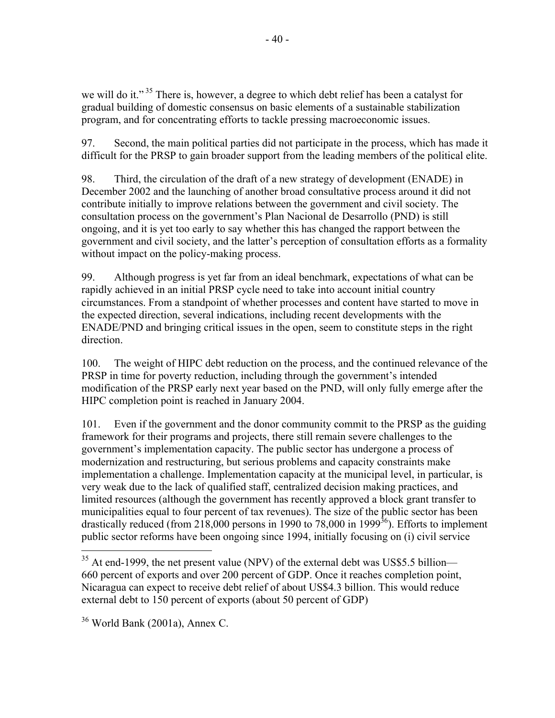we will do it."<sup>35</sup> There is, however, a degree to which debt relief has been a catalyst for gradual building of domestic consensus on basic elements of a sustainable stabilization program, and for concentrating efforts to tackle pressing macroeconomic issues.

97. Second, the main political parties did not participate in the process, which has made it difficult for the PRSP to gain broader support from the leading members of the political elite.

98. Third, the circulation of the draft of a new strategy of development (ENADE) in December 2002 and the launching of another broad consultative process around it did not contribute initially to improve relations between the government and civil society. The consultation process on the government's Plan Nacional de Desarrollo (PND) is still ongoing, and it is yet too early to say whether this has changed the rapport between the government and civil society, and the latter's perception of consultation efforts as a formality without impact on the policy-making process.

99. Although progress is yet far from an ideal benchmark, expectations of what can be rapidly achieved in an initial PRSP cycle need to take into account initial country circumstances. From a standpoint of whether processes and content have started to move in the expected direction, several indications, including recent developments with the ENADE/PND and bringing critical issues in the open, seem to constitute steps in the right direction.

100. The weight of HIPC debt reduction on the process, and the continued relevance of the PRSP in time for poverty reduction, including through the government's intended modification of the PRSP early next year based on the PND, will only fully emerge after the HIPC completion point is reached in January 2004.

101. Even if the government and the donor community commit to the PRSP as the guiding framework for their programs and projects, there still remain severe challenges to the government's implementation capacity. The public sector has undergone a process of modernization and restructuring, but serious problems and capacity constraints make implementation a challenge. Implementation capacity at the municipal level, in particular, is very weak due to the lack of qualified staff, centralized decision making practices, and limited resources (although the government has recently approved a block grant transfer to municipalities equal to four percent of tax revenues). The size of the public sector has been drastically reduced (from 218,000 persons in 1990 to 78,000 in 1999<sup>36</sup>). Efforts to implement public sector reforms have been ongoing since 1994, initially focusing on (i) civil service

 $\overline{a}$  $35$  At end-1999, the net present value (NPV) of the external debt was US\$5.5 billion— 660 percent of exports and over 200 percent of GDP. Once it reaches completion point, Nicaragua can expect to receive debt relief of about US\$4.3 billion. This would reduce external debt to 150 percent of exports (about 50 percent of GDP)

<sup>36</sup> World Bank (2001a), Annex C.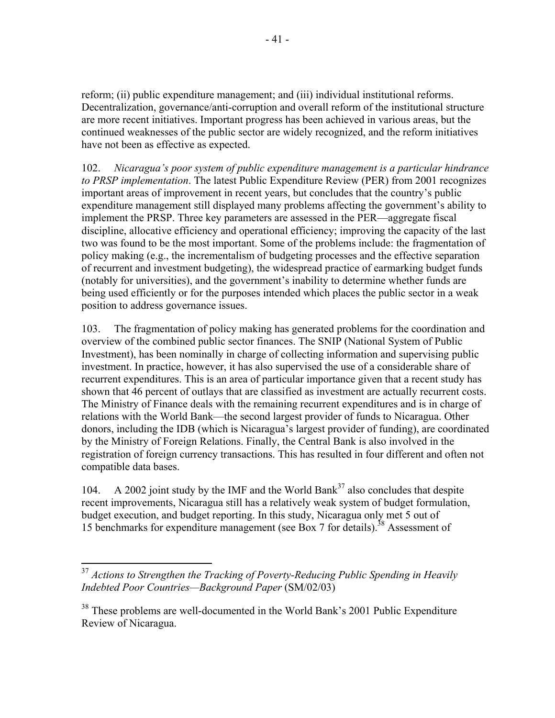reform; (ii) public expenditure management; and (iii) individual institutional reforms. Decentralization, governance/anti-corruption and overall reform of the institutional structure are more recent initiatives. Important progress has been achieved in various areas, but the continued weaknesses of the public sector are widely recognized, and the reform initiatives have not been as effective as expected.

102. *Nicaragua's poor system of public expenditure management is a particular hindrance to PRSP implementation*. The latest Public Expenditure Review (PER) from 2001 recognizes important areas of improvement in recent years, but concludes that the country's public expenditure management still displayed many problems affecting the government's ability to implement the PRSP. Three key parameters are assessed in the PER—aggregate fiscal discipline, allocative efficiency and operational efficiency; improving the capacity of the last two was found to be the most important. Some of the problems include: the fragmentation of policy making (e.g., the incrementalism of budgeting processes and the effective separation of recurrent and investment budgeting), the widespread practice of earmarking budget funds (notably for universities), and the government's inability to determine whether funds are being used efficiently or for the purposes intended which places the public sector in a weak position to address governance issues.

103. The fragmentation of policy making has generated problems for the coordination and overview of the combined public sector finances. The SNIP (National System of Public Investment), has been nominally in charge of collecting information and supervising public investment. In practice, however, it has also supervised the use of a considerable share of recurrent expenditures. This is an area of particular importance given that a recent study has shown that 46 percent of outlays that are classified as investment are actually recurrent costs. The Ministry of Finance deals with the remaining recurrent expenditures and is in charge of relations with the World Bank—the second largest provider of funds to Nicaragua. Other donors, including the IDB (which is Nicaragua's largest provider of funding), are coordinated by the Ministry of Foreign Relations. Finally, the Central Bank is also involved in the registration of foreign currency transactions. This has resulted in four different and often not compatible data bases.

104. A 2002 joint study by the IMF and the World Bank<sup>37</sup> also concludes that despite recent improvements, Nicaragua still has a relatively weak system of budget formulation, budget execution, and budget reporting. In this study, Nicaragua only met 5 out of 15 benchmarks for expenditure management (see Box 7 for details).38 Assessment of

<sup>37</sup> *Actions to Strengthen the Tracking of Poverty-Reducing Public Spending in Heavily Indebted Poor Countries—Background Paper* (SM/02/03)

<sup>&</sup>lt;sup>38</sup> These problems are well-documented in the World Bank's 2001 Public Expenditure Review of Nicaragua.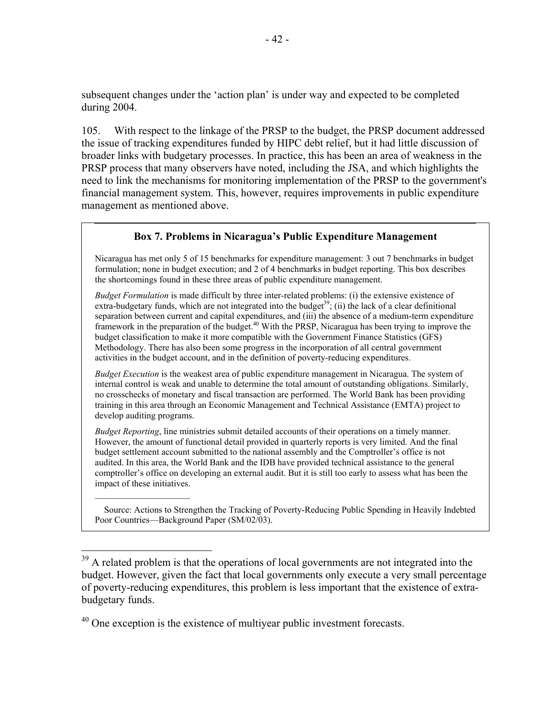subsequent changes under the 'action plan' is under way and expected to be completed during 2004.

105. With respect to the linkage of the PRSP to the budget, the PRSP document addressed the issue of tracking expenditures funded by HIPC debt relief, but it had little discussion of broader links with budgetary processes. In practice, this has been an area of weakness in the PRSP process that many observers have noted, including the JSA, and which highlights the need to link the mechanisms for monitoring implementation of the PRSP to the government's financial management system. This, however, requires improvements in public expenditure management as mentioned above.

#### **Box 7. Problems in Nicaragua's Public Expenditure Management**

Nicaragua has met only 5 of 15 benchmarks for expenditure management: 3 out 7 benchmarks in budget formulation; none in budget execution; and 2 of 4 benchmarks in budget reporting. This box describes the shortcomings found in these three areas of public expenditure management.

*Budget Formulation* is made difficult by three inter-related problems: (i) the extensive existence of extra-budgetary funds, which are not integrated into the budget<sup>39</sup>; (ii) the lack of a clear definitional separation between current and capital expenditures, and (iii) the absence of a medium-term expenditure framework in the preparation of the budget.<sup>40</sup> With the PRSP, Nicaragua has been trying to improve the budget classification to make it more compatible with the Government Finance Statistics (GFS) Methodology. There has also been some progress in the incorporation of all central government activities in the budget account, and in the definition of poverty-reducing expenditures.

*Budget Execution* is the weakest area of public expenditure management in Nicaragua. The system of internal control is weak and unable to determine the total amount of outstanding obligations. Similarly, no crosschecks of monetary and fiscal transaction are performed. The World Bank has been providing training in this area through an Economic Management and Technical Assistance (EMTA) project to develop auditing programs.

*Budget Reporting*, line ministries submit detailed accounts of their operations on a timely manner. However, the amount of functional detail provided in quarterly reports is very limited. And the final budget settlement account submitted to the national assembly and the Comptroller's office is not audited. In this area, the World Bank and the IDB have provided technical assistance to the general comptroller's office on developing an external audit. But it is still too early to assess what has been the impact of these initiatives.

Source: Actions to Strengthen the Tracking of Poverty-Reducing Public Spending in Heavily Indebted Poor Countries—Background Paper (SM/02/03).

 $40$  One exception is the existence of multiyear public investment forecasts.

 $39$  A related problem is that the operations of local governments are not integrated into the budget. However, given the fact that local governments only execute a very small percentage of poverty-reducing expenditures, this problem is less important that the existence of extrabudgetary funds.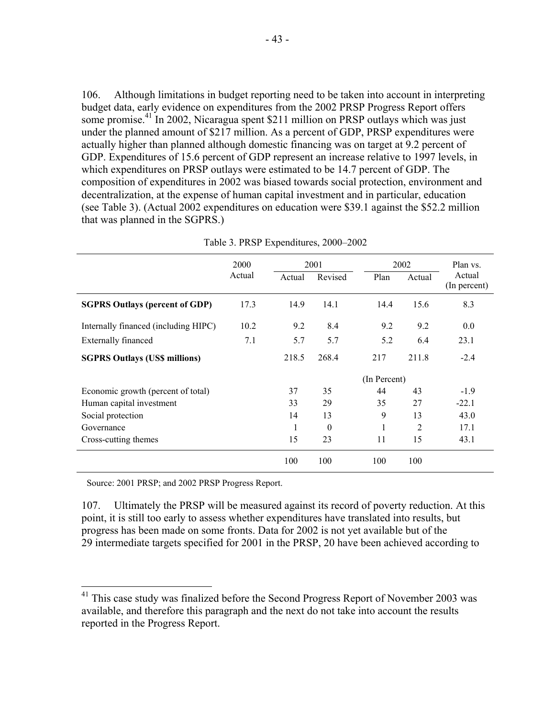106. Although limitations in budget reporting need to be taken into account in interpreting budget data, early evidence on expenditures from the 2002 PRSP Progress Report offers some promise.<sup>41</sup> In 2002, Nicaragua spent \$211 million on PRSP outlays which was just under the planned amount of \$217 million. As a percent of GDP, PRSP expenditures were actually higher than planned although domestic financing was on target at 9.2 percent of GDP. Expenditures of 15.6 percent of GDP represent an increase relative to 1997 levels, in which expenditures on PRSP outlays were estimated to be 14.7 percent of GDP. The composition of expenditures in 2002 was biased towards social protection, environment and decentralization, at the expense of human capital investment and in particular, education (see Table 3). (Actual 2002 expenditures on education were \$39.1 against the \$52.2 million that was planned in the SGPRS.)

|                                       | 2000<br>Actual | 2001   |          | 2002         |        | Plan vs.               |
|---------------------------------------|----------------|--------|----------|--------------|--------|------------------------|
|                                       |                | Actual | Revised  | Plan         | Actual | Actual<br>(In percent) |
| <b>SGPRS Outlays (percent of GDP)</b> | 17.3           | 14.9   | 14.1     | 14.4         | 15.6   | 8.3                    |
| Internally financed (including HIPC)  | 10.2           | 9.2    | 8.4      | 9.2          | 9.2    | 0.0                    |
| <b>Externally financed</b>            | 7.1            | 5.7    | 5.7      | 5.2          | 6.4    | 23.1                   |
| <b>SGPRS Outlays (US\$ millions)</b>  |                | 218.5  | 268.4    | 217          | 211.8  | $-2.4$                 |
|                                       |                |        |          | (In Percent) |        |                        |
| Economic growth (percent of total)    |                | 37     | 35       | 44           | 43     | $-1.9$                 |
| Human capital investment              |                | 33     | 29       | 35           | 27     | $-22.1$                |
| Social protection                     |                | 14     | 13       | 9            | 13     | 43.0                   |
| Governance                            |                | 1      | $\Omega$ |              | 2      | 17.1                   |
| Cross-cutting themes                  |                | 15     | 23       | 11           | 15     | 43.1                   |
|                                       |                | 100    | 100      | 100          | 100    |                        |

Table 3. PRSP Expenditures, 2000–2002

Source: 2001 PRSP; and 2002 PRSP Progress Report.

 $\overline{a}$ 

107. Ultimately the PRSP will be measured against its record of poverty reduction. At this point, it is still too early to assess whether expenditures have translated into results, but progress has been made on some fronts. Data for 2002 is not yet available but of the 29 intermediate targets specified for 2001 in the PRSP, 20 have been achieved according to

 $41$  This case study was finalized before the Second Progress Report of November 2003 was available, and therefore this paragraph and the next do not take into account the results reported in the Progress Report.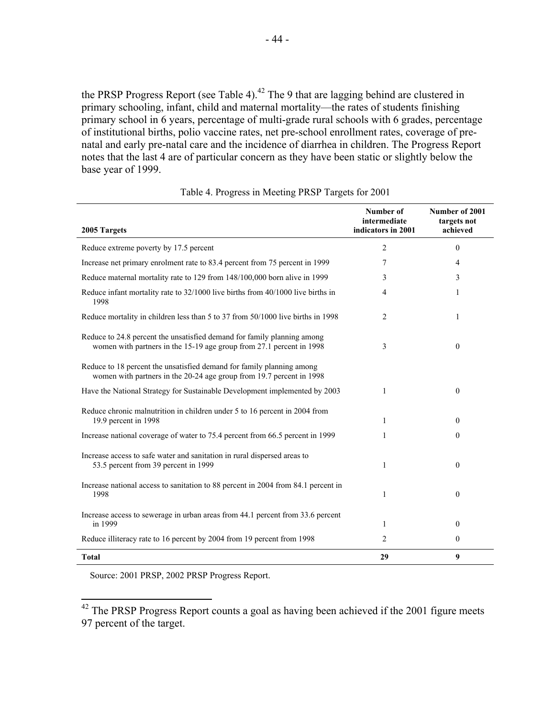the PRSP Progress Report (see Table 4).<sup>42</sup> The 9 that are lagging behind are clustered in primary schooling, infant, child and maternal mortality—the rates of students finishing primary school in 6 years, percentage of multi-grade rural schools with 6 grades, percentage of institutional births, polio vaccine rates, net pre-school enrollment rates, coverage of prenatal and early pre-natal care and the incidence of diarrhea in children. The Progress Report notes that the last 4 are of particular concern as they have been static or slightly below the base year of 1999.

|                                                                                                                                                 | Number of<br>intermediate | Number of 2001<br>targets not |
|-------------------------------------------------------------------------------------------------------------------------------------------------|---------------------------|-------------------------------|
| 2005 Targets                                                                                                                                    | indicators in 2001        | achieved                      |
| Reduce extreme poverty by 17.5 percent                                                                                                          | 2                         | $\theta$                      |
| Increase net primary enrolment rate to 83.4 percent from 75 percent in 1999                                                                     | 7                         | 4                             |
| Reduce maternal mortality rate to 129 from 148/100,000 born alive in 1999                                                                       | 3                         | 3                             |
| Reduce infant mortality rate to 32/1000 live births from 40/1000 live births in<br>1998                                                         | $\overline{4}$            | 1                             |
| Reduce mortality in children less than 5 to 37 from 50/1000 live births in 1998                                                                 | 2                         | 1                             |
| Reduce to 24.8 percent the unsatisfied demand for family planning among<br>women with partners in the 15-19 age group from 27.1 percent in 1998 | 3                         | $\theta$                      |
| Reduce to 18 percent the unsatisfied demand for family planning among<br>women with partners in the 20-24 age group from 19.7 percent in 1998   |                           |                               |
| Have the National Strategy for Sustainable Development implemented by 2003                                                                      | 1                         | $\theta$                      |
| Reduce chronic malnutrition in children under 5 to 16 percent in 2004 from<br>19.9 percent in 1998                                              | 1                         | $\theta$                      |
| Increase national coverage of water to 75.4 percent from 66.5 percent in 1999                                                                   | 1                         | $\mathbf{0}$                  |
| Increase access to safe water and sanitation in rural dispersed areas to<br>53.5 percent from 39 percent in 1999                                | 1                         | $\theta$                      |
| Increase national access to sanitation to 88 percent in 2004 from 84.1 percent in<br>1998                                                       | 1                         | $\mathbf{0}$                  |
| Increase access to sewerage in urban areas from 44.1 percent from 33.6 percent<br>in 1999                                                       | 1                         | $\mathbf{0}$                  |
| Reduce illiteracy rate to 16 percent by 2004 from 19 percent from 1998                                                                          | 2                         | 0                             |
| <b>Total</b>                                                                                                                                    | 29                        | 9                             |

Table 4. Progress in Meeting PRSP Targets for 2001

Source: 2001 PRSP, 2002 PRSP Progress Report.

 $\overline{a}$ 

 $42$  The PRSP Progress Report counts a goal as having been achieved if the 2001 figure meets 97 percent of the target.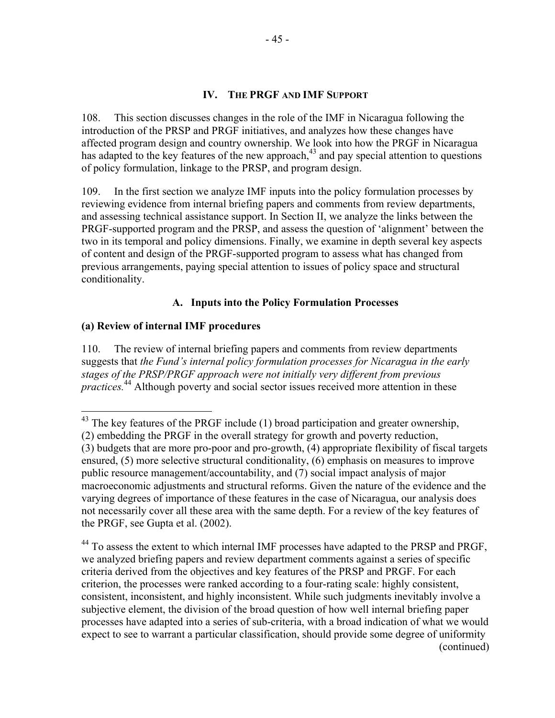#### **IV. THE PRGF AND IMF SUPPORT**

108. This section discusses changes in the role of the IMF in Nicaragua following the introduction of the PRSP and PRGF initiatives, and analyzes how these changes have affected program design and country ownership. We look into how the PRGF in Nicaragua has adapted to the key features of the new approach, $43$  and pay special attention to questions of policy formulation, linkage to the PRSP, and program design.

109. In the first section we analyze IMF inputs into the policy formulation processes by reviewing evidence from internal briefing papers and comments from review departments, and assessing technical assistance support. In Section II, we analyze the links between the PRGF-supported program and the PRSP, and assess the question of 'alignment' between the two in its temporal and policy dimensions. Finally, we examine in depth several key aspects of content and design of the PRGF-supported program to assess what has changed from previous arrangements, paying special attention to issues of policy space and structural conditionality.

### **A. Inputs into the Policy Formulation Processes**

#### **(a) Review of internal IMF procedures**

 $\overline{a}$ 

110. The review of internal briefing papers and comments from review departments suggests that *the Fund's internal policy formulation processes for Nicaragua in the early stages of the PRSP/PRGF approach were not initially very different from previous practices.*44 Although poverty and social sector issues received more attention in these

 $43$  The key features of the PRGF include (1) broad participation and greater ownership, (2) embedding the PRGF in the overall strategy for growth and poverty reduction, (3) budgets that are more pro-poor and pro-growth, (4) appropriate flexibility of fiscal targets ensured, (5) more selective structural conditionality, (6) emphasis on measures to improve public resource management/accountability, and (7) social impact analysis of major macroeconomic adjustments and structural reforms. Given the nature of the evidence and the varying degrees of importance of these features in the case of Nicaragua, our analysis does not necessarily cover all these area with the same depth. For a review of the key features of the PRGF, see Gupta et al. (2002).

<sup>&</sup>lt;sup>44</sup> To assess the extent to which internal IMF processes have adapted to the PRSP and PRGF, we analyzed briefing papers and review department comments against a series of specific criteria derived from the objectives and key features of the PRSP and PRGF. For each criterion, the processes were ranked according to a four-rating scale: highly consistent, consistent, inconsistent, and highly inconsistent. While such judgments inevitably involve a subjective element, the division of the broad question of how well internal briefing paper processes have adapted into a series of sub-criteria, with a broad indication of what we would expect to see to warrant a particular classification, should provide some degree of uniformity (continued)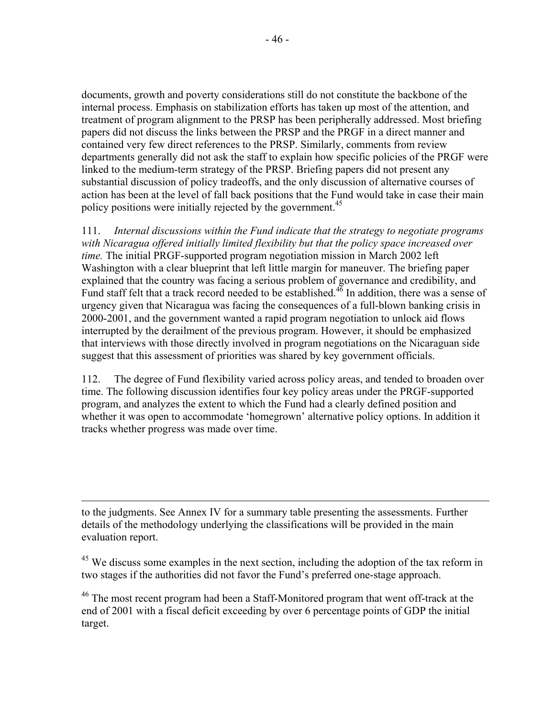documents, growth and poverty considerations still do not constitute the backbone of the internal process. Emphasis on stabilization efforts has taken up most of the attention, and treatment of program alignment to the PRSP has been peripherally addressed. Most briefing papers did not discuss the links between the PRSP and the PRGF in a direct manner and contained very few direct references to the PRSP. Similarly, comments from review departments generally did not ask the staff to explain how specific policies of the PRGF were linked to the medium-term strategy of the PRSP. Briefing papers did not present any substantial discussion of policy tradeoffs, and the only discussion of alternative courses of action has been at the level of fall back positions that the Fund would take in case their main policy positions were initially rejected by the government.<sup>45</sup>

111. *Internal discussions within the Fund indicate that the strategy to negotiate programs with Nicaragua offered initially limited flexibility but that the policy space increased over time.* The initial PRGF-supported program negotiation mission in March 2002 left Washington with a clear blueprint that left little margin for maneuver. The briefing paper explained that the country was facing a serious problem of governance and credibility, and Fund staff felt that a track record needed to be established.<sup>46</sup> In addition, there was a sense of urgency given that Nicaragua was facing the consequences of a full-blown banking crisis in 2000-2001, and the government wanted a rapid program negotiation to unlock aid flows interrupted by the derailment of the previous program. However, it should be emphasized that interviews with those directly involved in program negotiations on the Nicaraguan side suggest that this assessment of priorities was shared by key government officials.

112. The degree of Fund flexibility varied across policy areas, and tended to broaden over time. The following discussion identifies four key policy areas under the PRGF-supported program, and analyzes the extent to which the Fund had a clearly defined position and whether it was open to accommodate 'homegrown' alternative policy options. In addition it tracks whether progress was made over time.

to the judgments. See Annex IV for a summary table presenting the assessments. Further details of the methodology underlying the classifications will be provided in the main evaluation report.

1

<sup>45</sup> We discuss some examples in the next section, including the adoption of the tax reform in two stages if the authorities did not favor the Fund's preferred one-stage approach.

<sup>46</sup> The most recent program had been a Staff-Monitored program that went off-track at the end of 2001 with a fiscal deficit exceeding by over 6 percentage points of GDP the initial target.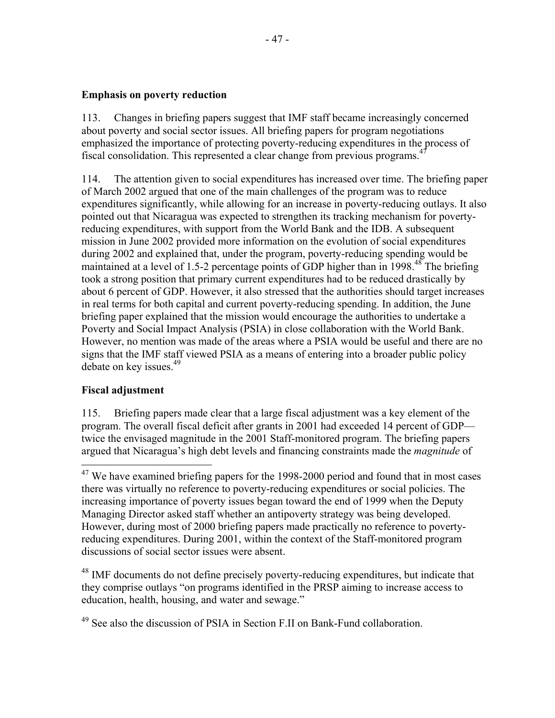#### **Emphasis on poverty reduction**

113. Changes in briefing papers suggest that IMF staff became increasingly concerned about poverty and social sector issues. All briefing papers for program negotiations emphasized the importance of protecting poverty-reducing expenditures in the process of fiscal consolidation. This represented a clear change from previous programs.47

114. The attention given to social expenditures has increased over time. The briefing paper of March 2002 argued that one of the main challenges of the program was to reduce expenditures significantly, while allowing for an increase in poverty-reducing outlays. It also pointed out that Nicaragua was expected to strengthen its tracking mechanism for povertyreducing expenditures, with support from the World Bank and the IDB. A subsequent mission in June 2002 provided more information on the evolution of social expenditures during 2002 and explained that, under the program, poverty-reducing spending would be maintained at a level of 1.5-2 percentage points of GDP higher than in 1998.<sup>48</sup> The briefing took a strong position that primary current expenditures had to be reduced drastically by about 6 percent of GDP. However, it also stressed that the authorities should target increases in real terms for both capital and current poverty-reducing spending. In addition, the June briefing paper explained that the mission would encourage the authorities to undertake a Poverty and Social Impact Analysis (PSIA) in close collaboration with the World Bank. However, no mention was made of the areas where a PSIA would be useful and there are no signs that the IMF staff viewed PSIA as a means of entering into a broader public policy debate on key issues.<sup>49</sup>

### **Fiscal adjustment**

1

115. Briefing papers made clear that a large fiscal adjustment was a key element of the program. The overall fiscal deficit after grants in 2001 had exceeded 14 percent of GDP twice the envisaged magnitude in the 2001 Staff-monitored program. The briefing papers argued that Nicaragua's high debt levels and financing constraints made the *magnitude* of

<sup>48</sup> IMF documents do not define precisely poverty-reducing expenditures, but indicate that they comprise outlays "on programs identified in the PRSP aiming to increase access to education, health, housing, and water and sewage."

 $47$  We have examined briefing papers for the 1998-2000 period and found that in most cases there was virtually no reference to poverty-reducing expenditures or social policies. The increasing importance of poverty issues began toward the end of 1999 when the Deputy Managing Director asked staff whether an antipoverty strategy was being developed. However, during most of 2000 briefing papers made practically no reference to povertyreducing expenditures. During 2001, within the context of the Staff-monitored program discussions of social sector issues were absent.

 $49$  See also the discussion of PSIA in Section F.II on Bank-Fund collaboration.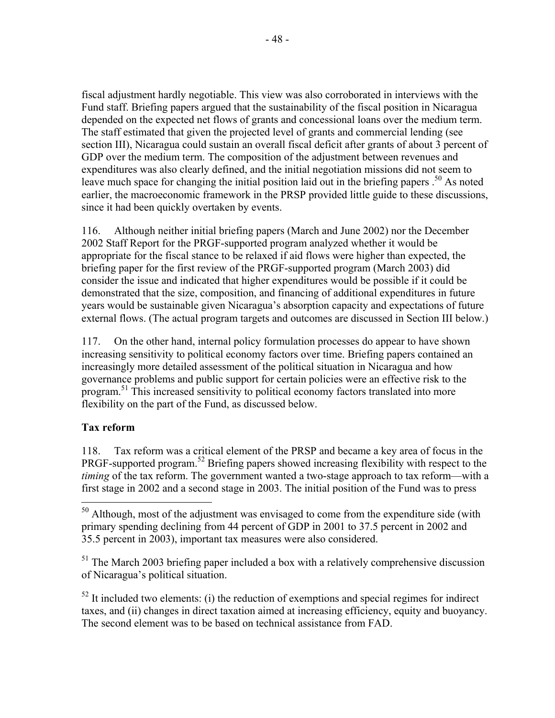fiscal adjustment hardly negotiable. This view was also corroborated in interviews with the Fund staff. Briefing papers argued that the sustainability of the fiscal position in Nicaragua depended on the expected net flows of grants and concessional loans over the medium term. The staff estimated that given the projected level of grants and commercial lending (see section III), Nicaragua could sustain an overall fiscal deficit after grants of about 3 percent of GDP over the medium term. The composition of the adjustment between revenues and expenditures was also clearly defined, and the initial negotiation missions did not seem to leave much space for changing the initial position laid out in the briefing papers .<sup>50</sup> As noted earlier, the macroeconomic framework in the PRSP provided little guide to these discussions, since it had been quickly overtaken by events.

116. Although neither initial briefing papers (March and June 2002) nor the December 2002 Staff Report for the PRGF-supported program analyzed whether it would be appropriate for the fiscal stance to be relaxed if aid flows were higher than expected, the briefing paper for the first review of the PRGF-supported program (March 2003) did consider the issue and indicated that higher expenditures would be possible if it could be demonstrated that the size, composition, and financing of additional expenditures in future years would be sustainable given Nicaragua's absorption capacity and expectations of future external flows. (The actual program targets and outcomes are discussed in Section III below.)

117. On the other hand, internal policy formulation processes do appear to have shown increasing sensitivity to political economy factors over time. Briefing papers contained an increasingly more detailed assessment of the political situation in Nicaragua and how governance problems and public support for certain policies were an effective risk to the program.<sup>51</sup> This increased sensitivity to political economy factors translated into more flexibility on the part of the Fund, as discussed below.

# **Tax reform**

 $\overline{a}$ 

118. Tax reform was a critical element of the PRSP and became a key area of focus in the PRGF-supported program.<sup>52</sup> Briefing papers showed increasing flexibility with respect to the *timing* of the tax reform. The government wanted a two-stage approach to tax reform—with a first stage in 2002 and a second stage in 2003. The initial position of the Fund was to press

 $<sup>51</sup>$  The March 2003 briefing paper included a box with a relatively comprehensive discussion</sup> of Nicaragua's political situation.

 $52$  It included two elements: (i) the reduction of exemptions and special regimes for indirect taxes, and (ii) changes in direct taxation aimed at increasing efficiency, equity and buoyancy. The second element was to be based on technical assistance from FAD.

 $50$  Although, most of the adjustment was envisaged to come from the expenditure side (with primary spending declining from 44 percent of GDP in 2001 to 37.5 percent in 2002 and 35.5 percent in 2003), important tax measures were also considered.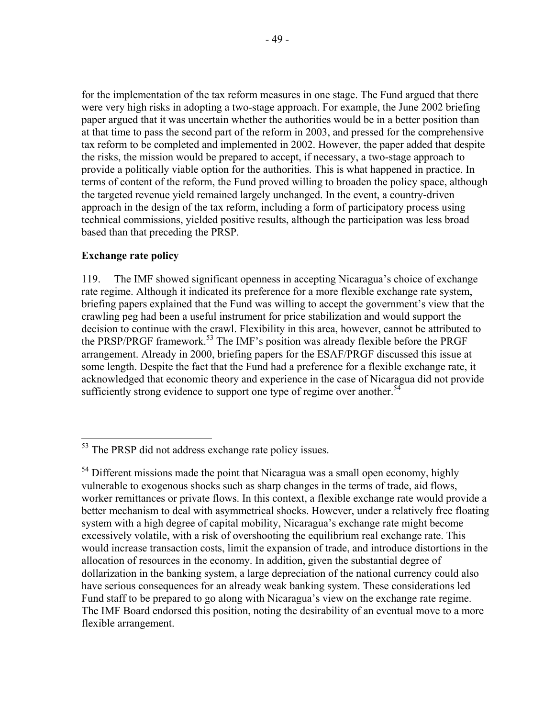for the implementation of the tax reform measures in one stage. The Fund argued that there were very high risks in adopting a two-stage approach. For example, the June 2002 briefing paper argued that it was uncertain whether the authorities would be in a better position than at that time to pass the second part of the reform in 2003, and pressed for the comprehensive tax reform to be completed and implemented in 2002. However, the paper added that despite the risks, the mission would be prepared to accept, if necessary, a two-stage approach to provide a politically viable option for the authorities. This is what happened in practice. In terms of content of the reform, the Fund proved willing to broaden the policy space, although the targeted revenue yield remained largely unchanged. In the event, a country-driven approach in the design of the tax reform, including a form of participatory process using technical commissions, yielded positive results, although the participation was less broad based than that preceding the PRSP.

#### **Exchange rate policy**

 $\overline{a}$ 

119. The IMF showed significant openness in accepting Nicaragua's choice of exchange rate regime. Although it indicated its preference for a more flexible exchange rate system, briefing papers explained that the Fund was willing to accept the government's view that the crawling peg had been a useful instrument for price stabilization and would support the decision to continue with the crawl. Flexibility in this area, however, cannot be attributed to the PRSP/PRGF framework.<sup>53</sup> The IMF's position was already flexible before the PRGF arrangement. Already in 2000, briefing papers for the ESAF/PRGF discussed this issue at some length. Despite the fact that the Fund had a preference for a flexible exchange rate, it acknowledged that economic theory and experience in the case of Nicaragua did not provide sufficiently strong evidence to support one type of regime over another.<sup>54</sup>

<sup>&</sup>lt;sup>53</sup> The PRSP did not address exchange rate policy issues.

 $<sup>54</sup>$  Different missions made the point that Nicaragua was a small open economy, highly</sup> vulnerable to exogenous shocks such as sharp changes in the terms of trade, aid flows, worker remittances or private flows. In this context, a flexible exchange rate would provide a better mechanism to deal with asymmetrical shocks. However, under a relatively free floating system with a high degree of capital mobility, Nicaragua's exchange rate might become excessively volatile, with a risk of overshooting the equilibrium real exchange rate. This would increase transaction costs, limit the expansion of trade, and introduce distortions in the allocation of resources in the economy. In addition, given the substantial degree of dollarization in the banking system, a large depreciation of the national currency could also have serious consequences for an already weak banking system. These considerations led Fund staff to be prepared to go along with Nicaragua's view on the exchange rate regime. The IMF Board endorsed this position, noting the desirability of an eventual move to a more flexible arrangement.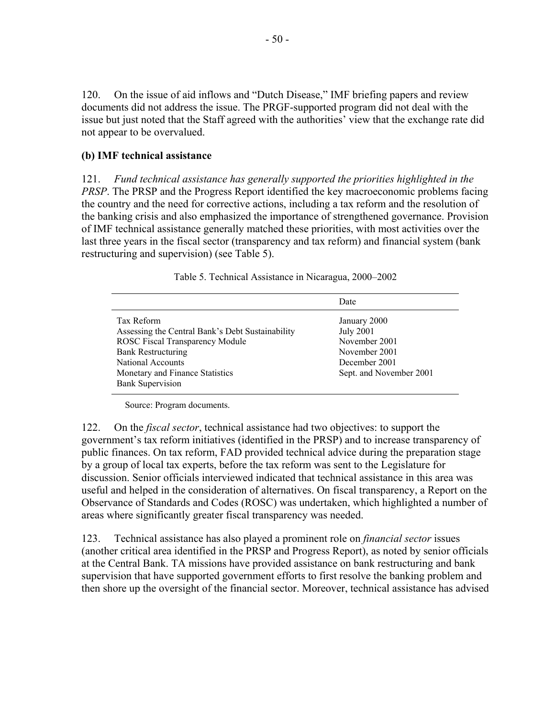120. On the issue of aid inflows and "Dutch Disease," IMF briefing papers and review documents did not address the issue. The PRGF-supported program did not deal with the issue but just noted that the Staff agreed with the authorities' view that the exchange rate did not appear to be overvalued.

#### **(b) IMF technical assistance**

121. *Fund technical assistance has generally supported the priorities highlighted in the PRSP*. The PRSP and the Progress Report identified the key macroeconomic problems facing the country and the need for corrective actions, including a tax reform and the resolution of the banking crisis and also emphasized the importance of strengthened governance. Provision of IMF technical assistance generally matched these priorities, with most activities over the last three years in the fiscal sector (transparency and tax reform) and financial system (bank restructuring and supervision) (see Table 5).

|                                                  | Date                    |
|--------------------------------------------------|-------------------------|
| Tax Reform                                       | January 2000            |
| Assessing the Central Bank's Debt Sustainability | July 2001               |
| <b>ROSC Fiscal Transparency Module</b>           | November 2001           |
| <b>Bank Restructuring</b>                        | November 2001           |
| National Accounts                                | December 2001           |
| Monetary and Finance Statistics                  | Sept. and November 2001 |
| <b>Bank Supervision</b>                          |                         |

Table 5. Technical Assistance in Nicaragua, 2000–2002

Source: Program documents.

122. On the *fiscal sector*, technical assistance had two objectives: to support the government's tax reform initiatives (identified in the PRSP) and to increase transparency of public finances. On tax reform, FAD provided technical advice during the preparation stage by a group of local tax experts, before the tax reform was sent to the Legislature for discussion. Senior officials interviewed indicated that technical assistance in this area was useful and helped in the consideration of alternatives. On fiscal transparency, a Report on the Observance of Standards and Codes (ROSC) was undertaken, which highlighted a number of areas where significantly greater fiscal transparency was needed.

123. Technical assistance has also played a prominent role on *financial sector* issues (another critical area identified in the PRSP and Progress Report), as noted by senior officials at the Central Bank. TA missions have provided assistance on bank restructuring and bank supervision that have supported government efforts to first resolve the banking problem and then shore up the oversight of the financial sector. Moreover, technical assistance has advised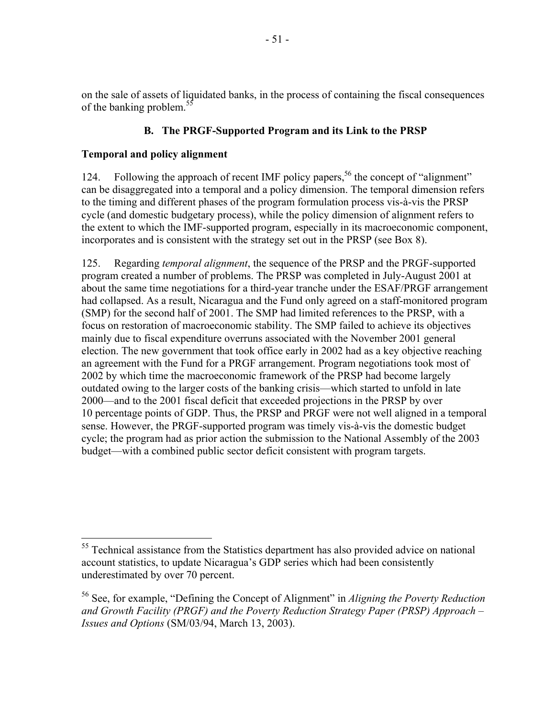on the sale of assets of liquidated banks, in the process of containing the fiscal consequences of the banking problem.<sup>55</sup>

## **B. The PRGF-Supported Program and its Link to the PRSP**

#### **Temporal and policy alignment**

1

124. Following the approach of recent IMF policy papers,<sup>56</sup> the concept of "alignment" can be disaggregated into a temporal and a policy dimension. The temporal dimension refers to the timing and different phases of the program formulation process vis-à-vis the PRSP cycle (and domestic budgetary process), while the policy dimension of alignment refers to the extent to which the IMF-supported program, especially in its macroeconomic component, incorporates and is consistent with the strategy set out in the PRSP (see Box 8).

125. Regarding *temporal alignment*, the sequence of the PRSP and the PRGF-supported program created a number of problems. The PRSP was completed in July-August 2001 at about the same time negotiations for a third-year tranche under the ESAF/PRGF arrangement had collapsed. As a result, Nicaragua and the Fund only agreed on a staff-monitored program (SMP) for the second half of 2001. The SMP had limited references to the PRSP, with a focus on restoration of macroeconomic stability. The SMP failed to achieve its objectives mainly due to fiscal expenditure overruns associated with the November 2001 general election. The new government that took office early in 2002 had as a key objective reaching an agreement with the Fund for a PRGF arrangement. Program negotiations took most of 2002 by which time the macroeconomic framework of the PRSP had become largely outdated owing to the larger costs of the banking crisis—which started to unfold in late 2000—and to the 2001 fiscal deficit that exceeded projections in the PRSP by over 10 percentage points of GDP. Thus, the PRSP and PRGF were not well aligned in a temporal sense. However, the PRGF-supported program was timely vis-à-vis the domestic budget cycle; the program had as prior action the submission to the National Assembly of the 2003 budget—with a combined public sector deficit consistent with program targets.

 $55$  Technical assistance from the Statistics department has also provided advice on national account statistics, to update Nicaragua's GDP series which had been consistently underestimated by over 70 percent.

<sup>56</sup> See, for example, "Defining the Concept of Alignment" in *Aligning the Poverty Reduction and Growth Facility (PRGF) and the Poverty Reduction Strategy Paper (PRSP) Approach – Issues and Options* (SM/03/94, March 13, 2003).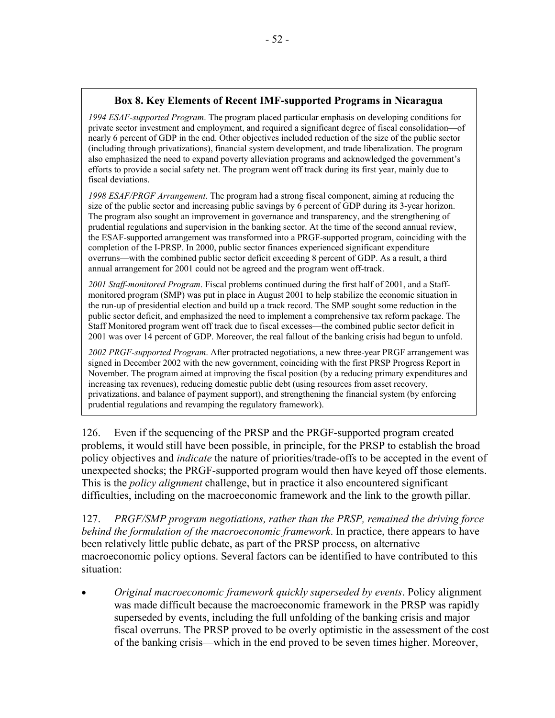### **Box 8. Key Elements of Recent IMF-supported Programs in Nicaragua**

*1994 ESAF-supported Program*. The program placed particular emphasis on developing conditions for private sector investment and employment, and required a significant degree of fiscal consolidation—of nearly 6 percent of GDP in the end. Other objectives included reduction of the size of the public sector (including through privatizations), financial system development, and trade liberalization. The program also emphasized the need to expand poverty alleviation programs and acknowledged the government's efforts to provide a social safety net. The program went off track during its first year, mainly due to fiscal deviations.

*1998 ESAF/PRGF Arrangement*. The program had a strong fiscal component, aiming at reducing the size of the public sector and increasing public savings by 6 percent of GDP during its 3-year horizon. The program also sought an improvement in governance and transparency, and the strengthening of prudential regulations and supervision in the banking sector. At the time of the second annual review, the ESAF-supported arrangement was transformed into a PRGF-supported program, coinciding with the completion of the I-PRSP. In 2000, public sector finances experienced significant expenditure overruns—with the combined public sector deficit exceeding 8 percent of GDP. As a result, a third annual arrangement for 2001 could not be agreed and the program went off-track.

*2001 Staff-monitored Program*. Fiscal problems continued during the first half of 2001, and a Staffmonitored program (SMP) was put in place in August 2001 to help stabilize the economic situation in the run-up of presidential election and build up a track record. The SMP sought some reduction in the public sector deficit, and emphasized the need to implement a comprehensive tax reform package. The Staff Monitored program went off track due to fiscal excesses—the combined public sector deficit in 2001 was over 14 percent of GDP. Moreover, the real fallout of the banking crisis had begun to unfold.

*2002 PRGF-supported Program*. After protracted negotiations, a new three-year PRGF arrangement was signed in December 2002 with the new government, coinciding with the first PRSP Progress Report in November. The program aimed at improving the fiscal position (by a reducing primary expenditures and increasing tax revenues), reducing domestic public debt (using resources from asset recovery, privatizations, and balance of payment support), and strengthening the financial system (by enforcing prudential regulations and revamping the regulatory framework).

126. Even if the sequencing of the PRSP and the PRGF-supported program created problems, it would still have been possible, in principle, for the PRSP to establish the broad policy objectives and *indicate* the nature of priorities/trade-offs to be accepted in the event of unexpected shocks; the PRGF-supported program would then have keyed off those elements. This is the *policy alignment* challenge, but in practice it also encountered significant difficulties, including on the macroeconomic framework and the link to the growth pillar.

127. *PRGF/SMP program negotiations, rather than the PRSP, remained the driving force behind the formulation of the macroeconomic framework*. In practice, there appears to have been relatively little public debate, as part of the PRSP process, on alternative macroeconomic policy options. Several factors can be identified to have contributed to this situation:

• *Original macroeconomic framework quickly superseded by events*. Policy alignment was made difficult because the macroeconomic framework in the PRSP was rapidly superseded by events, including the full unfolding of the banking crisis and major fiscal overruns. The PRSP proved to be overly optimistic in the assessment of the cost of the banking crisis—which in the end proved to be seven times higher. Moreover,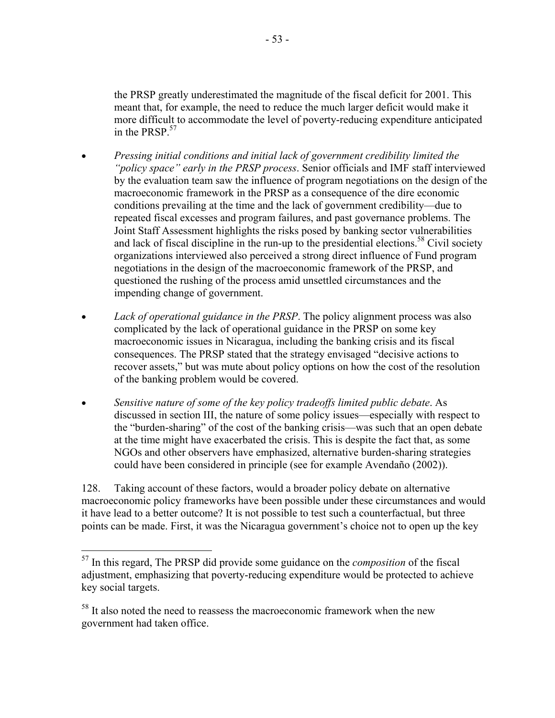the PRSP greatly underestimated the magnitude of the fiscal deficit for 2001. This meant that, for example, the need to reduce the much larger deficit would make it more difficult to accommodate the level of poverty-reducing expenditure anticipated in the PRSP  $57$ 

- *Pressing initial conditions and initial lack of government credibility limited the "policy space" early in the PRSP process*. Senior officials and IMF staff interviewed by the evaluation team saw the influence of program negotiations on the design of the macroeconomic framework in the PRSP as a consequence of the dire economic conditions prevailing at the time and the lack of government credibility—due to repeated fiscal excesses and program failures, and past governance problems. The Joint Staff Assessment highlights the risks posed by banking sector vulnerabilities and lack of fiscal discipline in the run-up to the presidential elections.<sup>58</sup> Civil society organizations interviewed also perceived a strong direct influence of Fund program negotiations in the design of the macroeconomic framework of the PRSP, and questioned the rushing of the process amid unsettled circumstances and the impending change of government.
- *Lack of operational guidance in the PRSP*. The policy alignment process was also complicated by the lack of operational guidance in the PRSP on some key macroeconomic issues in Nicaragua, including the banking crisis and its fiscal consequences. The PRSP stated that the strategy envisaged "decisive actions to recover assets," but was mute about policy options on how the cost of the resolution of the banking problem would be covered.
- *Sensitive nature of some of the key policy tradeoffs limited public debate*. As discussed in section III, the nature of some policy issues—especially with respect to the "burden-sharing" of the cost of the banking crisis—was such that an open debate at the time might have exacerbated the crisis. This is despite the fact that, as some NGOs and other observers have emphasized, alternative burden-sharing strategies could have been considered in principle (see for example Avendaño (2002)).

128. Taking account of these factors, would a broader policy debate on alternative macroeconomic policy frameworks have been possible under these circumstances and would it have lead to a better outcome? It is not possible to test such a counterfactual, but three points can be made. First, it was the Nicaragua government's choice not to open up the key

 $\overline{a}$ 57 In this regard, The PRSP did provide some guidance on the *composition* of the fiscal adjustment, emphasizing that poverty-reducing expenditure would be protected to achieve key social targets.

<sup>&</sup>lt;sup>58</sup> It also noted the need to reassess the macroeconomic framework when the new government had taken office.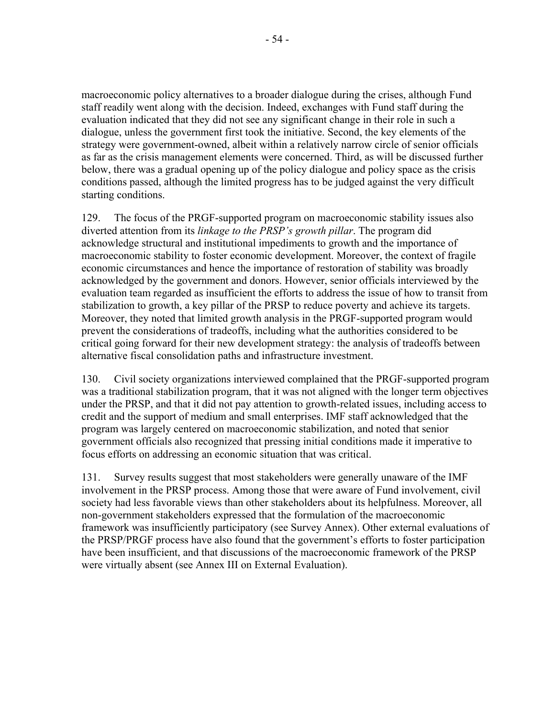macroeconomic policy alternatives to a broader dialogue during the crises, although Fund staff readily went along with the decision. Indeed, exchanges with Fund staff during the evaluation indicated that they did not see any significant change in their role in such a dialogue, unless the government first took the initiative. Second, the key elements of the strategy were government-owned, albeit within a relatively narrow circle of senior officials as far as the crisis management elements were concerned. Third, as will be discussed further below, there was a gradual opening up of the policy dialogue and policy space as the crisis conditions passed, although the limited progress has to be judged against the very difficult starting conditions.

129. The focus of the PRGF-supported program on macroeconomic stability issues also diverted attention from its *linkage to the PRSP's growth pillar*. The program did acknowledge structural and institutional impediments to growth and the importance of macroeconomic stability to foster economic development. Moreover, the context of fragile economic circumstances and hence the importance of restoration of stability was broadly acknowledged by the government and donors. However, senior officials interviewed by the evaluation team regarded as insufficient the efforts to address the issue of how to transit from stabilization to growth, a key pillar of the PRSP to reduce poverty and achieve its targets. Moreover, they noted that limited growth analysis in the PRGF-supported program would prevent the considerations of tradeoffs, including what the authorities considered to be critical going forward for their new development strategy: the analysis of tradeoffs between alternative fiscal consolidation paths and infrastructure investment.

130. Civil society organizations interviewed complained that the PRGF-supported program was a traditional stabilization program, that it was not aligned with the longer term objectives under the PRSP, and that it did not pay attention to growth-related issues, including access to credit and the support of medium and small enterprises. IMF staff acknowledged that the program was largely centered on macroeconomic stabilization, and noted that senior government officials also recognized that pressing initial conditions made it imperative to focus efforts on addressing an economic situation that was critical.

131. Survey results suggest that most stakeholders were generally unaware of the IMF involvement in the PRSP process. Among those that were aware of Fund involvement, civil society had less favorable views than other stakeholders about its helpfulness. Moreover, all non-government stakeholders expressed that the formulation of the macroeconomic framework was insufficiently participatory (see Survey Annex). Other external evaluations of the PRSP/PRGF process have also found that the government's efforts to foster participation have been insufficient, and that discussions of the macroeconomic framework of the PRSP were virtually absent (see Annex III on External Evaluation).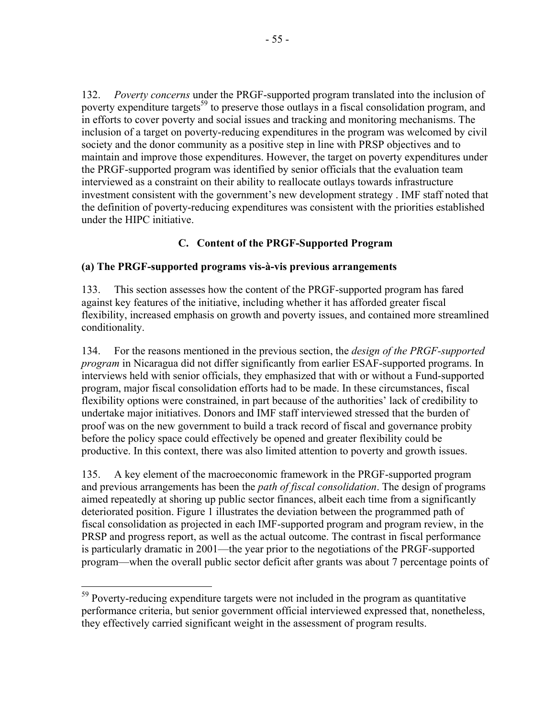132. *Poverty concerns* under the PRGF-supported program translated into the inclusion of poverty expenditure targets<sup>59</sup> to preserve those outlays in a fiscal consolidation program, and in efforts to cover poverty and social issues and tracking and monitoring mechanisms. The inclusion of a target on poverty-reducing expenditures in the program was welcomed by civil society and the donor community as a positive step in line with PRSP objectives and to maintain and improve those expenditures. However, the target on poverty expenditures under the PRGF-supported program was identified by senior officials that the evaluation team interviewed as a constraint on their ability to reallocate outlays towards infrastructure investment consistent with the government's new development strategy . IMF staff noted that the definition of poverty-reducing expenditures was consistent with the priorities established under the HIPC initiative.

# **C. Content of the PRGF-Supported Program**

#### **(a) The PRGF-supported programs vis-à-vis previous arrangements**

133. This section assesses how the content of the PRGF-supported program has fared against key features of the initiative, including whether it has afforded greater fiscal flexibility, increased emphasis on growth and poverty issues, and contained more streamlined conditionality.

134. For the reasons mentioned in the previous section, the *design of the PRGF-supported program* in Nicaragua did not differ significantly from earlier ESAF-supported programs. In interviews held with senior officials, they emphasized that with or without a Fund-supported program, major fiscal consolidation efforts had to be made. In these circumstances, fiscal flexibility options were constrained, in part because of the authorities' lack of credibility to undertake major initiatives. Donors and IMF staff interviewed stressed that the burden of proof was on the new government to build a track record of fiscal and governance probity before the policy space could effectively be opened and greater flexibility could be productive. In this context, there was also limited attention to poverty and growth issues.

135. A key element of the macroeconomic framework in the PRGF-supported program and previous arrangements has been the *path of fiscal consolidation*. The design of programs aimed repeatedly at shoring up public sector finances, albeit each time from a significantly deteriorated position. Figure 1 illustrates the deviation between the programmed path of fiscal consolidation as projected in each IMF-supported program and program review, in the PRSP and progress report, as well as the actual outcome. The contrast in fiscal performance is particularly dramatic in 2001—the year prior to the negotiations of the PRGF-supported program—when the overall public sector deficit after grants was about 7 percentage points of

 $59$  Poverty-reducing expenditure targets were not included in the program as quantitative performance criteria, but senior government official interviewed expressed that, nonetheless, they effectively carried significant weight in the assessment of program results.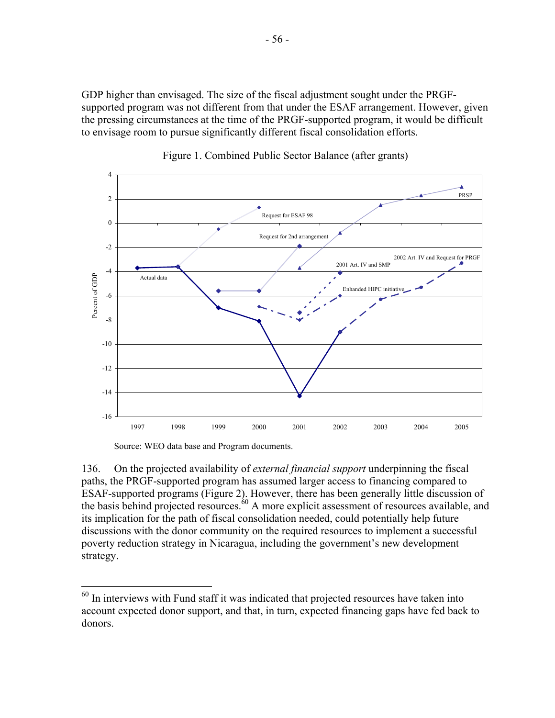GDP higher than envisaged. The size of the fiscal adjustment sought under the PRGFsupported program was not different from that under the ESAF arrangement. However, given the pressing circumstances at the time of the PRGF-supported program, it would be difficult to envisage room to pursue significantly different fiscal consolidation efforts.





Source: WEO data base and Program documents.

 $\overline{a}$ 

136. On the projected availability of *external financial support* underpinning the fiscal paths, the PRGF-supported program has assumed larger access to financing compared to ESAF-supported programs (Figure 2). However, there has been generally little discussion of the basis behind projected resources. $60$  A more explicit assessment of resources available, and its implication for the path of fiscal consolidation needed, could potentially help future discussions with the donor community on the required resources to implement a successful poverty reduction strategy in Nicaragua, including the government's new development strategy.

 $60$  In interviews with Fund staff it was indicated that projected resources have taken into account expected donor support, and that, in turn, expected financing gaps have fed back to donors.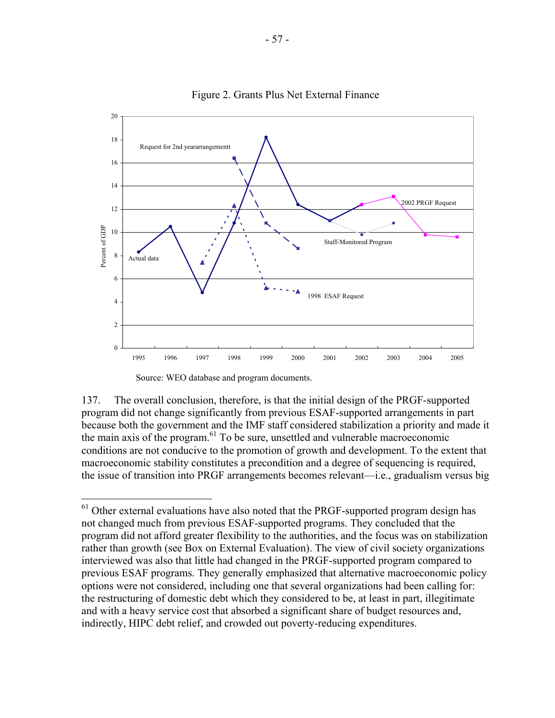

Figure 2. Grants Plus Net External Finance

Source: WEO database and program documents.

 $\overline{a}$ 

137. The overall conclusion, therefore, is that the initial design of the PRGF-supported program did not change significantly from previous ESAF-supported arrangements in part because both the government and the IMF staff considered stabilization a priority and made it the main axis of the program. $61$  To be sure, unsettled and vulnerable macroeconomic conditions are not conducive to the promotion of growth and development. To the extent that macroeconomic stability constitutes a precondition and a degree of sequencing is required, the issue of transition into PRGF arrangements becomes relevant—i.e., gradualism versus big

 $61$  Other external evaluations have also noted that the PRGF-supported program design has not changed much from previous ESAF-supported programs. They concluded that the program did not afford greater flexibility to the authorities, and the focus was on stabilization rather than growth (see Box on External Evaluation). The view of civil society organizations interviewed was also that little had changed in the PRGF-supported program compared to previous ESAF programs. They generally emphasized that alternative macroeconomic policy options were not considered, including one that several organizations had been calling for: the restructuring of domestic debt which they considered to be, at least in part, illegitimate and with a heavy service cost that absorbed a significant share of budget resources and, indirectly, HIPC debt relief, and crowded out poverty-reducing expenditures.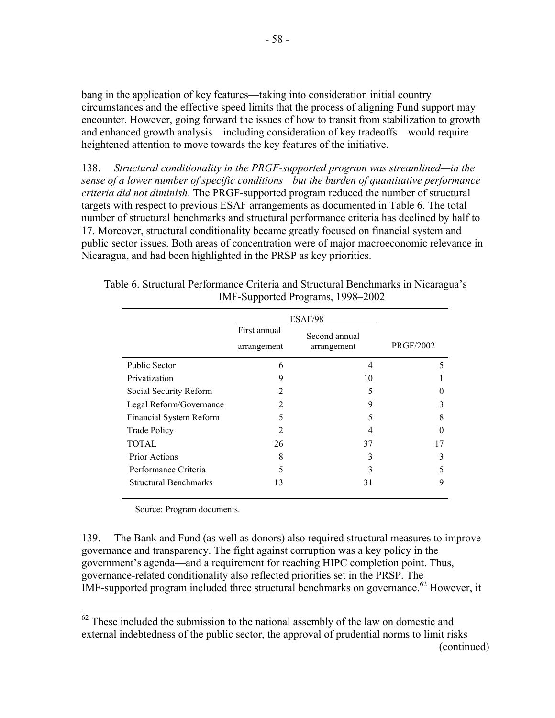bang in the application of key features—taking into consideration initial country circumstances and the effective speed limits that the process of aligning Fund support may encounter. However, going forward the issues of how to transit from stabilization to growth and enhanced growth analysis—including consideration of key tradeoffs—would require heightened attention to move towards the key features of the initiative.

138. *Structural conditionality in the PRGF-supported program was streamlined—in the sense of a lower number of specific conditions—but the burden of quantitative performance criteria did not diminish*. The PRGF-supported program reduced the number of structural targets with respect to previous ESAF arrangements as documented in Table 6. The total number of structural benchmarks and structural performance criteria has declined by half to 17. Moreover, structural conditionality became greatly focused on financial system and public sector issues. Both areas of concentration were of major macroeconomic relevance in Nicaragua, and had been highlighted in the PRSP as key priorities.

|                              | ESAF/98                                                     |    |                  |
|------------------------------|-------------------------------------------------------------|----|------------------|
|                              | First annual<br>Second annual<br>arrangement<br>arrangement |    |                  |
|                              |                                                             |    | <b>PRGF/2002</b> |
| <b>Public Sector</b>         | 6                                                           | 4  | 5                |
| Privatization                | 9                                                           | 10 |                  |
| Social Security Reform       | $\mathfrak{D}$                                              | 5  | 0                |
| Legal Reform/Governance      | 2                                                           | 9  | 3                |
| Financial System Reform      | 5                                                           | 5  | 8                |
| <b>Trade Policy</b>          | $\overline{2}$                                              | 4  | $\Omega$         |
| <b>TOTAL</b>                 | 26                                                          | 37 | 17               |
| <b>Prior Actions</b>         | 8                                                           | 3  | 3                |
| Performance Criteria         | 5                                                           | 3  | 5                |
| <b>Structural Benchmarks</b> | 13                                                          | 31 | 9                |

|                                   | Table 6. Structural Performance Criteria and Structural Benchmarks in Nicaragua's |
|-----------------------------------|-----------------------------------------------------------------------------------|
| IMF-Supported Programs, 1998–2002 |                                                                                   |

Source: Program documents.

 $\overline{a}$ 

139. The Bank and Fund (as well as donors) also required structural measures to improve governance and transparency. The fight against corruption was a key policy in the government's agenda—and a requirement for reaching HIPC completion point. Thus, governance-related conditionality also reflected priorities set in the PRSP. The IMF-supported program included three structural benchmarks on governance.<sup>62</sup> However, it

 $62$  These included the submission to the national assembly of the law on domestic and external indebtedness of the public sector, the approval of prudential norms to limit risks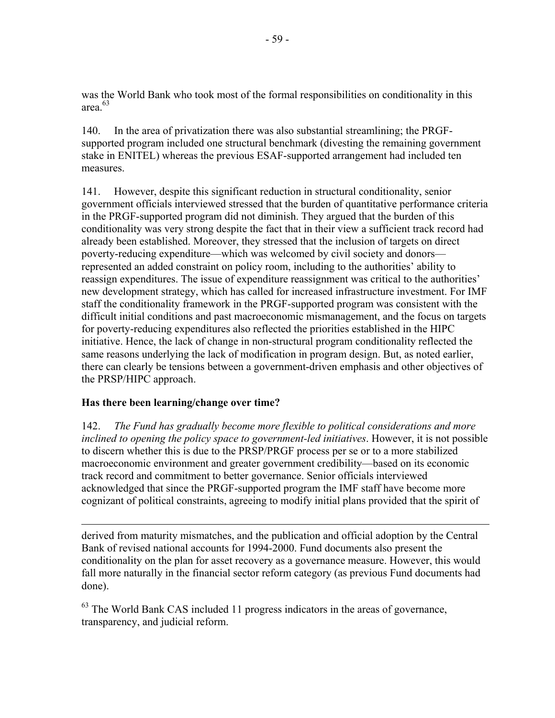was the World Bank who took most of the formal responsibilities on conditionality in this area.63

140. In the area of privatization there was also substantial streamlining; the PRGFsupported program included one structural benchmark (divesting the remaining government stake in ENITEL) whereas the previous ESAF-supported arrangement had included ten measures.

141. However, despite this significant reduction in structural conditionality, senior government officials interviewed stressed that the burden of quantitative performance criteria in the PRGF-supported program did not diminish. They argued that the burden of this conditionality was very strong despite the fact that in their view a sufficient track record had already been established. Moreover, they stressed that the inclusion of targets on direct poverty-reducing expenditure—which was welcomed by civil society and donors represented an added constraint on policy room, including to the authorities' ability to reassign expenditures. The issue of expenditure reassignment was critical to the authorities' new development strategy, which has called for increased infrastructure investment. For IMF staff the conditionality framework in the PRGF-supported program was consistent with the difficult initial conditions and past macroeconomic mismanagement, and the focus on targets for poverty-reducing expenditures also reflected the priorities established in the HIPC initiative. Hence, the lack of change in non-structural program conditionality reflected the same reasons underlying the lack of modification in program design. But, as noted earlier, there can clearly be tensions between a government-driven emphasis and other objectives of the PRSP/HIPC approach.

### **Has there been learning/change over time?**

142. *The Fund has gradually become more flexible to political considerations and more inclined to opening the policy space to government-led initiatives*. However, it is not possible to discern whether this is due to the PRSP/PRGF process per se or to a more stabilized macroeconomic environment and greater government credibility—based on its economic track record and commitment to better governance. Senior officials interviewed acknowledged that since the PRGF-supported program the IMF staff have become more cognizant of political constraints, agreeing to modify initial plans provided that the spirit of

 $\overline{a}$ derived from maturity mismatches, and the publication and official adoption by the Central Bank of revised national accounts for 1994-2000. Fund documents also present the conditionality on the plan for asset recovery as a governance measure. However, this would fall more naturally in the financial sector reform category (as previous Fund documents had done).

<sup>63</sup> The World Bank CAS included 11 progress indicators in the areas of governance, transparency, and judicial reform.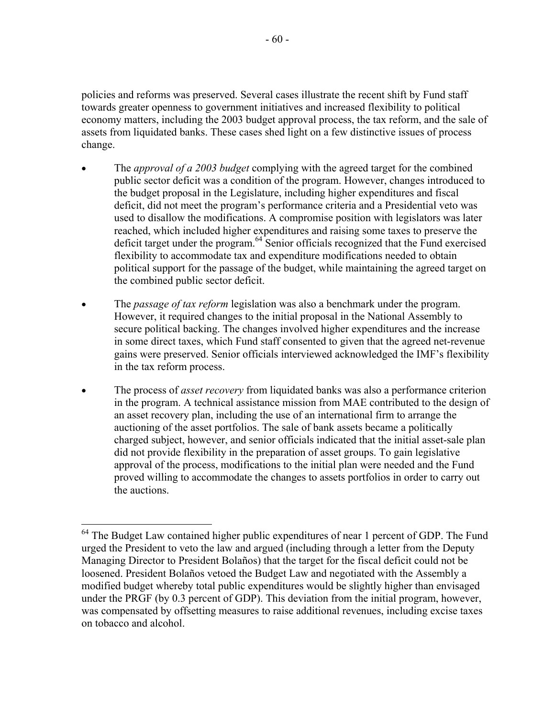policies and reforms was preserved. Several cases illustrate the recent shift by Fund staff towards greater openness to government initiatives and increased flexibility to political economy matters, including the 2003 budget approval process, the tax reform, and the sale of assets from liquidated banks. These cases shed light on a few distinctive issues of process change.

- The *approval of a 2003 budget* complying with the agreed target for the combined public sector deficit was a condition of the program. However, changes introduced to the budget proposal in the Legislature, including higher expenditures and fiscal deficit, did not meet the program's performance criteria and a Presidential veto was used to disallow the modifications. A compromise position with legislators was later reached, which included higher expenditures and raising some taxes to preserve the deficit target under the program.<sup>64</sup> Senior officials recognized that the Fund exercised flexibility to accommodate tax and expenditure modifications needed to obtain political support for the passage of the budget, while maintaining the agreed target on the combined public sector deficit.
- The *passage of tax reform* legislation was also a benchmark under the program. However, it required changes to the initial proposal in the National Assembly to secure political backing. The changes involved higher expenditures and the increase in some direct taxes, which Fund staff consented to given that the agreed net-revenue gains were preserved. Senior officials interviewed acknowledged the IMF's flexibility in the tax reform process.
- The process of *asset recovery* from liquidated banks was also a performance criterion in the program. A technical assistance mission from MAE contributed to the design of an asset recovery plan, including the use of an international firm to arrange the auctioning of the asset portfolios. The sale of bank assets became a politically charged subject, however, and senior officials indicated that the initial asset-sale plan did not provide flexibility in the preparation of asset groups. To gain legislative approval of the process, modifications to the initial plan were needed and the Fund proved willing to accommodate the changes to assets portfolios in order to carry out the auctions.

<sup>&</sup>lt;sup>64</sup> The Budget Law contained higher public expenditures of near 1 percent of GDP. The Fund urged the President to veto the law and argued (including through a letter from the Deputy Managing Director to President Bolaños) that the target for the fiscal deficit could not be loosened. President Bolaños vetoed the Budget Law and negotiated with the Assembly a modified budget whereby total public expenditures would be slightly higher than envisaged under the PRGF (by 0.3 percent of GDP). This deviation from the initial program, however, was compensated by offsetting measures to raise additional revenues, including excise taxes on tobacco and alcohol.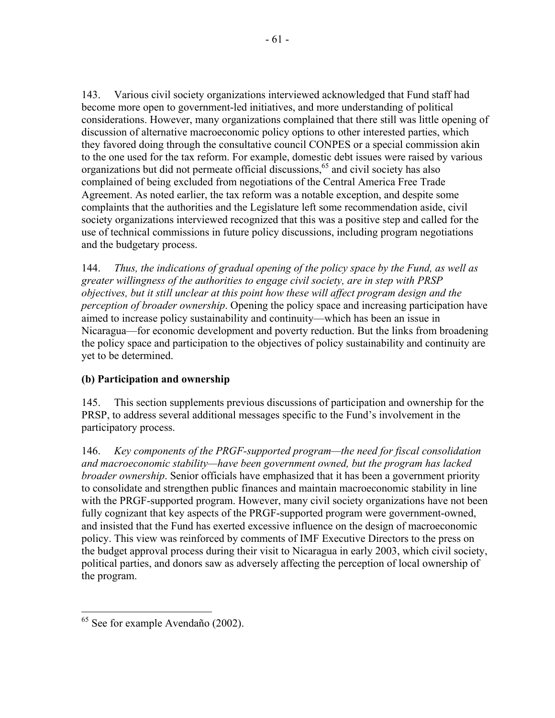143. Various civil society organizations interviewed acknowledged that Fund staff had become more open to government-led initiatives, and more understanding of political considerations. However, many organizations complained that there still was little opening of discussion of alternative macroeconomic policy options to other interested parties, which they favored doing through the consultative council CONPES or a special commission akin to the one used for the tax reform. For example, domestic debt issues were raised by various organizations but did not permeate official discussions,65 and civil society has also complained of being excluded from negotiations of the Central America Free Trade Agreement. As noted earlier, the tax reform was a notable exception, and despite some complaints that the authorities and the Legislature left some recommendation aside, civil society organizations interviewed recognized that this was a positive step and called for the use of technical commissions in future policy discussions, including program negotiations and the budgetary process.

144. *Thus, the indications of gradual opening of the policy space by the Fund, as well as greater willingness of the authorities to engage civil society, are in step with PRSP objectives, but it still unclear at this point how these will affect program design and the perception of broader ownership*. Opening the policy space and increasing participation have aimed to increase policy sustainability and continuity—which has been an issue in Nicaragua—for economic development and poverty reduction. But the links from broadening the policy space and participation to the objectives of policy sustainability and continuity are yet to be determined.

# **(b) Participation and ownership**

145. This section supplements previous discussions of participation and ownership for the PRSP, to address several additional messages specific to the Fund's involvement in the participatory process.

146. *Key components of the PRGF-supported program—the need for fiscal consolidation and macroeconomic stability—have been government owned, but the program has lacked broader ownership*. Senior officials have emphasized that it has been a government priority to consolidate and strengthen public finances and maintain macroeconomic stability in line with the PRGF-supported program. However, many civil society organizations have not been fully cognizant that key aspects of the PRGF-supported program were government-owned, and insisted that the Fund has exerted excessive influence on the design of macroeconomic policy. This view was reinforced by comments of IMF Executive Directors to the press on the budget approval process during their visit to Nicaragua in early 2003, which civil society, political parties, and donors saw as adversely affecting the perception of local ownership of the program.

<sup>1</sup> <sup>65</sup> See for example Avendaño (2002).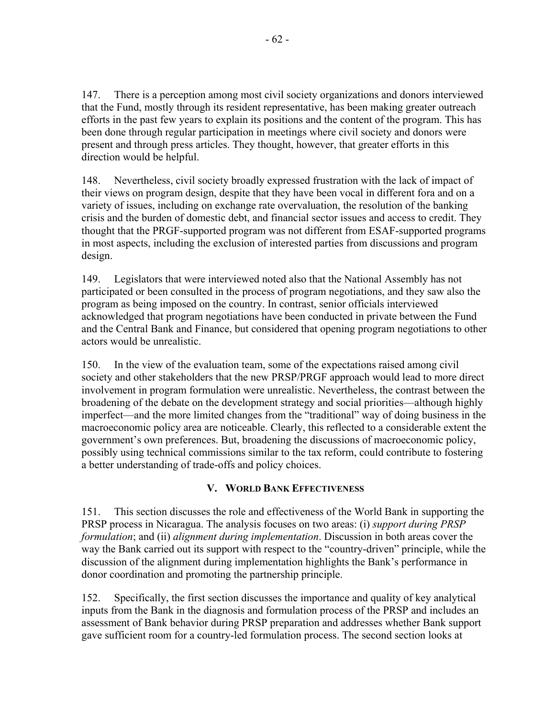147. There is a perception among most civil society organizations and donors interviewed that the Fund, mostly through its resident representative, has been making greater outreach efforts in the past few years to explain its positions and the content of the program. This has been done through regular participation in meetings where civil society and donors were present and through press articles. They thought, however, that greater efforts in this direction would be helpful.

148. Nevertheless, civil society broadly expressed frustration with the lack of impact of their views on program design, despite that they have been vocal in different fora and on a variety of issues, including on exchange rate overvaluation, the resolution of the banking crisis and the burden of domestic debt, and financial sector issues and access to credit. They thought that the PRGF-supported program was not different from ESAF-supported programs in most aspects, including the exclusion of interested parties from discussions and program design.

149. Legislators that were interviewed noted also that the National Assembly has not participated or been consulted in the process of program negotiations, and they saw also the program as being imposed on the country. In contrast, senior officials interviewed acknowledged that program negotiations have been conducted in private between the Fund and the Central Bank and Finance, but considered that opening program negotiations to other actors would be unrealistic.

150. In the view of the evaluation team, some of the expectations raised among civil society and other stakeholders that the new PRSP/PRGF approach would lead to more direct involvement in program formulation were unrealistic. Nevertheless, the contrast between the broadening of the debate on the development strategy and social priorities—although highly imperfect—and the more limited changes from the "traditional" way of doing business in the macroeconomic policy area are noticeable. Clearly, this reflected to a considerable extent the government's own preferences. But, broadening the discussions of macroeconomic policy, possibly using technical commissions similar to the tax reform, could contribute to fostering a better understanding of trade-offs and policy choices.

# **V. WORLD BANK EFFECTIVENESS**

151. This section discusses the role and effectiveness of the World Bank in supporting the PRSP process in Nicaragua. The analysis focuses on two areas: (i) *support during PRSP formulation*; and (ii) *alignment during implementation*. Discussion in both areas cover the way the Bank carried out its support with respect to the "country-driven" principle, while the discussion of the alignment during implementation highlights the Bank's performance in donor coordination and promoting the partnership principle.

152. Specifically, the first section discusses the importance and quality of key analytical inputs from the Bank in the diagnosis and formulation process of the PRSP and includes an assessment of Bank behavior during PRSP preparation and addresses whether Bank support gave sufficient room for a country-led formulation process. The second section looks at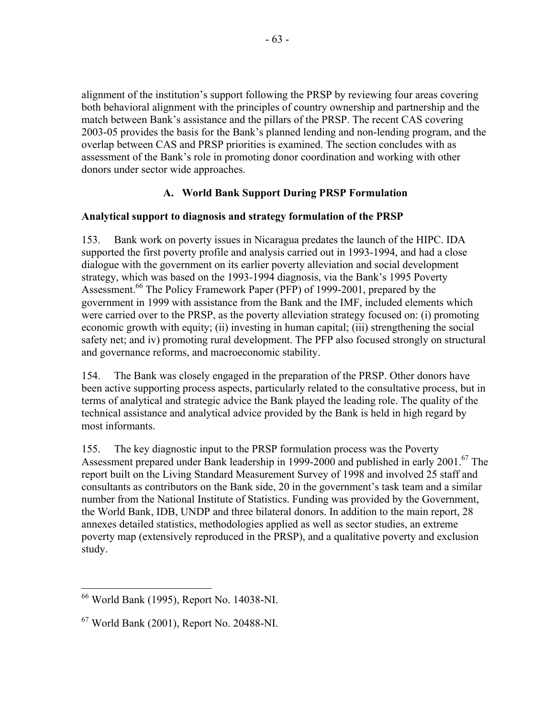alignment of the institution's support following the PRSP by reviewing four areas covering both behavioral alignment with the principles of country ownership and partnership and the match between Bank's assistance and the pillars of the PRSP. The recent CAS covering 2003-05 provides the basis for the Bank's planned lending and non-lending program, and the overlap between CAS and PRSP priorities is examined. The section concludes with as assessment of the Bank's role in promoting donor coordination and working with other donors under sector wide approaches.

# **A. World Bank Support During PRSP Formulation**

## **Analytical support to diagnosis and strategy formulation of the PRSP**

153. Bank work on poverty issues in Nicaragua predates the launch of the HIPC. IDA supported the first poverty profile and analysis carried out in 1993-1994, and had a close dialogue with the government on its earlier poverty alleviation and social development strategy, which was based on the 1993-1994 diagnosis, via the Bank's 1995 Poverty Assessment.<sup>66</sup> The Policy Framework Paper (PFP) of 1999-2001, prepared by the government in 1999 with assistance from the Bank and the IMF, included elements which were carried over to the PRSP, as the poverty alleviation strategy focused on: (i) promoting economic growth with equity; (ii) investing in human capital; (iii) strengthening the social safety net; and iv) promoting rural development. The PFP also focused strongly on structural and governance reforms, and macroeconomic stability.

154. The Bank was closely engaged in the preparation of the PRSP. Other donors have been active supporting process aspects, particularly related to the consultative process, but in terms of analytical and strategic advice the Bank played the leading role. The quality of the technical assistance and analytical advice provided by the Bank is held in high regard by most informants.

155. The key diagnostic input to the PRSP formulation process was the Poverty Assessment prepared under Bank leadership in 1999-2000 and published in early 2001.<sup>67</sup> The report built on the Living Standard Measurement Survey of 1998 and involved 25 staff and consultants as contributors on the Bank side, 20 in the government's task team and a similar number from the National Institute of Statistics. Funding was provided by the Government, the World Bank, IDB, UNDP and three bilateral donors. In addition to the main report, 28 annexes detailed statistics, methodologies applied as well as sector studies, an extreme poverty map (extensively reproduced in the PRSP), and a qualitative poverty and exclusion study.

 $\overline{a}$ 66 World Bank (1995), Report No. 14038-NI.

 $67$  World Bank (2001), Report No. 20488-NI.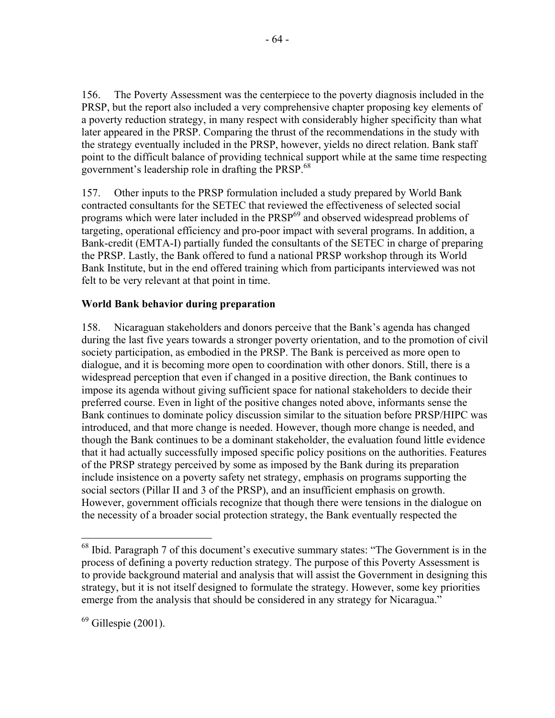156. The Poverty Assessment was the centerpiece to the poverty diagnosis included in the PRSP, but the report also included a very comprehensive chapter proposing key elements of a poverty reduction strategy, in many respect with considerably higher specificity than what later appeared in the PRSP. Comparing the thrust of the recommendations in the study with the strategy eventually included in the PRSP, however, yields no direct relation. Bank staff point to the difficult balance of providing technical support while at the same time respecting government's leadership role in drafting the PRSP.<sup>68</sup>

157. Other inputs to the PRSP formulation included a study prepared by World Bank contracted consultants for the SETEC that reviewed the effectiveness of selected social programs which were later included in the PRSP<sup>69</sup> and observed widespread problems of targeting, operational efficiency and pro-poor impact with several programs. In addition, a Bank-credit (EMTA-I) partially funded the consultants of the SETEC in charge of preparing the PRSP. Lastly, the Bank offered to fund a national PRSP workshop through its World Bank Institute, but in the end offered training which from participants interviewed was not felt to be very relevant at that point in time.

### **World Bank behavior during preparation**

158. Nicaraguan stakeholders and donors perceive that the Bank's agenda has changed during the last five years towards a stronger poverty orientation, and to the promotion of civil society participation, as embodied in the PRSP. The Bank is perceived as more open to dialogue, and it is becoming more open to coordination with other donors. Still, there is a widespread perception that even if changed in a positive direction, the Bank continues to impose its agenda without giving sufficient space for national stakeholders to decide their preferred course. Even in light of the positive changes noted above, informants sense the Bank continues to dominate policy discussion similar to the situation before PRSP/HIPC was introduced, and that more change is needed. However, though more change is needed, and though the Bank continues to be a dominant stakeholder, the evaluation found little evidence that it had actually successfully imposed specific policy positions on the authorities. Features of the PRSP strategy perceived by some as imposed by the Bank during its preparation include insistence on a poverty safety net strategy, emphasis on programs supporting the social sectors (Pillar II and 3 of the PRSP), and an insufficient emphasis on growth. However, government officials recognize that though there were tensions in the dialogue on the necessity of a broader social protection strategy, the Bank eventually respected the

1

 $68$  Ibid. Paragraph 7 of this document's executive summary states: "The Government is in the process of defining a poverty reduction strategy. The purpose of this Poverty Assessment is to provide background material and analysis that will assist the Government in designing this strategy, but it is not itself designed to formulate the strategy. However, some key priorities emerge from the analysis that should be considered in any strategy for Nicaragua."

 $<sup>69</sup>$  Gillespie (2001).</sup>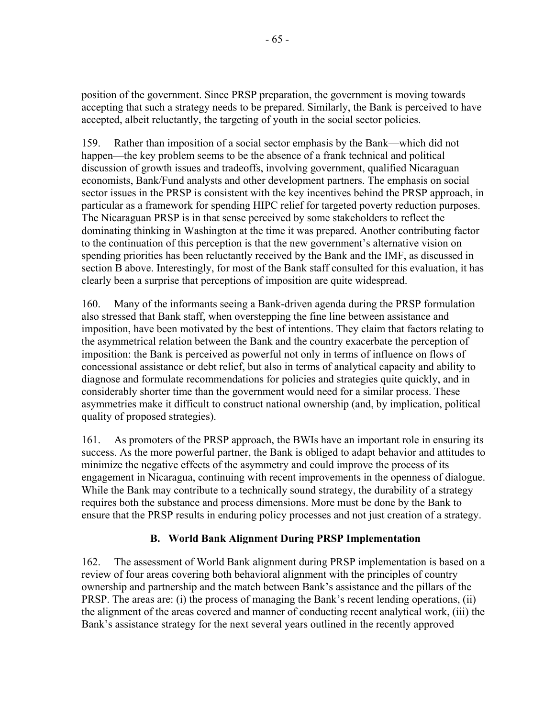position of the government. Since PRSP preparation, the government is moving towards accepting that such a strategy needs to be prepared. Similarly, the Bank is perceived to have accepted, albeit reluctantly, the targeting of youth in the social sector policies.

159. Rather than imposition of a social sector emphasis by the Bank—which did not happen—the key problem seems to be the absence of a frank technical and political discussion of growth issues and tradeoffs, involving government, qualified Nicaraguan economists, Bank/Fund analysts and other development partners. The emphasis on social sector issues in the PRSP is consistent with the key incentives behind the PRSP approach, in particular as a framework for spending HIPC relief for targeted poverty reduction purposes. The Nicaraguan PRSP is in that sense perceived by some stakeholders to reflect the dominating thinking in Washington at the time it was prepared. Another contributing factor to the continuation of this perception is that the new government's alternative vision on spending priorities has been reluctantly received by the Bank and the IMF, as discussed in section B above. Interestingly, for most of the Bank staff consulted for this evaluation, it has clearly been a surprise that perceptions of imposition are quite widespread.

160. Many of the informants seeing a Bank-driven agenda during the PRSP formulation also stressed that Bank staff, when overstepping the fine line between assistance and imposition, have been motivated by the best of intentions. They claim that factors relating to the asymmetrical relation between the Bank and the country exacerbate the perception of imposition: the Bank is perceived as powerful not only in terms of influence on flows of concessional assistance or debt relief, but also in terms of analytical capacity and ability to diagnose and formulate recommendations for policies and strategies quite quickly, and in considerably shorter time than the government would need for a similar process. These asymmetries make it difficult to construct national ownership (and, by implication, political quality of proposed strategies).

161. As promoters of the PRSP approach, the BWIs have an important role in ensuring its success. As the more powerful partner, the Bank is obliged to adapt behavior and attitudes to minimize the negative effects of the asymmetry and could improve the process of its engagement in Nicaragua, continuing with recent improvements in the openness of dialogue. While the Bank may contribute to a technically sound strategy, the durability of a strategy requires both the substance and process dimensions. More must be done by the Bank to ensure that the PRSP results in enduring policy processes and not just creation of a strategy.

# **B. World Bank Alignment During PRSP Implementation**

162. The assessment of World Bank alignment during PRSP implementation is based on a review of four areas covering both behavioral alignment with the principles of country ownership and partnership and the match between Bank's assistance and the pillars of the PRSP. The areas are: (i) the process of managing the Bank's recent lending operations, (ii) the alignment of the areas covered and manner of conducting recent analytical work, (iii) the Bank's assistance strategy for the next several years outlined in the recently approved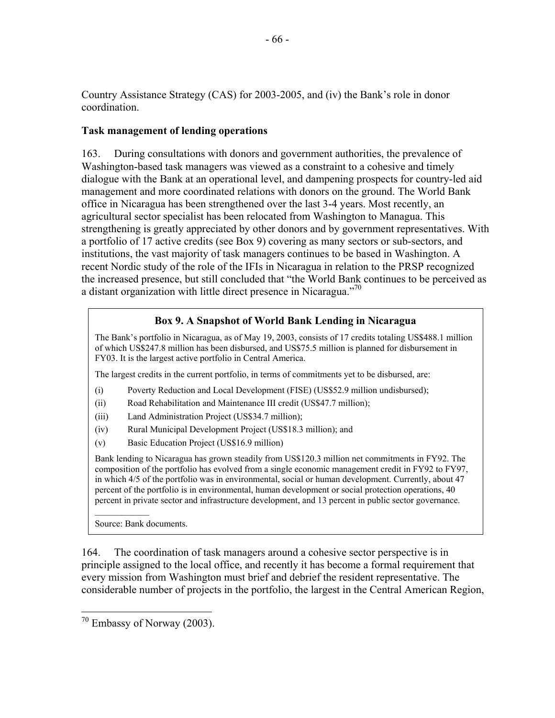Country Assistance Strategy (CAS) for 2003-2005, and (iv) the Bank's role in donor coordination.

#### **Task management of lending operations**

163. During consultations with donors and government authorities, the prevalence of Washington-based task managers was viewed as a constraint to a cohesive and timely dialogue with the Bank at an operational level, and dampening prospects for country-led aid management and more coordinated relations with donors on the ground. The World Bank office in Nicaragua has been strengthened over the last 3-4 years. Most recently, an agricultural sector specialist has been relocated from Washington to Managua. This strengthening is greatly appreciated by other donors and by government representatives. With a portfolio of 17 active credits (see Box 9) covering as many sectors or sub-sectors, and institutions, the vast majority of task managers continues to be based in Washington. A recent Nordic study of the role of the IFIs in Nicaragua in relation to the PRSP recognized the increased presence, but still concluded that "the World Bank continues to be perceived as a distant organization with little direct presence in Nicaragua. $170$ 

### **Box 9. A Snapshot of World Bank Lending in Nicaragua**

The Bank's portfolio in Nicaragua, as of May 19, 2003, consists of 17 credits totaling US\$488.1 million of which US\$247.8 million has been disbursed, and US\$75.5 million is planned for disbursement in FY03. It is the largest active portfolio in Central America.

The largest credits in the current portfolio, in terms of commitments yet to be disbursed, are:

- (i) Poverty Reduction and Local Development (FISE) (US\$52.9 million undisbursed);
- (ii) Road Rehabilitation and Maintenance III credit (US\$47.7 million);
- (iii) Land Administration Project (US\$34.7 million);
- (iv) Rural Municipal Development Project (US\$18.3 million); and
- (v) Basic Education Project (US\$16.9 million)

Bank lending to Nicaragua has grown steadily from US\$120.3 million net commitments in FY92. The composition of the portfolio has evolved from a single economic management credit in FY92 to FY97, in which 4/5 of the portfolio was in environmental, social or human development. Currently, about 47 percent of the portfolio is in environmental, human development or social protection operations, 40 percent in private sector and infrastructure development, and 13 percent in public sector governance.

Source: Bank documents.

164. The coordination of task managers around a cohesive sector perspective is in principle assigned to the local office, and recently it has become a formal requirement that every mission from Washington must brief and debrief the resident representative. The considerable number of projects in the portfolio, the largest in the Central American Region,

 $70$  Embassy of Norway (2003).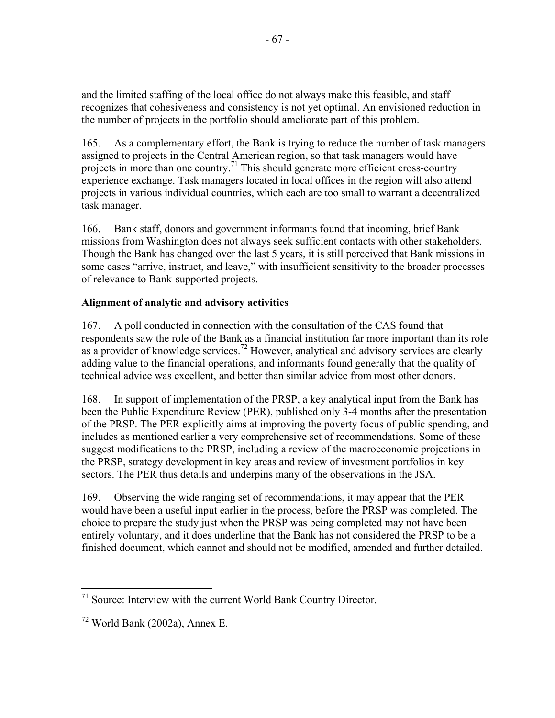and the limited staffing of the local office do not always make this feasible, and staff recognizes that cohesiveness and consistency is not yet optimal. An envisioned reduction in the number of projects in the portfolio should ameliorate part of this problem.

165. As a complementary effort, the Bank is trying to reduce the number of task managers assigned to projects in the Central American region, so that task managers would have projects in more than one country.<sup>71</sup> This should generate more efficient cross-country experience exchange. Task managers located in local offices in the region will also attend projects in various individual countries, which each are too small to warrant a decentralized task manager.

166. Bank staff, donors and government informants found that incoming, brief Bank missions from Washington does not always seek sufficient contacts with other stakeholders. Though the Bank has changed over the last 5 years, it is still perceived that Bank missions in some cases "arrive, instruct, and leave," with insufficient sensitivity to the broader processes of relevance to Bank-supported projects.

# **Alignment of analytic and advisory activities**

167. A poll conducted in connection with the consultation of the CAS found that respondents saw the role of the Bank as a financial institution far more important than its role as a provider of knowledge services.<sup>72</sup> However, analytical and advisory services are clearly adding value to the financial operations, and informants found generally that the quality of technical advice was excellent, and better than similar advice from most other donors.

168. In support of implementation of the PRSP, a key analytical input from the Bank has been the Public Expenditure Review (PER), published only 3-4 months after the presentation of the PRSP. The PER explicitly aims at improving the poverty focus of public spending, and includes as mentioned earlier a very comprehensive set of recommendations. Some of these suggest modifications to the PRSP, including a review of the macroeconomic projections in the PRSP, strategy development in key areas and review of investment portfolios in key sectors. The PER thus details and underpins many of the observations in the JSA.

169. Observing the wide ranging set of recommendations, it may appear that the PER would have been a useful input earlier in the process, before the PRSP was completed. The choice to prepare the study just when the PRSP was being completed may not have been entirely voluntary, and it does underline that the Bank has not considered the PRSP to be a finished document, which cannot and should not be modified, amended and further detailed.

 $71$  Source: Interview with the current World Bank Country Director.

 $72$  World Bank (2002a), Annex E.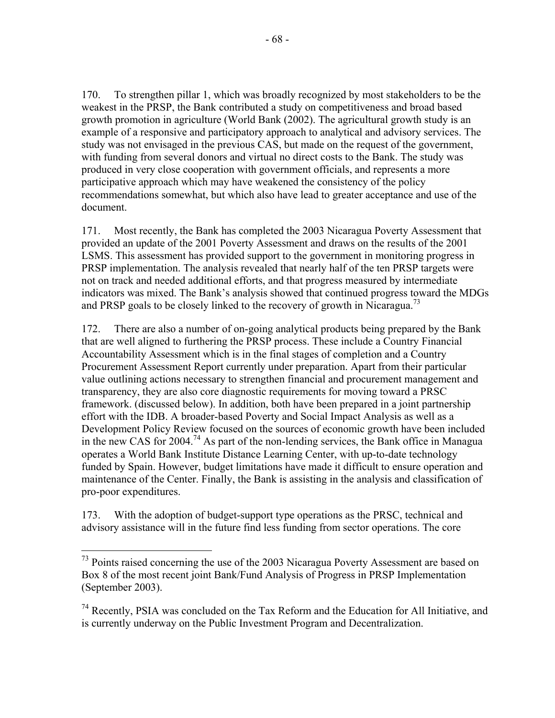170. To strengthen pillar 1, which was broadly recognized by most stakeholders to be the weakest in the PRSP, the Bank contributed a study on competitiveness and broad based growth promotion in agriculture (World Bank (2002). The agricultural growth study is an example of a responsive and participatory approach to analytical and advisory services. The study was not envisaged in the previous CAS, but made on the request of the government, with funding from several donors and virtual no direct costs to the Bank. The study was produced in very close cooperation with government officials, and represents a more participative approach which may have weakened the consistency of the policy recommendations somewhat, but which also have lead to greater acceptance and use of the document.

171. Most recently, the Bank has completed the 2003 Nicaragua Poverty Assessment that provided an update of the 2001 Poverty Assessment and draws on the results of the 2001 LSMS. This assessment has provided support to the government in monitoring progress in PRSP implementation. The analysis revealed that nearly half of the ten PRSP targets were not on track and needed additional efforts, and that progress measured by intermediate indicators was mixed. The Bank's analysis showed that continued progress toward the MDGs and PRSP goals to be closely linked to the recovery of growth in Nicaragua.<sup>73</sup>

172. There are also a number of on-going analytical products being prepared by the Bank that are well aligned to furthering the PRSP process. These include a Country Financial Accountability Assessment which is in the final stages of completion and a Country Procurement Assessment Report currently under preparation. Apart from their particular value outlining actions necessary to strengthen financial and procurement management and transparency, they are also core diagnostic requirements for moving toward a PRSC framework. (discussed below). In addition, both have been prepared in a joint partnership effort with the IDB. A broader-based Poverty and Social Impact Analysis as well as a Development Policy Review focused on the sources of economic growth have been included in the new CAS for  $2004$ .<sup>74</sup> As part of the non-lending services, the Bank office in Managua operates a World Bank Institute Distance Learning Center, with up-to-date technology funded by Spain. However, budget limitations have made it difficult to ensure operation and maintenance of the Center. Finally, the Bank is assisting in the analysis and classification of pro-poor expenditures.

173. With the adoption of budget-support type operations as the PRSC, technical and advisory assistance will in the future find less funding from sector operations. The core

<u>.</u>

 $73$  Points raised concerning the use of the 2003 Nicaragua Poverty Assessment are based on Box 8 of the most recent joint Bank/Fund Analysis of Progress in PRSP Implementation (September 2003).

<sup>&</sup>lt;sup>74</sup> Recently, PSIA was concluded on the Tax Reform and the Education for All Initiative, and is currently underway on the Public Investment Program and Decentralization.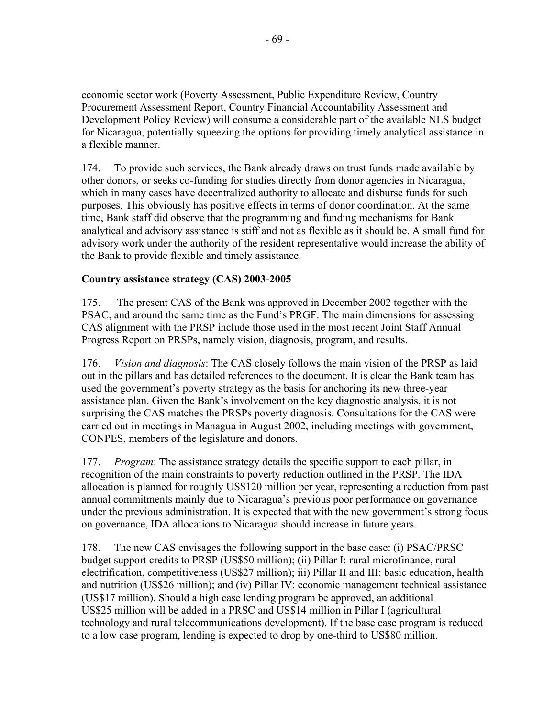economic sector work (Poverty Assessment, Public Expenditure Review, Country Procurement Assessment Report, Country Financial Accountability Assessment and Development Policy Review) will consume a considerable part of the available NLS budget for Nicaragua, potentially squeezing the options for providing timely analytical assistance in a flexible manner.

174. To provide such services, the Bank already draws on trust funds made available by other donors, or seeks co-funding for studies directly from donor agencies in Nicaragua, which in many cases have decentralized authority to allocate and disburse funds for such purposes. This obviously has positive effects in terms of donor coordination. At the same time, Bank staff did observe that the programming and funding mechanisms for Bank analytical and advisory assistance is stiff and not as flexible as it should be. A small fund for advisory work under the authority of the resident representative would increase the ability of the Bank to provide flexible and timely assistance.

## **Country assistance strategy (CAS) 2003-2005**

175. The present CAS of the Bank was approved in December 2002 together with the PSAC, and around the same time as the Fund's PRGF. The main dimensions for assessing CAS alignment with the PRSP include those used in the most recent Joint Staff Annual Progress Report on PRSPs, namely vision, diagnosis, program, and results.

176. *Vision and diagnosis*: The CAS closely follows the main vision of the PRSP as laid out in the pillars and has detailed references to the document. It is clear the Bank team has used the government's poverty strategy as the basis for anchoring its new three-year assistance plan. Given the Bank's involvement on the key diagnostic analysis, it is not surprising the CAS matches the PRSPs poverty diagnosis. Consultations for the CAS were carried out in meetings in Managua in August 2002, including meetings with government, CONPES, members of the legislature and donors.

177. *Program*: The assistance strategy details the specific support to each pillar, in recognition of the main constraints to poverty reduction outlined in the PRSP. The IDA allocation is planned for roughly US\$120 million per year, representing a reduction from past annual commitments mainly due to Nicaragua's previous poor performance on governance under the previous administration. It is expected that with the new government's strong focus on governance, IDA allocations to Nicaragua should increase in future years.

178. The new CAS envisages the following support in the base case: (i) PSAC/PRSC budget support credits to PRSP (US\$50 million); (ii) Pillar I: rural microfinance, rural electrification, competitiveness (US\$27 million); iii) Pillar II and III: basic education, health and nutrition (US\$26 million); and (iv) Pillar IV: economic management technical assistance (US\$17 million). Should a high case lending program be approved, an additional US\$25 million will be added in a PRSC and US\$14 million in Pillar I (agricultural technology and rural telecommunications development). If the base case program is reduced to a low case program, lending is expected to drop by one-third to US\$80 million.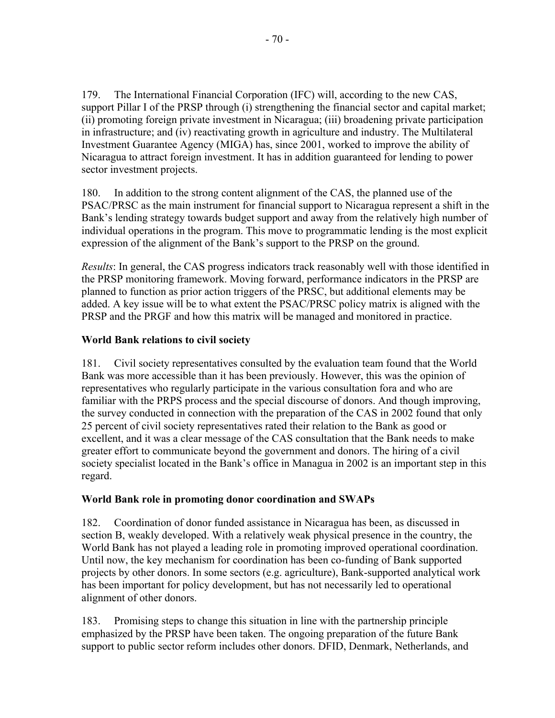179. The International Financial Corporation (IFC) will, according to the new CAS, support Pillar I of the PRSP through (i) strengthening the financial sector and capital market; (ii) promoting foreign private investment in Nicaragua; (iii) broadening private participation in infrastructure; and (iv) reactivating growth in agriculture and industry. The Multilateral Investment Guarantee Agency (MIGA) has, since 2001, worked to improve the ability of Nicaragua to attract foreign investment. It has in addition guaranteed for lending to power sector investment projects.

180. In addition to the strong content alignment of the CAS, the planned use of the PSAC/PRSC as the main instrument for financial support to Nicaragua represent a shift in the Bank's lending strategy towards budget support and away from the relatively high number of individual operations in the program. This move to programmatic lending is the most explicit expression of the alignment of the Bank's support to the PRSP on the ground.

*Results*: In general, the CAS progress indicators track reasonably well with those identified in the PRSP monitoring framework. Moving forward, performance indicators in the PRSP are planned to function as prior action triggers of the PRSC, but additional elements may be added. A key issue will be to what extent the PSAC/PRSC policy matrix is aligned with the PRSP and the PRGF and how this matrix will be managed and monitored in practice.

## **World Bank relations to civil society**

181. Civil society representatives consulted by the evaluation team found that the World Bank was more accessible than it has been previously. However, this was the opinion of representatives who regularly participate in the various consultation fora and who are familiar with the PRPS process and the special discourse of donors. And though improving, the survey conducted in connection with the preparation of the CAS in 2002 found that only 25 percent of civil society representatives rated their relation to the Bank as good or excellent, and it was a clear message of the CAS consultation that the Bank needs to make greater effort to communicate beyond the government and donors. The hiring of a civil society specialist located in the Bank's office in Managua in 2002 is an important step in this regard.

### **World Bank role in promoting donor coordination and SWAPs**

182. Coordination of donor funded assistance in Nicaragua has been, as discussed in section B, weakly developed. With a relatively weak physical presence in the country, the World Bank has not played a leading role in promoting improved operational coordination. Until now, the key mechanism for coordination has been co-funding of Bank supported projects by other donors. In some sectors (e.g. agriculture), Bank-supported analytical work has been important for policy development, but has not necessarily led to operational alignment of other donors.

183. Promising steps to change this situation in line with the partnership principle emphasized by the PRSP have been taken. The ongoing preparation of the future Bank support to public sector reform includes other donors. DFID, Denmark, Netherlands, and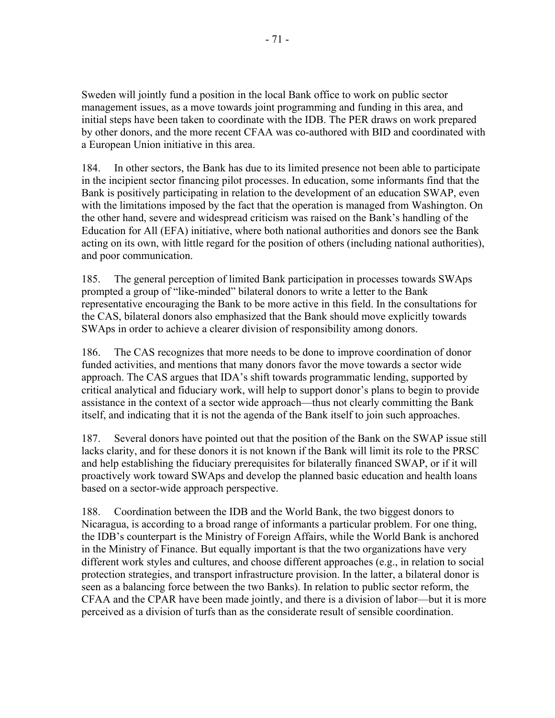Sweden will jointly fund a position in the local Bank office to work on public sector management issues, as a move towards joint programming and funding in this area, and initial steps have been taken to coordinate with the IDB. The PER draws on work prepared by other donors, and the more recent CFAA was co-authored with BID and coordinated with a European Union initiative in this area.

184. In other sectors, the Bank has due to its limited presence not been able to participate in the incipient sector financing pilot processes. In education, some informants find that the Bank is positively participating in relation to the development of an education SWAP, even with the limitations imposed by the fact that the operation is managed from Washington. On the other hand, severe and widespread criticism was raised on the Bank's handling of the Education for All (EFA) initiative, where both national authorities and donors see the Bank acting on its own, with little regard for the position of others (including national authorities), and poor communication.

185. The general perception of limited Bank participation in processes towards SWAps prompted a group of "like-minded" bilateral donors to write a letter to the Bank representative encouraging the Bank to be more active in this field. In the consultations for the CAS, bilateral donors also emphasized that the Bank should move explicitly towards SWAps in order to achieve a clearer division of responsibility among donors.

186. The CAS recognizes that more needs to be done to improve coordination of donor funded activities, and mentions that many donors favor the move towards a sector wide approach. The CAS argues that IDA's shift towards programmatic lending, supported by critical analytical and fiduciary work, will help to support donor's plans to begin to provide assistance in the context of a sector wide approach—thus not clearly committing the Bank itself, and indicating that it is not the agenda of the Bank itself to join such approaches.

187. Several donors have pointed out that the position of the Bank on the SWAP issue still lacks clarity, and for these donors it is not known if the Bank will limit its role to the PRSC and help establishing the fiduciary prerequisites for bilaterally financed SWAP, or if it will proactively work toward SWAps and develop the planned basic education and health loans based on a sector-wide approach perspective.

188. Coordination between the IDB and the World Bank, the two biggest donors to Nicaragua, is according to a broad range of informants a particular problem. For one thing, the IDB's counterpart is the Ministry of Foreign Affairs, while the World Bank is anchored in the Ministry of Finance. But equally important is that the two organizations have very different work styles and cultures, and choose different approaches (e.g., in relation to social protection strategies, and transport infrastructure provision. In the latter, a bilateral donor is seen as a balancing force between the two Banks). In relation to public sector reform, the CFAA and the CPAR have been made jointly, and there is a division of labor—but it is more perceived as a division of turfs than as the considerate result of sensible coordination.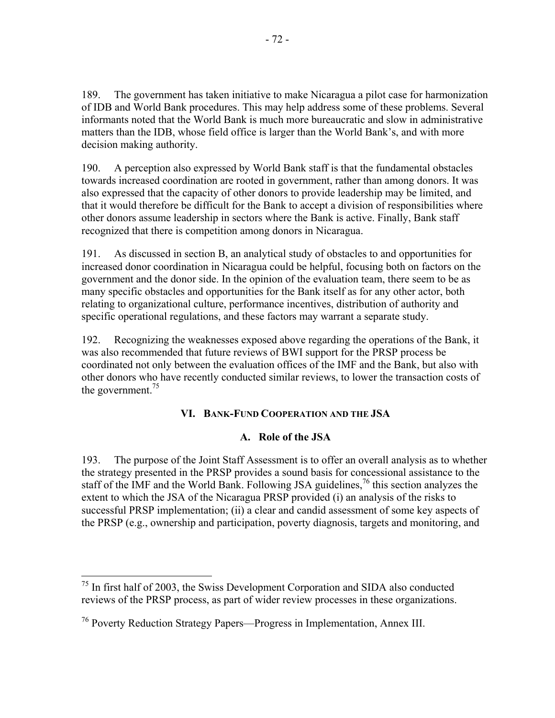189. The government has taken initiative to make Nicaragua a pilot case for harmonization of IDB and World Bank procedures. This may help address some of these problems. Several informants noted that the World Bank is much more bureaucratic and slow in administrative matters than the IDB, whose field office is larger than the World Bank's, and with more decision making authority.

190. A perception also expressed by World Bank staff is that the fundamental obstacles towards increased coordination are rooted in government, rather than among donors. It was also expressed that the capacity of other donors to provide leadership may be limited, and that it would therefore be difficult for the Bank to accept a division of responsibilities where other donors assume leadership in sectors where the Bank is active. Finally, Bank staff recognized that there is competition among donors in Nicaragua.

191. As discussed in section B, an analytical study of obstacles to and opportunities for increased donor coordination in Nicaragua could be helpful, focusing both on factors on the government and the donor side. In the opinion of the evaluation team, there seem to be as many specific obstacles and opportunities for the Bank itself as for any other actor, both relating to organizational culture, performance incentives, distribution of authority and specific operational regulations, and these factors may warrant a separate study.

192. Recognizing the weaknesses exposed above regarding the operations of the Bank, it was also recommended that future reviews of BWI support for the PRSP process be coordinated not only between the evaluation offices of the IMF and the Bank, but also with other donors who have recently conducted similar reviews, to lower the transaction costs of the government.<sup>75</sup>

# **VI. BANK-FUND COOPERATION AND THE JSA**

### **A. Role of the JSA**

193. The purpose of the Joint Staff Assessment is to offer an overall analysis as to whether the strategy presented in the PRSP provides a sound basis for concessional assistance to the staff of the IMF and the World Bank. Following JSA guidelines,<sup>76</sup> this section analyzes the extent to which the JSA of the Nicaragua PRSP provided (i) an analysis of the risks to successful PRSP implementation; (ii) a clear and candid assessment of some key aspects of the PRSP (e.g., ownership and participation, poverty diagnosis, targets and monitoring, and

 $75$  In first half of 2003, the Swiss Development Corporation and SIDA also conducted reviews of the PRSP process, as part of wider review processes in these organizations.

<sup>76</sup> Poverty Reduction Strategy Papers—Progress in Implementation, Annex III.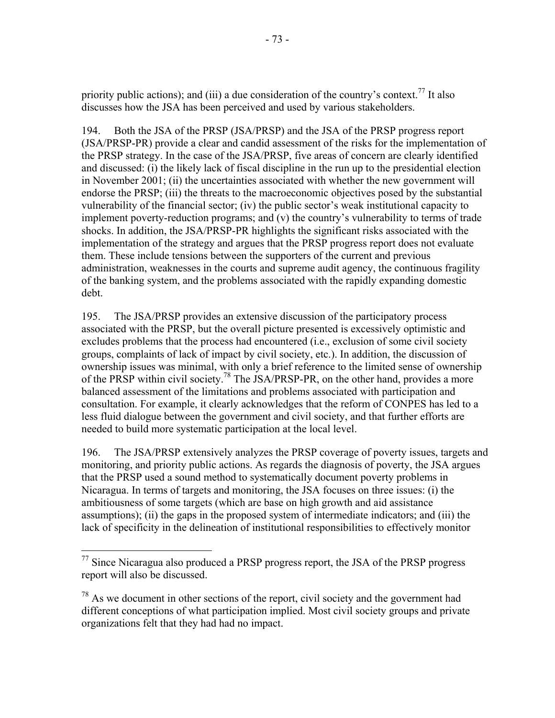priority public actions); and (iii) a due consideration of the country's context.<sup>77</sup> It also discusses how the JSA has been perceived and used by various stakeholders.

194. Both the JSA of the PRSP (JSA/PRSP) and the JSA of the PRSP progress report (JSA/PRSP-PR) provide a clear and candid assessment of the risks for the implementation of the PRSP strategy. In the case of the JSA/PRSP, five areas of concern are clearly identified and discussed: (i) the likely lack of fiscal discipline in the run up to the presidential election in November 2001; (ii) the uncertainties associated with whether the new government will endorse the PRSP; (iii) the threats to the macroeconomic objectives posed by the substantial vulnerability of the financial sector; (iv) the public sector's weak institutional capacity to implement poverty-reduction programs; and (v) the country's vulnerability to terms of trade shocks. In addition, the JSA/PRSP-PR highlights the significant risks associated with the implementation of the strategy and argues that the PRSP progress report does not evaluate them. These include tensions between the supporters of the current and previous administration, weaknesses in the courts and supreme audit agency, the continuous fragility of the banking system, and the problems associated with the rapidly expanding domestic debt.

195. The JSA/PRSP provides an extensive discussion of the participatory process associated with the PRSP, but the overall picture presented is excessively optimistic and excludes problems that the process had encountered (i.e., exclusion of some civil society groups, complaints of lack of impact by civil society, etc.). In addition, the discussion of ownership issues was minimal, with only a brief reference to the limited sense of ownership of the PRSP within civil society.<sup>78</sup> The JSA/PRSP-PR, on the other hand, provides a more balanced assessment of the limitations and problems associated with participation and consultation. For example, it clearly acknowledges that the reform of CONPES has led to a less fluid dialogue between the government and civil society, and that further efforts are needed to build more systematic participation at the local level.

196. The JSA/PRSP extensively analyzes the PRSP coverage of poverty issues, targets and monitoring, and priority public actions. As regards the diagnosis of poverty, the JSA argues that the PRSP used a sound method to systematically document poverty problems in Nicaragua. In terms of targets and monitoring, the JSA focuses on three issues: (i) the ambitiousness of some targets (which are base on high growth and aid assistance assumptions); (ii) the gaps in the proposed system of intermediate indicators; and (iii) the lack of specificity in the delineation of institutional responsibilities to effectively monitor

 $\overline{a}$  $77$  Since Nicaragua also produced a PRSP progress report, the JSA of the PRSP progress report will also be discussed.

 $78$  As we document in other sections of the report, civil society and the government had different conceptions of what participation implied. Most civil society groups and private organizations felt that they had had no impact.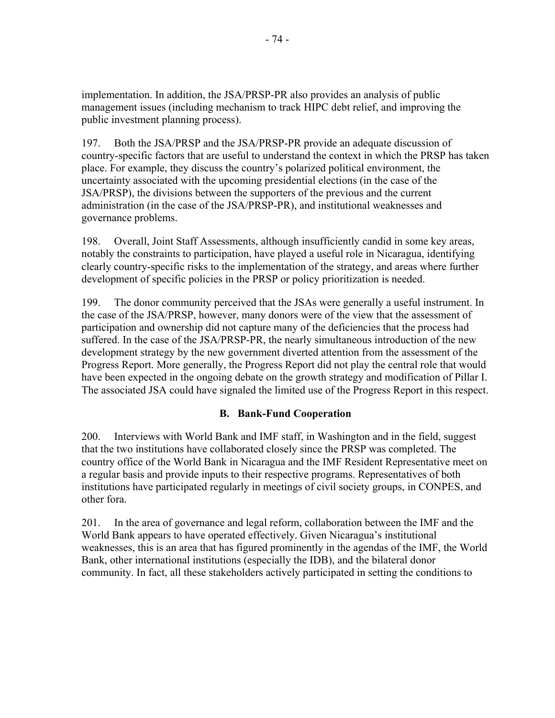implementation. In addition, the JSA/PRSP-PR also provides an analysis of public management issues (including mechanism to track HIPC debt relief, and improving the public investment planning process).

197. Both the JSA/PRSP and the JSA/PRSP-PR provide an adequate discussion of country-specific factors that are useful to understand the context in which the PRSP has taken place. For example, they discuss the country's polarized political environment, the uncertainty associated with the upcoming presidential elections (in the case of the JSA/PRSP), the divisions between the supporters of the previous and the current administration (in the case of the JSA/PRSP-PR), and institutional weaknesses and governance problems.

198. Overall, Joint Staff Assessments, although insufficiently candid in some key areas, notably the constraints to participation, have played a useful role in Nicaragua, identifying clearly country-specific risks to the implementation of the strategy, and areas where further development of specific policies in the PRSP or policy prioritization is needed.

199. The donor community perceived that the JSAs were generally a useful instrument. In the case of the JSA/PRSP, however, many donors were of the view that the assessment of participation and ownership did not capture many of the deficiencies that the process had suffered. In the case of the JSA/PRSP-PR, the nearly simultaneous introduction of the new development strategy by the new government diverted attention from the assessment of the Progress Report. More generally, the Progress Report did not play the central role that would have been expected in the ongoing debate on the growth strategy and modification of Pillar I. The associated JSA could have signaled the limited use of the Progress Report in this respect.

# **B. Bank-Fund Cooperation**

200. Interviews with World Bank and IMF staff, in Washington and in the field, suggest that the two institutions have collaborated closely since the PRSP was completed. The country office of the World Bank in Nicaragua and the IMF Resident Representative meet on a regular basis and provide inputs to their respective programs. Representatives of both institutions have participated regularly in meetings of civil society groups, in CONPES, and other fora.

201. In the area of governance and legal reform, collaboration between the IMF and the World Bank appears to have operated effectively. Given Nicaragua's institutional weaknesses, this is an area that has figured prominently in the agendas of the IMF, the World Bank, other international institutions (especially the IDB), and the bilateral donor community. In fact, all these stakeholders actively participated in setting the conditions to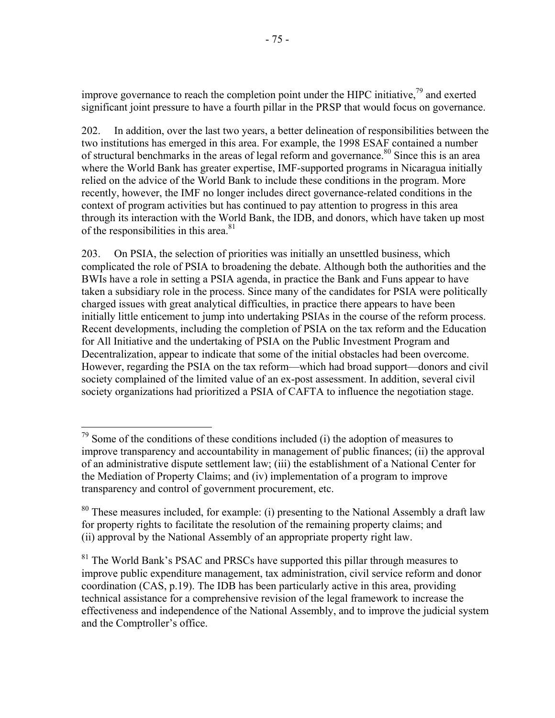improve governance to reach the completion point under the HIPC initiative, $79$  and exerted significant joint pressure to have a fourth pillar in the PRSP that would focus on governance.

202. In addition, over the last two years, a better delineation of responsibilities between the two institutions has emerged in this area. For example, the 1998 ESAF contained a number of structural benchmarks in the areas of legal reform and governance.<sup>80</sup> Since this is an area where the World Bank has greater expertise, IMF-supported programs in Nicaragua initially relied on the advice of the World Bank to include these conditions in the program. More recently, however, the IMF no longer includes direct governance-related conditions in the context of program activities but has continued to pay attention to progress in this area through its interaction with the World Bank, the IDB, and donors, which have taken up most of the responsibilities in this area.<sup>81</sup>

203. On PSIA, the selection of priorities was initially an unsettled business, which complicated the role of PSIA to broadening the debate. Although both the authorities and the BWIs have a role in setting a PSIA agenda, in practice the Bank and Funs appear to have taken a subsidiary role in the process. Since many of the candidates for PSIA were politically charged issues with great analytical difficulties, in practice there appears to have been initially little enticement to jump into undertaking PSIAs in the course of the reform process. Recent developments, including the completion of PSIA on the tax reform and the Education for All Initiative and the undertaking of PSIA on the Public Investment Program and Decentralization, appear to indicate that some of the initial obstacles had been overcome. However, regarding the PSIA on the tax reform—which had broad support—donors and civil society complained of the limited value of an ex-post assessment. In addition, several civil society organizations had prioritized a PSIA of CAFTA to influence the negotiation stage.

1

 $79$  Some of the conditions of these conditions included (i) the adoption of measures to improve transparency and accountability in management of public finances; (ii) the approval of an administrative dispute settlement law; (iii) the establishment of a National Center for the Mediation of Property Claims; and (iv) implementation of a program to improve transparency and control of government procurement, etc.

<sup>&</sup>lt;sup>80</sup> These measures included, for example: (i) presenting to the National Assembly a draft law for property rights to facilitate the resolution of the remaining property claims; and (ii) approval by the National Assembly of an appropriate property right law.

 $81$  The World Bank's PSAC and PRSCs have supported this pillar through measures to improve public expenditure management, tax administration, civil service reform and donor coordination (CAS, p.19). The IDB has been particularly active in this area, providing technical assistance for a comprehensive revision of the legal framework to increase the effectiveness and independence of the National Assembly, and to improve the judicial system and the Comptroller's office.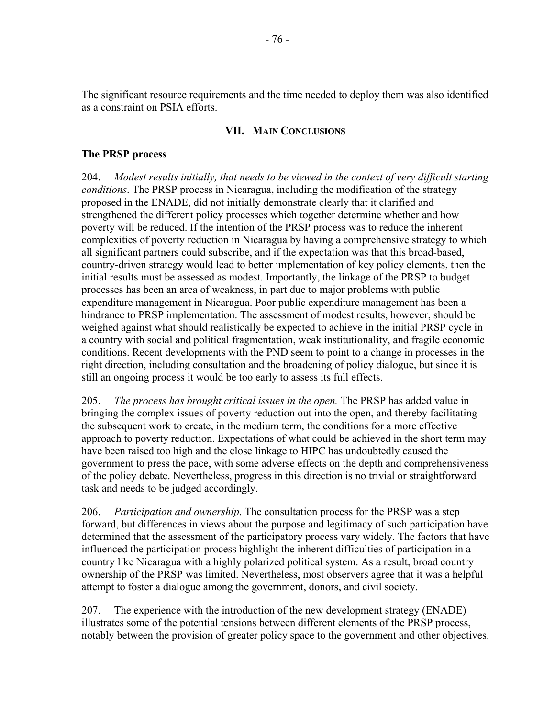The significant resource requirements and the time needed to deploy them was also identified as a constraint on PSIA efforts.

## **VII. MAIN CONCLUSIONS**

## **The PRSP process**

204. *Modest results initially, that needs to be viewed in the context of very difficult starting conditions*. The PRSP process in Nicaragua, including the modification of the strategy proposed in the ENADE, did not initially demonstrate clearly that it clarified and strengthened the different policy processes which together determine whether and how poverty will be reduced. If the intention of the PRSP process was to reduce the inherent complexities of poverty reduction in Nicaragua by having a comprehensive strategy to which all significant partners could subscribe, and if the expectation was that this broad-based, country-driven strategy would lead to better implementation of key policy elements, then the initial results must be assessed as modest. Importantly, the linkage of the PRSP to budget processes has been an area of weakness, in part due to major problems with public expenditure management in Nicaragua. Poor public expenditure management has been a hindrance to PRSP implementation. The assessment of modest results, however, should be weighed against what should realistically be expected to achieve in the initial PRSP cycle in a country with social and political fragmentation, weak institutionality, and fragile economic conditions. Recent developments with the PND seem to point to a change in processes in the right direction, including consultation and the broadening of policy dialogue, but since it is still an ongoing process it would be too early to assess its full effects.

205. *The process has brought critical issues in the open.* The PRSP has added value in bringing the complex issues of poverty reduction out into the open, and thereby facilitating the subsequent work to create, in the medium term, the conditions for a more effective approach to poverty reduction. Expectations of what could be achieved in the short term may have been raised too high and the close linkage to HIPC has undoubtedly caused the government to press the pace, with some adverse effects on the depth and comprehensiveness of the policy debate. Nevertheless, progress in this direction is no trivial or straightforward task and needs to be judged accordingly.

206. *Participation and ownership*. The consultation process for the PRSP was a step forward, but differences in views about the purpose and legitimacy of such participation have determined that the assessment of the participatory process vary widely. The factors that have influenced the participation process highlight the inherent difficulties of participation in a country like Nicaragua with a highly polarized political system. As a result, broad country ownership of the PRSP was limited. Nevertheless, most observers agree that it was a helpful attempt to foster a dialogue among the government, donors, and civil society.

207. The experience with the introduction of the new development strategy (ENADE) illustrates some of the potential tensions between different elements of the PRSP process, notably between the provision of greater policy space to the government and other objectives.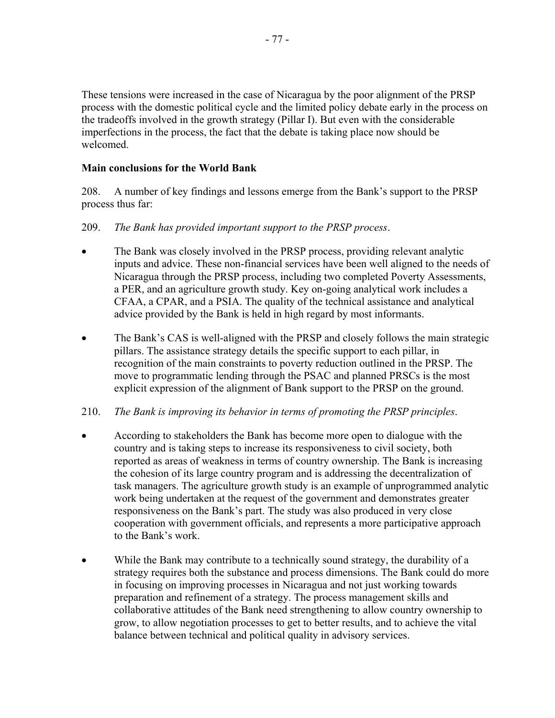These tensions were increased in the case of Nicaragua by the poor alignment of the PRSP process with the domestic political cycle and the limited policy debate early in the process on the tradeoffs involved in the growth strategy (Pillar I). But even with the considerable imperfections in the process, the fact that the debate is taking place now should be welcomed.

## **Main conclusions for the World Bank**

208. A number of key findings and lessons emerge from the Bank's support to the PRSP process thus far:

## 209. *The Bank has provided important support to the PRSP process*.

- The Bank was closely involved in the PRSP process, providing relevant analytic inputs and advice. These non-financial services have been well aligned to the needs of Nicaragua through the PRSP process, including two completed Poverty Assessments, a PER, and an agriculture growth study. Key on-going analytical work includes a CFAA, a CPAR, and a PSIA. The quality of the technical assistance and analytical advice provided by the Bank is held in high regard by most informants.
- The Bank's CAS is well-aligned with the PRSP and closely follows the main strategic pillars. The assistance strategy details the specific support to each pillar, in recognition of the main constraints to poverty reduction outlined in the PRSP. The move to programmatic lending through the PSAC and planned PRSCs is the most explicit expression of the alignment of Bank support to the PRSP on the ground.

# 210. *The Bank is improving its behavior in terms of promoting the PRSP principles*.

- According to stakeholders the Bank has become more open to dialogue with the country and is taking steps to increase its responsiveness to civil society, both reported as areas of weakness in terms of country ownership. The Bank is increasing the cohesion of its large country program and is addressing the decentralization of task managers. The agriculture growth study is an example of unprogrammed analytic work being undertaken at the request of the government and demonstrates greater responsiveness on the Bank's part. The study was also produced in very close cooperation with government officials, and represents a more participative approach to the Bank's work.
- While the Bank may contribute to a technically sound strategy, the durability of a strategy requires both the substance and process dimensions. The Bank could do more in focusing on improving processes in Nicaragua and not just working towards preparation and refinement of a strategy. The process management skills and collaborative attitudes of the Bank need strengthening to allow country ownership to grow, to allow negotiation processes to get to better results, and to achieve the vital balance between technical and political quality in advisory services.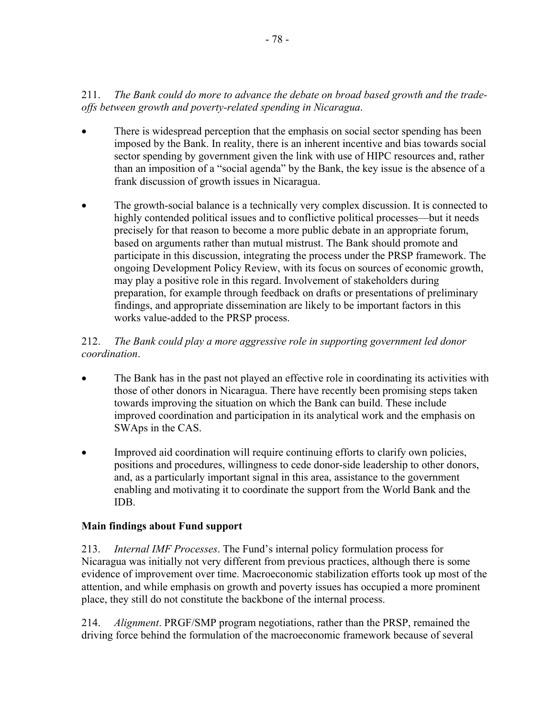# 211. *The Bank could do more to advance the debate on broad based growth and the tradeoffs between growth and poverty-related spending in Nicaragua*.

- There is widespread perception that the emphasis on social sector spending has been imposed by the Bank. In reality, there is an inherent incentive and bias towards social sector spending by government given the link with use of HIPC resources and, rather than an imposition of a "social agenda" by the Bank, the key issue is the absence of a frank discussion of growth issues in Nicaragua.
- The growth-social balance is a technically very complex discussion. It is connected to highly contended political issues and to conflictive political processes—but it needs precisely for that reason to become a more public debate in an appropriate forum, based on arguments rather than mutual mistrust. The Bank should promote and participate in this discussion, integrating the process under the PRSP framework. The ongoing Development Policy Review, with its focus on sources of economic growth, may play a positive role in this regard. Involvement of stakeholders during preparation, for example through feedback on drafts or presentations of preliminary findings, and appropriate dissemination are likely to be important factors in this works value-added to the PRSP process.

# 212. *The Bank could play a more aggressive role in supporting government led donor coordination*.

- The Bank has in the past not played an effective role in coordinating its activities with those of other donors in Nicaragua. There have recently been promising steps taken towards improving the situation on which the Bank can build. These include improved coordination and participation in its analytical work and the emphasis on SWAps in the CAS.
- Improved aid coordination will require continuing efforts to clarify own policies, positions and procedures, willingness to cede donor-side leadership to other donors, and, as a particularly important signal in this area, assistance to the government enabling and motivating it to coordinate the support from the World Bank and the IDB.

# **Main findings about Fund support**

213. *Internal IMF Processes*. The Fund's internal policy formulation process for Nicaragua was initially not very different from previous practices, although there is some evidence of improvement over time. Macroeconomic stabilization efforts took up most of the attention, and while emphasis on growth and poverty issues has occupied a more prominent place, they still do not constitute the backbone of the internal process.

214. *Alignment*. PRGF/SMP program negotiations, rather than the PRSP, remained the driving force behind the formulation of the macroeconomic framework because of several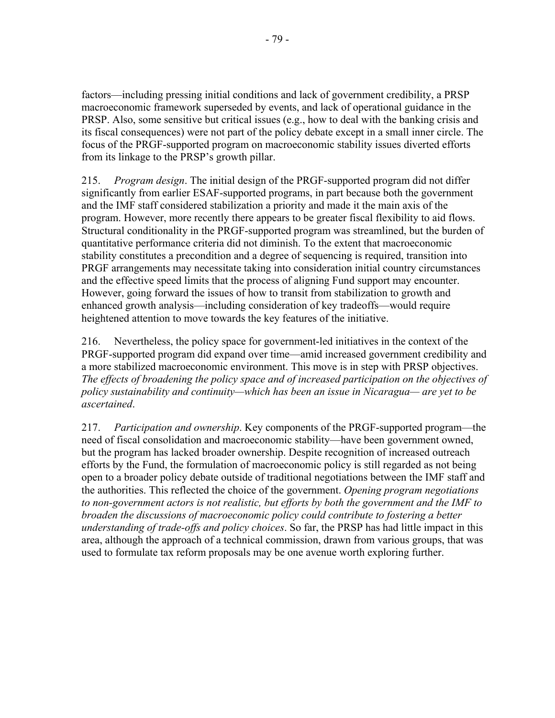factors—including pressing initial conditions and lack of government credibility, a PRSP macroeconomic framework superseded by events, and lack of operational guidance in the PRSP. Also, some sensitive but critical issues (e.g., how to deal with the banking crisis and its fiscal consequences) were not part of the policy debate except in a small inner circle. The focus of the PRGF-supported program on macroeconomic stability issues diverted efforts from its linkage to the PRSP's growth pillar.

215. *Program design*. The initial design of the PRGF-supported program did not differ significantly from earlier ESAF-supported programs, in part because both the government and the IMF staff considered stabilization a priority and made it the main axis of the program. However, more recently there appears to be greater fiscal flexibility to aid flows. Structural conditionality in the PRGF-supported program was streamlined, but the burden of quantitative performance criteria did not diminish. To the extent that macroeconomic stability constitutes a precondition and a degree of sequencing is required, transition into PRGF arrangements may necessitate taking into consideration initial country circumstances and the effective speed limits that the process of aligning Fund support may encounter. However, going forward the issues of how to transit from stabilization to growth and enhanced growth analysis—including consideration of key tradeoffs—would require heightened attention to move towards the key features of the initiative.

216. Nevertheless, the policy space for government-led initiatives in the context of the PRGF-supported program did expand over time—amid increased government credibility and a more stabilized macroeconomic environment. This move is in step with PRSP objectives. *The effects of broadening the policy space and of increased participation on the objectives of policy sustainability and continuity—which has been an issue in Nicaragua— are yet to be ascertained*.

217. *Participation and ownership*. Key components of the PRGF-supported program—the need of fiscal consolidation and macroeconomic stability—have been government owned, but the program has lacked broader ownership. Despite recognition of increased outreach efforts by the Fund, the formulation of macroeconomic policy is still regarded as not being open to a broader policy debate outside of traditional negotiations between the IMF staff and the authorities. This reflected the choice of the government. *Opening program negotiations to non-government actors is not realistic, but efforts by both the government and the IMF to broaden the discussions of macroeconomic policy could contribute to fostering a better understanding of trade-offs and policy choices*. So far, the PRSP has had little impact in this area, although the approach of a technical commission, drawn from various groups, that was used to formulate tax reform proposals may be one avenue worth exploring further.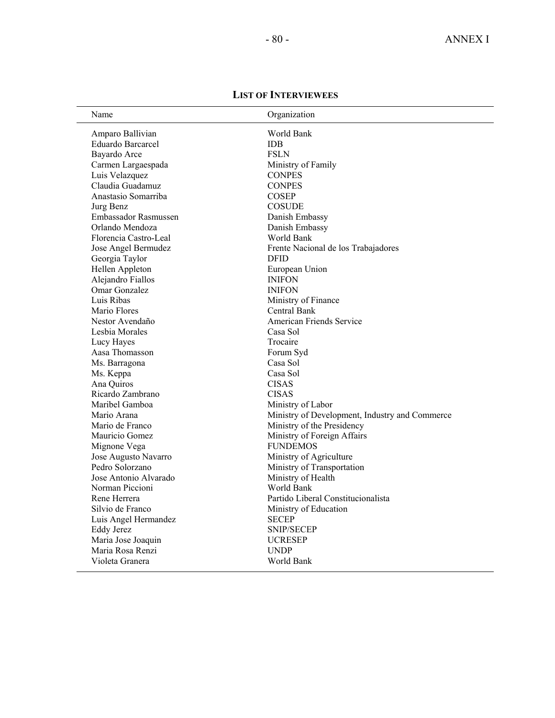| Name                     | Organization                                   |
|--------------------------|------------------------------------------------|
| Amparo Ballivian         | World Bank                                     |
| <b>Eduardo Barcarcel</b> | <b>IDB</b>                                     |
| Bayardo Arce             | <b>FSLN</b>                                    |
| Carmen Largaespada       | Ministry of Family                             |
| Luis Velazquez           | <b>CONPES</b>                                  |
| Claudia Guadamuz         | <b>CONPES</b>                                  |
| Anastasio Somarriba      | <b>COSEP</b>                                   |
| Jurg Benz                | <b>COSUDE</b>                                  |
| Embassador Rasmussen     | Danish Embassy                                 |
| Orlando Mendoza          | Danish Embassy                                 |
| Florencia Castro-Leal    | World Bank                                     |
| Jose Angel Bermudez      | Frente Nacional de los Trabajadores            |
| Georgia Taylor           | <b>DFID</b>                                    |
| Hellen Appleton          | European Union                                 |
| Alejandro Fiallos        | <b>INIFON</b>                                  |
| Omar Gonzalez            | <b>INIFON</b>                                  |
| Luis Ribas               | Ministry of Finance                            |
| Mario Flores             | Central Bank                                   |
| Nestor Avendaño          | American Friends Service                       |
| Lesbia Morales           | Casa Sol                                       |
| Lucy Hayes               | Trocaire                                       |
| Aasa Thomasson           | Forum Syd                                      |
| Ms. Barragona            | Casa Sol                                       |
| Ms. Keppa                | Casa Sol                                       |
| Ana Quiros               | <b>CISAS</b>                                   |
| Ricardo Zambrano         | <b>CISAS</b>                                   |
| Maribel Gamboa           | Ministry of Labor                              |
| Mario Arana              | Ministry of Development, Industry and Commerce |
| Mario de Franco          | Ministry of the Presidency                     |
| Mauricio Gomez           | Ministry of Foreign Affairs                    |
| Mignone Vega             | <b>FUNDEMOS</b>                                |
| Jose Augusto Navarro     | Ministry of Agriculture                        |
| Pedro Solorzano          | Ministry of Transportation                     |
| Jose Antonio Alvarado    | Ministry of Health                             |
| Norman Piccioni          | World Bank                                     |
| Rene Herrera             | Partido Liberal Constitucionalista             |
| Silvio de Franco         | Ministry of Education                          |
| Luis Angel Hermandez     | <b>SECEP</b>                                   |
| <b>Eddy Jerez</b>        | <b>SNIP/SECEP</b>                              |
| Maria Jose Joaquin       | <b>UCRESEP</b>                                 |

Maria Rosa Renzi UNDP Violeta Granera World Bank

### **LIST OF INTERVIEWEES**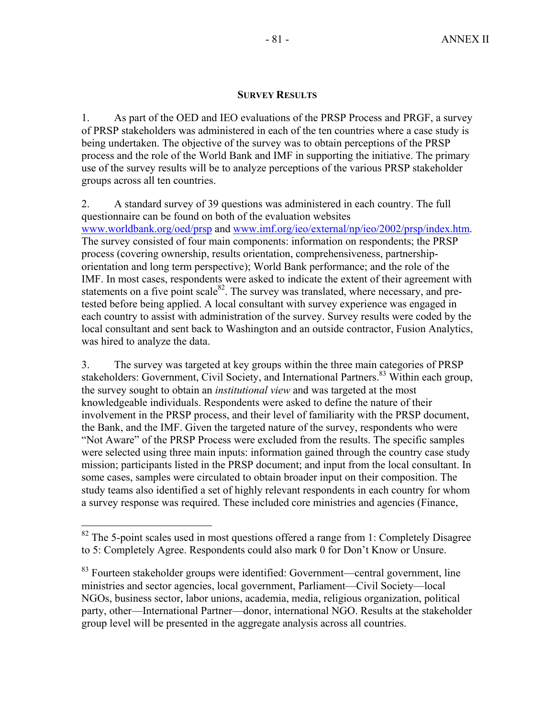### **SURVEY RESULTS**

1. As part of the OED and IEO evaluations of the PRSP Process and PRGF, a survey of PRSP stakeholders was administered in each of the ten countries where a case study is being undertaken. The objective of the survey was to obtain perceptions of the PRSP process and the role of the World Bank and IMF in supporting the initiative. The primary use of the survey results will be to analyze perceptions of the various PRSP stakeholder groups across all ten countries.

2. A standard survey of 39 questions was administered in each country. The full questionnaire can be found on both of the evaluation websites www.worldbank.org/oed/prsp and www.imf.org/ieo/external/np/ieo/2002/prsp/index.htm. The survey consisted of four main components: information on respondents; the PRSP process (covering ownership, results orientation, comprehensiveness, partnershiporientation and long term perspective); World Bank performance; and the role of the IMF. In most cases, respondents were asked to indicate the extent of their agreement with statements on a five point scale $82$ . The survey was translated, where necessary, and pretested before being applied. A local consultant with survey experience was engaged in each country to assist with administration of the survey. Survey results were coded by the local consultant and sent back to Washington and an outside contractor, Fusion Analytics, was hired to analyze the data.

3. The survey was targeted at key groups within the three main categories of PRSP stakeholders: Government, Civil Society, and International Partners.<sup>83</sup> Within each group. the survey sought to obtain an *institutional view* and was targeted at the most knowledgeable individuals. Respondents were asked to define the nature of their involvement in the PRSP process, and their level of familiarity with the PRSP document, the Bank, and the IMF. Given the targeted nature of the survey, respondents who were "Not Aware" of the PRSP Process were excluded from the results. The specific samples were selected using three main inputs: information gained through the country case study mission; participants listed in the PRSP document; and input from the local consultant. In some cases, samples were circulated to obtain broader input on their composition. The study teams also identified a set of highly relevant respondents in each country for whom a survey response was required. These included core ministries and agencies (Finance,

1

 $82$  The 5-point scales used in most questions offered a range from 1: Completely Disagree to 5: Completely Agree. Respondents could also mark 0 for Don't Know or Unsure.

 $83$  Fourteen stakeholder groups were identified: Government—central government, line ministries and sector agencies, local government, Parliament—Civil Society—local NGOs, business sector, labor unions, academia, media, religious organization, political party, other—International Partner—donor, international NGO. Results at the stakeholder group level will be presented in the aggregate analysis across all countries.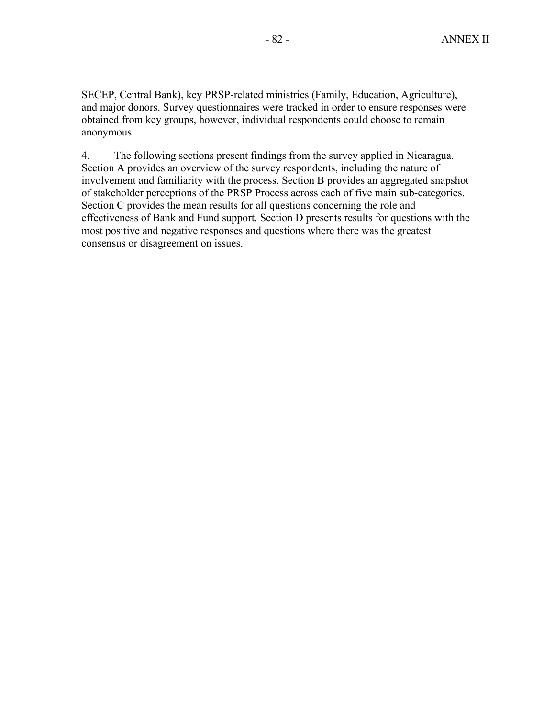SECEP, Central Bank), key PRSP-related ministries (Family, Education, Agriculture), and major donors. Survey questionnaires were tracked in order to ensure responses were obtained from key groups, however, individual respondents could choose to remain anonymous.

4. The following sections present findings from the survey applied in Nicaragua. Section A provides an overview of the survey respondents, including the nature of involvement and familiarity with the process. Section B provides an aggregated snapshot of stakeholder perceptions of the PRSP Process across each of five main sub-categories. Section C provides the mean results for all questions concerning the role and effectiveness of Bank and Fund support. Section D presents results for questions with the most positive and negative responses and questions where there was the greatest consensus or disagreement on issues.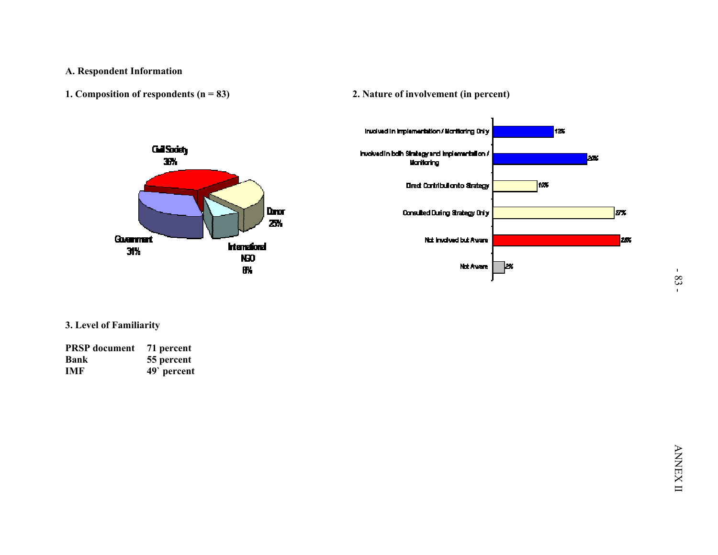





| <b>PRSP</b> document | 71 percent |
|----------------------|------------|
| <b>Bank</b>          | 55 percent |
| <b>IMF</b>           | 49 percent |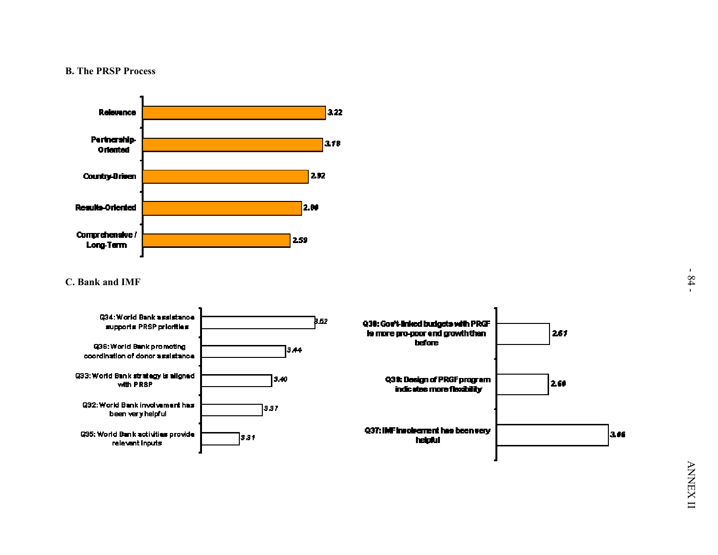

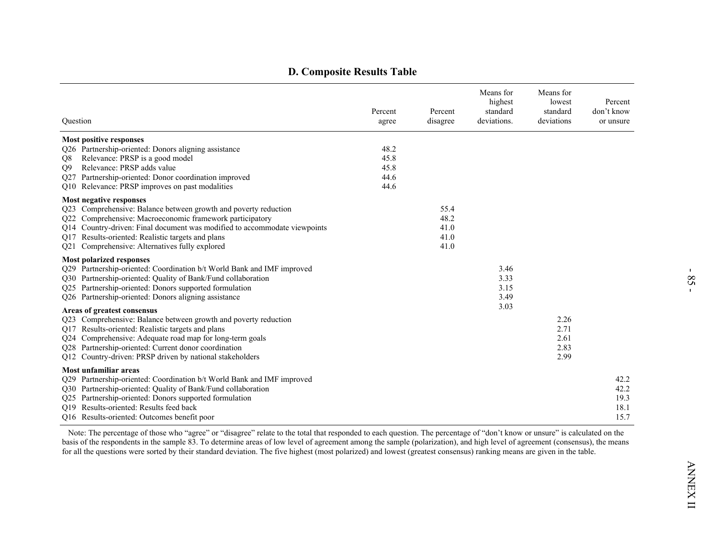| Question                                                                                                                                                                                                                                                                                                                                   | Percent<br>agree                     | Percent<br>disagree                  | Means for<br>highest<br>standard<br>deviations. | Means for<br>lowest<br>standard<br>deviations | Percent<br>don't know<br>or unsure   |
|--------------------------------------------------------------------------------------------------------------------------------------------------------------------------------------------------------------------------------------------------------------------------------------------------------------------------------------------|--------------------------------------|--------------------------------------|-------------------------------------------------|-----------------------------------------------|--------------------------------------|
| <b>Most positive responses</b><br>Q26 Partnership-oriented: Donors aligning assistance<br>Relevance: PRSP is a good model<br>Q8<br>Relevance: PRSP adds value<br>Q <sub>9</sub><br>Q27 Partnership-oriented: Donor coordination improved<br>Q10 Relevance: PRSP improves on past modalities                                                | 48.2<br>45.8<br>45.8<br>44.6<br>44.6 |                                      |                                                 |                                               |                                      |
| Most negative responses<br>Q23 Comprehensive: Balance between growth and poverty reduction<br>Q22 Comprehensive: Macroeconomic framework participatory<br>Q14 Country-driven: Final document was modified to accommodate viewpoints<br>Q17 Results-oriented: Realistic targets and plans<br>Q21 Comprehensive: Alternatives fully explored |                                      | 55.4<br>48.2<br>41.0<br>41.0<br>41.0 |                                                 |                                               |                                      |
| <b>Most polarized responses</b><br>Q29 Partnership-oriented: Coordination b/t World Bank and IMF improved<br>Q30 Partnership-oriented: Quality of Bank/Fund collaboration<br>Q25 Partnership-oriented: Donors supported formulation<br>Q26 Partnership-oriented: Donors aligning assistance                                                |                                      |                                      | 3.46<br>3.33<br>3.15<br>3.49                    |                                               |                                      |
| Areas of greatest consensus<br>Q23 Comprehensive: Balance between growth and poverty reduction<br>Q17 Results-oriented: Realistic targets and plans<br>Q24 Comprehensive: Adequate road map for long-term goals<br>Q28 Partnership-oriented: Current donor coordination<br>Q12 Country-driven: PRSP driven by national stakeholders        |                                      |                                      | 3.03                                            | 2.26<br>2.71<br>2.61<br>2.83<br>2.99          |                                      |
| Most unfamiliar areas<br>Q29 Partnership-oriented: Coordination b/t World Bank and IMF improved<br>Q30 Partnership-oriented: Quality of Bank/Fund collaboration<br>Q25 Partnership-oriented: Donors supported formulation<br>O19 Results-oriented: Results feed back<br>Q16 Results-oriented: Outcomes benefit poor                        |                                      |                                      |                                                 |                                               | 42.2<br>42.2<br>19.3<br>18.1<br>15.7 |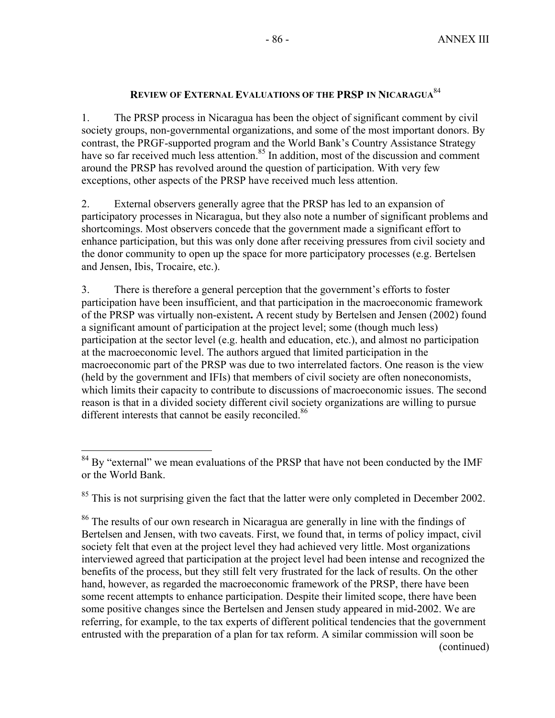# **REVIEW OF EXTERNAL EVALUATIONS OF THE PRSP IN NICARAGUA**<sup>84</sup>

1. The PRSP process in Nicaragua has been the object of significant comment by civil society groups, non-governmental organizations, and some of the most important donors. By contrast, the PRGF-supported program and the World Bank's Country Assistance Strategy have so far received much less attention.<sup>85</sup> In addition, most of the discussion and comment around the PRSP has revolved around the question of participation. With very few exceptions, other aspects of the PRSP have received much less attention.

2. External observers generally agree that the PRSP has led to an expansion of participatory processes in Nicaragua, but they also note a number of significant problems and shortcomings. Most observers concede that the government made a significant effort to enhance participation, but this was only done after receiving pressures from civil society and the donor community to open up the space for more participatory processes (e.g. Bertelsen and Jensen, Ibis, Trocaire, etc.).

3. There is therefore a general perception that the government's efforts to foster participation have been insufficient, and that participation in the macroeconomic framework of the PRSP was virtually non-existent**.** A recent study by Bertelsen and Jensen (2002) found a significant amount of participation at the project level; some (though much less) participation at the sector level (e.g. health and education, etc.), and almost no participation at the macroeconomic level. The authors argued that limited participation in the macroeconomic part of the PRSP was due to two interrelated factors. One reason is the view (held by the government and IFIs) that members of civil society are often noneconomists, which limits their capacity to contribute to discussions of macroeconomic issues. The second reason is that in a divided society different civil society organizations are willing to pursue different interests that cannot be easily reconciled.<sup>86</sup>

 $\overline{a}$ 

 $84$  By "external" we mean evaluations of the PRSP that have not been conducted by the IMF or the World Bank.

 $85$  This is not surprising given the fact that the latter were only completed in December 2002.

<sup>&</sup>lt;sup>86</sup> The results of our own research in Nicaragua are generally in line with the findings of Bertelsen and Jensen, with two caveats. First, we found that, in terms of policy impact, civil society felt that even at the project level they had achieved very little. Most organizations interviewed agreed that participation at the project level had been intense and recognized the benefits of the process, but they still felt very frustrated for the lack of results. On the other hand, however, as regarded the macroeconomic framework of the PRSP, there have been some recent attempts to enhance participation. Despite their limited scope, there have been some positive changes since the Bertelsen and Jensen study appeared in mid-2002. We are referring, for example, to the tax experts of different political tendencies that the government entrusted with the preparation of a plan for tax reform. A similar commission will soon be (continued)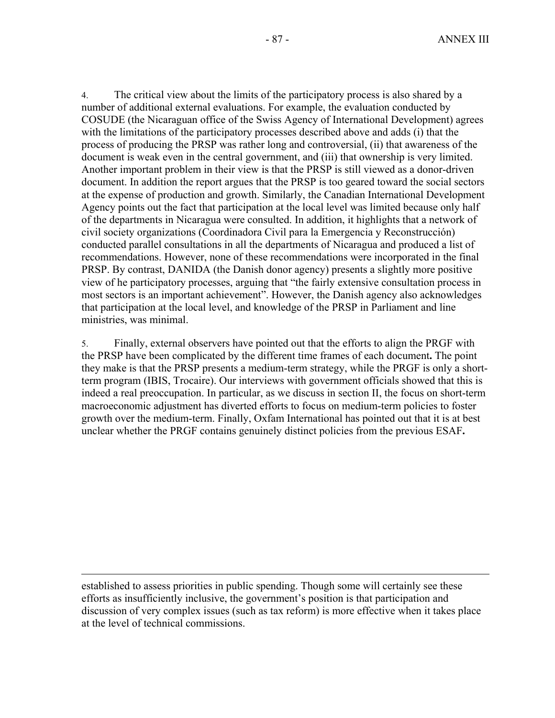4. The critical view about the limits of the participatory process is also shared by a number of additional external evaluations. For example, the evaluation conducted by COSUDE (the Nicaraguan office of the Swiss Agency of International Development) agrees with the limitations of the participatory processes described above and adds (i) that the process of producing the PRSP was rather long and controversial, (ii) that awareness of the document is weak even in the central government, and (iii) that ownership is very limited. Another important problem in their view is that the PRSP is still viewed as a donor-driven document. In addition the report argues that the PRSP is too geared toward the social sectors at the expense of production and growth. Similarly, the Canadian International Development Agency points out the fact that participation at the local level was limited because only half of the departments in Nicaragua were consulted. In addition, it highlights that a network of civil society organizations (Coordinadora Civil para la Emergencia y Reconstrucción) conducted parallel consultations in all the departments of Nicaragua and produced a list of recommendations. However, none of these recommendations were incorporated in the final PRSP. By contrast, DANIDA (the Danish donor agency) presents a slightly more positive view of he participatory processes, arguing that "the fairly extensive consultation process in most sectors is an important achievement". However, the Danish agency also acknowledges that participation at the local level, and knowledge of the PRSP in Parliament and line ministries, was minimal.

5. Finally, external observers have pointed out that the efforts to align the PRGF with the PRSP have been complicated by the different time frames of each document**.** The point they make is that the PRSP presents a medium-term strategy, while the PRGF is only a shortterm program (IBIS, Trocaire). Our interviews with government officials showed that this is indeed a real preoccupation. In particular, as we discuss in section II, the focus on short-term macroeconomic adjustment has diverted efforts to focus on medium-term policies to foster growth over the medium-term. Finally, Oxfam International has pointed out that it is at best unclear whether the PRGF contains genuinely distinct policies from the previous ESAF**.** 

established to assess priorities in public spending. Though some will certainly see these efforts as insufficiently inclusive, the government's position is that participation and discussion of very complex issues (such as tax reform) is more effective when it takes place at the level of technical commissions.

 $\overline{a}$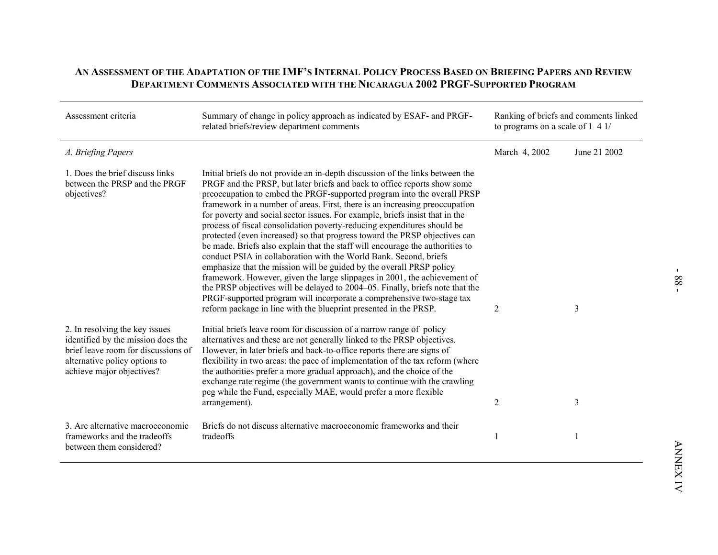| Assessment criteria                                                                                                                                                       | Summary of change in policy approach as indicated by ESAF- and PRGF-<br>related briefs/review department comments                                                                                                                                                                                                                                                                                                                                                                                                                                                                                                                                                                                                                                                                                                                                                                                                                                                                                                                                                                                     | to programs on a scale of $1-4$ 1/ | Ranking of briefs and comments linked |
|---------------------------------------------------------------------------------------------------------------------------------------------------------------------------|-------------------------------------------------------------------------------------------------------------------------------------------------------------------------------------------------------------------------------------------------------------------------------------------------------------------------------------------------------------------------------------------------------------------------------------------------------------------------------------------------------------------------------------------------------------------------------------------------------------------------------------------------------------------------------------------------------------------------------------------------------------------------------------------------------------------------------------------------------------------------------------------------------------------------------------------------------------------------------------------------------------------------------------------------------------------------------------------------------|------------------------------------|---------------------------------------|
| A. Briefing Papers                                                                                                                                                        |                                                                                                                                                                                                                                                                                                                                                                                                                                                                                                                                                                                                                                                                                                                                                                                                                                                                                                                                                                                                                                                                                                       | March 4, 2002                      | June 21 2002                          |
| 1. Does the brief discuss links<br>between the PRSP and the PRGF<br>objectives?                                                                                           | Initial briefs do not provide an in-depth discussion of the links between the<br>PRGF and the PRSP, but later briefs and back to office reports show some<br>preoccupation to embed the PRGF-supported program into the overall PRSP<br>framework in a number of areas. First, there is an increasing preoccupation<br>for poverty and social sector issues. For example, briefs insist that in the<br>process of fiscal consolidation poverty-reducing expenditures should be<br>protected (even increased) so that progress toward the PRSP objectives can<br>be made. Briefs also explain that the staff will encourage the authorities to<br>conduct PSIA in collaboration with the World Bank. Second, briefs<br>emphasize that the mission will be guided by the overall PRSP policy<br>framework. However, given the large slippages in 2001, the achievement of<br>the PRSP objectives will be delayed to 2004–05. Finally, briefs note that the<br>PRGF-supported program will incorporate a comprehensive two-stage tax<br>reform package in line with the blueprint presented in the PRSP. | 2                                  | 3                                     |
| 2. In resolving the key issues<br>identified by the mission does the<br>brief leave room for discussions of<br>alternative policy options to<br>achieve major objectives? | Initial briefs leave room for discussion of a narrow range of policy<br>alternatives and these are not generally linked to the PRSP objectives.<br>However, in later briefs and back-to-office reports there are signs of<br>flexibility in two areas: the pace of implementation of the tax reform (where<br>the authorities prefer a more gradual approach), and the choice of the<br>exchange rate regime (the government wants to continue with the crawling<br>peg while the Fund, especially MAE, would prefer a more flexible<br>arrangement).                                                                                                                                                                                                                                                                                                                                                                                                                                                                                                                                                 | $\overline{2}$                     | 3                                     |
| 3. Are alternative macroeconomic<br>frameworks and the tradeoffs<br>between them considered?                                                                              | Briefs do not discuss alternative macroeconomic frameworks and their<br>tradeoffs                                                                                                                                                                                                                                                                                                                                                                                                                                                                                                                                                                                                                                                                                                                                                                                                                                                                                                                                                                                                                     | 1                                  | 1                                     |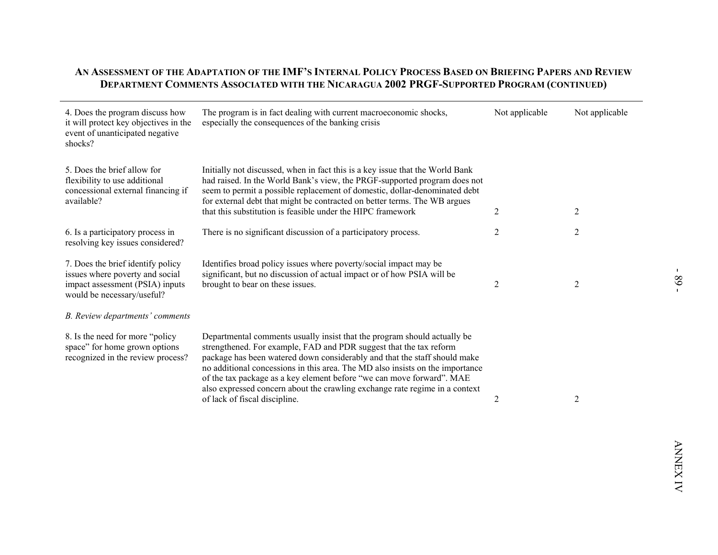$\overline{\phantom{a}}$ 

| 4. Does the program discuss how<br>it will protect key objectives in the<br>event of unanticipated negative<br>shocks?                | The program is in fact dealing with current macroeconomic shocks,<br>especially the consequences of the banking crisis                                                                                                                                                                                                                                                                                                                                                                                | Not applicable | Not applicable |
|---------------------------------------------------------------------------------------------------------------------------------------|-------------------------------------------------------------------------------------------------------------------------------------------------------------------------------------------------------------------------------------------------------------------------------------------------------------------------------------------------------------------------------------------------------------------------------------------------------------------------------------------------------|----------------|----------------|
| 5. Does the brief allow for<br>flexibility to use additional<br>concessional external financing if<br>available?                      | Initially not discussed, when in fact this is a key issue that the World Bank<br>had raised. In the World Bank's view, the PRGF-supported program does not<br>seem to permit a possible replacement of domestic, dollar-denominated debt<br>for external debt that might be contracted on better terms. The WB argues<br>that this substitution is feasible under the HIPC framework                                                                                                                  | $\overline{2}$ | 2              |
| 6. Is a participatory process in<br>resolving key issues considered?                                                                  | There is no significant discussion of a participatory process.                                                                                                                                                                                                                                                                                                                                                                                                                                        | 2              | 2              |
| 7. Does the brief identify policy<br>issues where poverty and social<br>impact assessment (PSIA) inputs<br>would be necessary/useful? | Identifies broad policy issues where poverty/social impact may be<br>significant, but no discussion of actual impact or of how PSIA will be<br>brought to bear on these issues.                                                                                                                                                                                                                                                                                                                       | $\overline{2}$ | 2              |
| B. Review departments' comments                                                                                                       |                                                                                                                                                                                                                                                                                                                                                                                                                                                                                                       |                |                |
| 8. Is the need for more "policy"<br>space" for home grown options<br>recognized in the review process?                                | Departmental comments usually insist that the program should actually be<br>strengthened. For example, FAD and PDR suggest that the tax reform<br>package has been watered down considerably and that the staff should make<br>no additional concessions in this area. The MD also insists on the importance<br>of the tax package as a key element before "we can move forward". MAE<br>also expressed concern about the crawling exchange rate regime in a context<br>of lack of fiscal discipline. | 2              | 2              |
|                                                                                                                                       |                                                                                                                                                                                                                                                                                                                                                                                                                                                                                                       |                |                |
|                                                                                                                                       |                                                                                                                                                                                                                                                                                                                                                                                                                                                                                                       |                |                |
|                                                                                                                                       |                                                                                                                                                                                                                                                                                                                                                                                                                                                                                                       |                |                |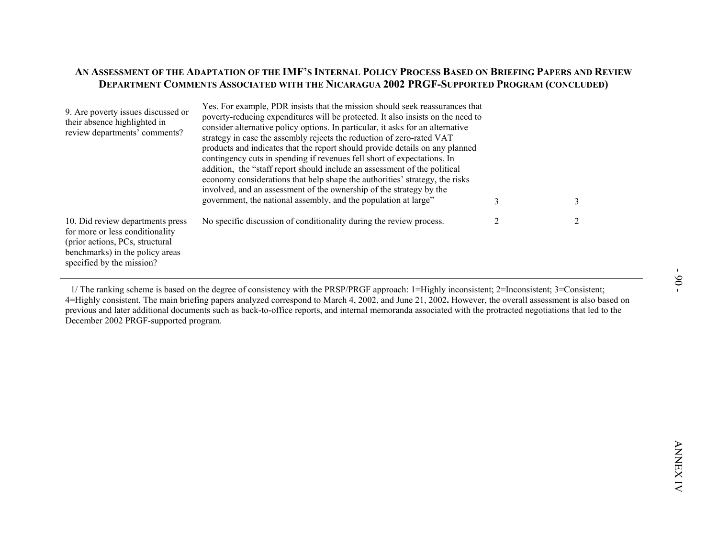| economy considerations that help shape the authorities' strategy, the risks<br>involved, and an assessment of the ownership of the strategy by the<br>government, the national assembly, and the population at large"<br>3<br>3                         |
|---------------------------------------------------------------------------------------------------------------------------------------------------------------------------------------------------------------------------------------------------------|
| No specific discussion of conditionality during the review process.<br>2<br>10. Did review departments press<br>2<br>for more or less conditionality<br>(prior actions, PCs, structural<br>benchmarks) in the policy areas<br>specified by the mission? |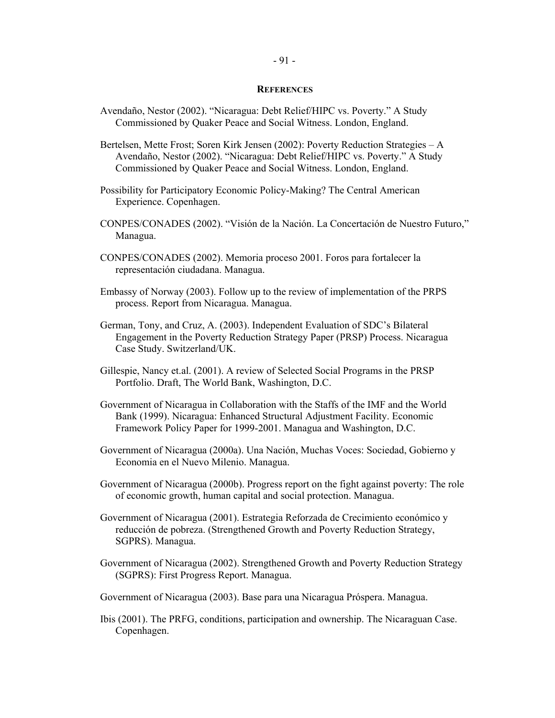### **REFERENCES**

- Avendaño, Nestor (2002). "Nicaragua: Debt Relief/HIPC vs. Poverty." A Study Commissioned by Quaker Peace and Social Witness. London, England.
- Bertelsen, Mette Frost; Soren Kirk Jensen (2002): Poverty Reduction Strategies A Avendaño, Nestor (2002). "Nicaragua: Debt Relief/HIPC vs. Poverty." A Study Commissioned by Quaker Peace and Social Witness. London, England.
- Possibility for Participatory Economic Policy-Making? The Central American Experience. Copenhagen.
- CONPES/CONADES (2002). "Visión de la Nación. La Concertación de Nuestro Futuro," Managua.
- CONPES/CONADES (2002). Memoria proceso 2001. Foros para fortalecer la representación ciudadana. Managua.
- Embassy of Norway (2003). Follow up to the review of implementation of the PRPS process. Report from Nicaragua. Managua.
- German, Tony, and Cruz, A. (2003). Independent Evaluation of SDC's Bilateral Engagement in the Poverty Reduction Strategy Paper (PRSP) Process. Nicaragua Case Study. Switzerland/UK.
- Gillespie, Nancy et.al. (2001). A review of Selected Social Programs in the PRSP Portfolio. Draft, The World Bank, Washington, D.C.
- Government of Nicaragua in Collaboration with the Staffs of the IMF and the World Bank (1999). Nicaragua: Enhanced Structural Adjustment Facility. Economic Framework Policy Paper for 1999-2001. Managua and Washington, D.C.
- Government of Nicaragua (2000a). Una Nación, Muchas Voces: Sociedad, Gobierno y Economia en el Nuevo Milenio. Managua.
- Government of Nicaragua (2000b). Progress report on the fight against poverty: The role of economic growth, human capital and social protection. Managua.
- Government of Nicaragua (2001). Estrategia Reforzada de Crecimiento económico y reducción de pobreza. (Strengthened Growth and Poverty Reduction Strategy, SGPRS). Managua.
- Government of Nicaragua (2002). Strengthened Growth and Poverty Reduction Strategy (SGPRS): First Progress Report. Managua.
- Government of Nicaragua (2003). Base para una Nicaragua Próspera. Managua.
- Ibis (2001). The PRFG, conditions, participation and ownership. The Nicaraguan Case. Copenhagen.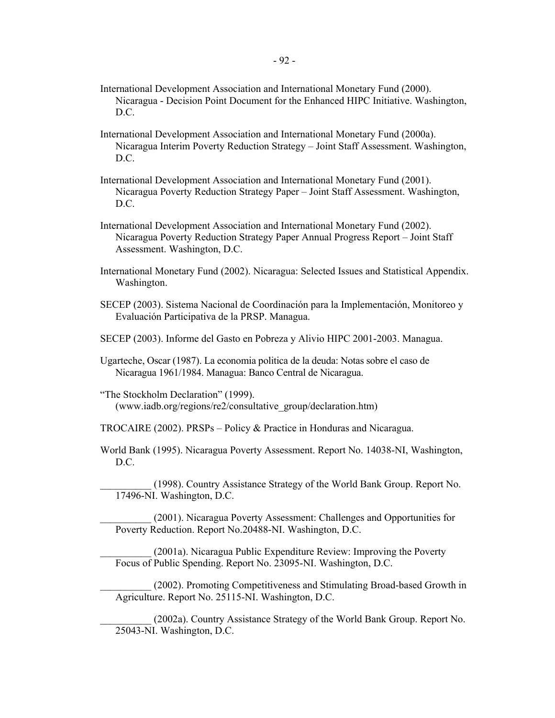$-92$  -

- International Development Association and International Monetary Fund (2000). Nicaragua - Decision Point Document for the Enhanced HIPC Initiative. Washington, D.C.
- International Development Association and International Monetary Fund (2000a). Nicaragua Interim Poverty Reduction Strategy – Joint Staff Assessment. Washington, D.C.
- International Development Association and International Monetary Fund (2001). Nicaragua Poverty Reduction Strategy Paper – Joint Staff Assessment. Washington, D.C.
- International Development Association and International Monetary Fund (2002). Nicaragua Poverty Reduction Strategy Paper Annual Progress Report – Joint Staff Assessment. Washington, D.C.
- International Monetary Fund (2002). Nicaragua: Selected Issues and Statistical Appendix. Washington.
- SECEP (2003). Sistema Nacional de Coordinación para la Implementación, Monitoreo y Evaluación Participativa de la PRSP. Managua.
- SECEP (2003). Informe del Gasto en Pobreza y Alivio HIPC 2001-2003. Managua.
- Ugarteche, Oscar (1987). La economia politica de la deuda: Notas sobre el caso de Nicaragua 1961/1984. Managua: Banco Central de Nicaragua.
- "The Stockholm Declaration" (1999). (www.iadb.org/regions/re2/consultative\_group/declaration.htm)
- TROCAIRE (2002). PRSPs Policy & Practice in Honduras and Nicaragua.
- World Bank (1995). Nicaragua Poverty Assessment. Report No. 14038-NI, Washington, D.C.
	- \_\_\_\_\_\_\_\_\_\_ (1998). Country Assistance Strategy of the World Bank Group. Report No. 17496-NI. Washington, D.C.
	- \_\_\_\_\_\_\_\_\_\_ (2001). Nicaragua Poverty Assessment: Challenges and Opportunities for Poverty Reduction. Report No.20488-NI. Washington, D.C.
	- \_\_\_\_\_\_\_\_\_\_ (2001a). Nicaragua Public Expenditure Review: Improving the Poverty Focus of Public Spending. Report No. 23095-NI. Washington, D.C.
	- \_\_\_\_\_\_\_\_\_\_ (2002). Promoting Competitiveness and Stimulating Broad-based Growth in Agriculture. Report No. 25115-NI. Washington, D.C.
		- \_\_\_\_\_\_\_\_\_\_ (2002a). Country Assistance Strategy of the World Bank Group. Report No. 25043-NI. Washington, D.C.